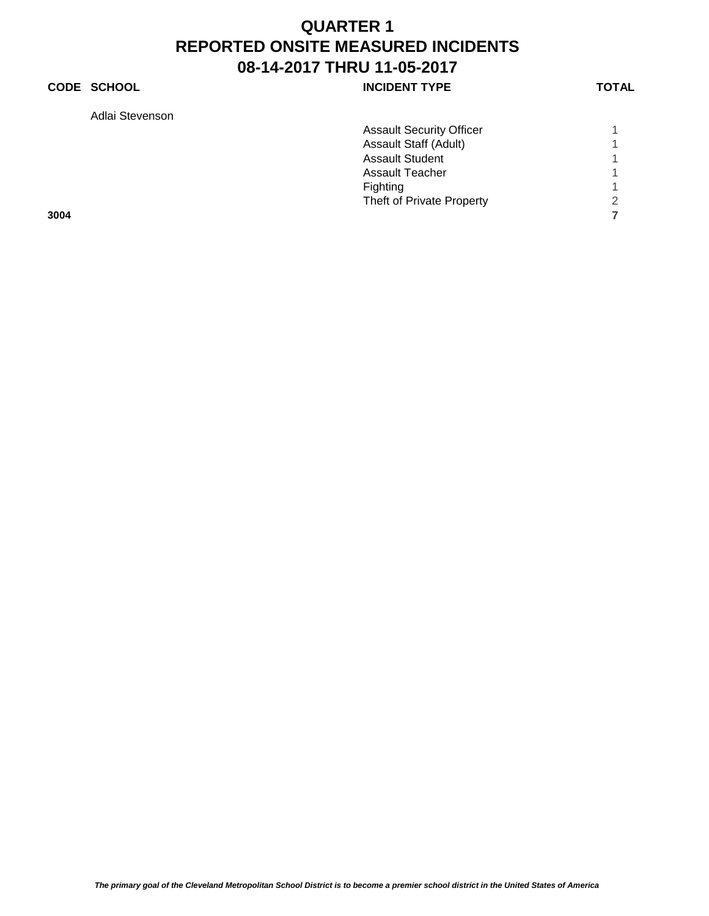### **CODE SCHOOL CODE SCHOOL INCIDENT TYPE TOTAL**

Adlai Stevenson

| Adial Stevenson |                                 |               |
|-----------------|---------------------------------|---------------|
|                 | <b>Assault Security Officer</b> |               |
|                 | Assault Staff (Adult)           |               |
|                 | <b>Assault Student</b>          |               |
|                 | <b>Assault Teacher</b>          |               |
|                 | Fighting                        |               |
|                 | Theft of Private Property       | $\mathcal{D}$ |
| 3004            |                                 |               |
|                 |                                 |               |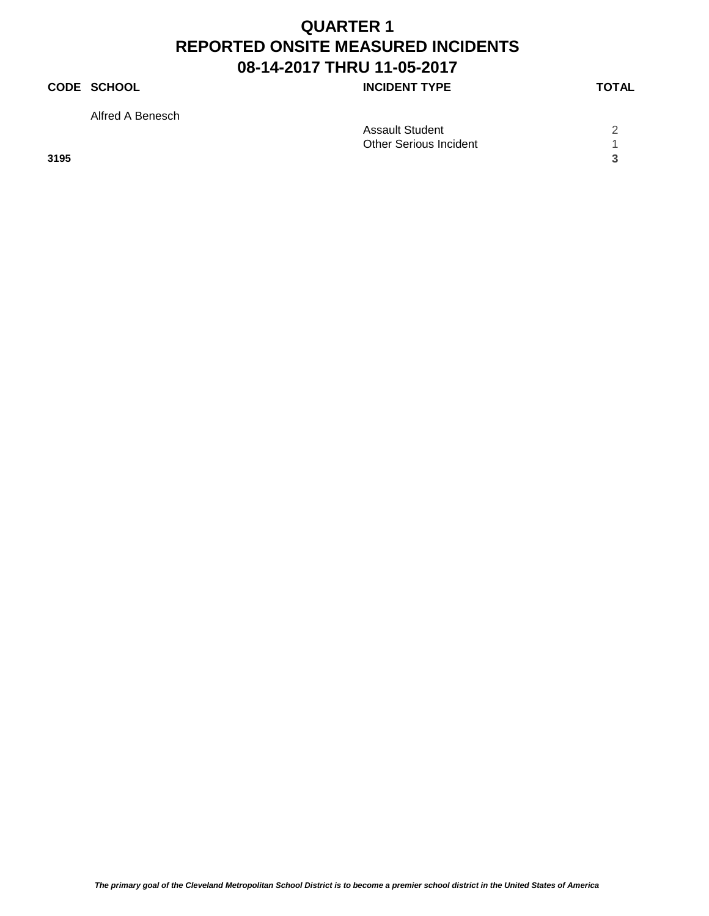#### **CODE SCHOOL CODE SCHOOL INCIDENT TYPE TOTAL**

Alfred A Benesch

|      | <b>Assault Student</b>        |  |
|------|-------------------------------|--|
|      | <b>Other Serious Incident</b> |  |
| 3195 |                               |  |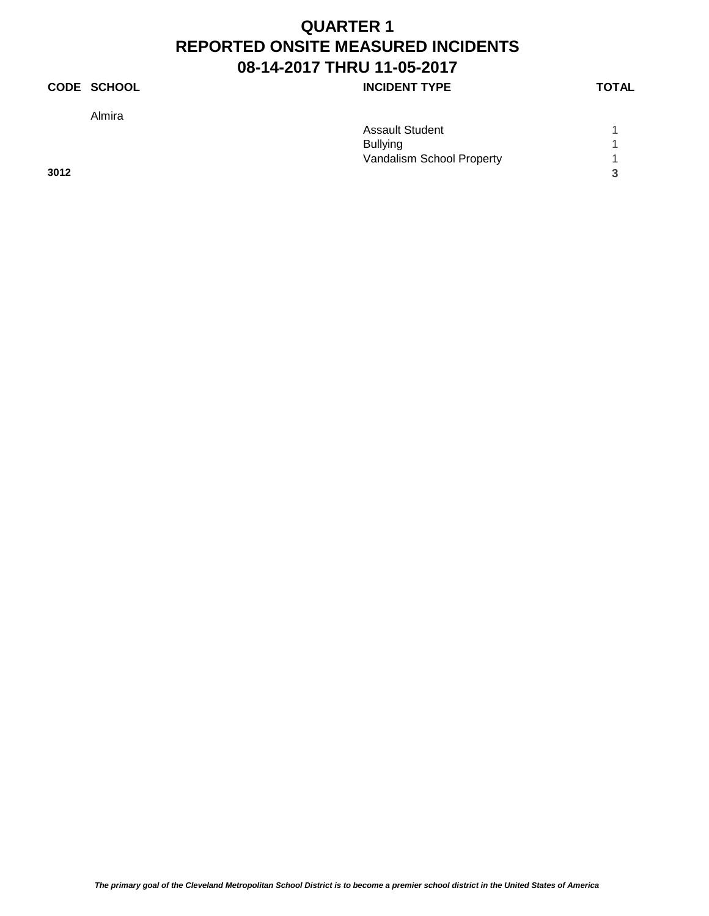### **CODE SCHOOL CODE SCHOOL INCIDENT TYPE TOTAL**

Almira

|      | <b>Assault Student</b>    |   |
|------|---------------------------|---|
|      | <b>Bullying</b>           |   |
|      | Vandalism School Property |   |
| 3012 |                           | 2 |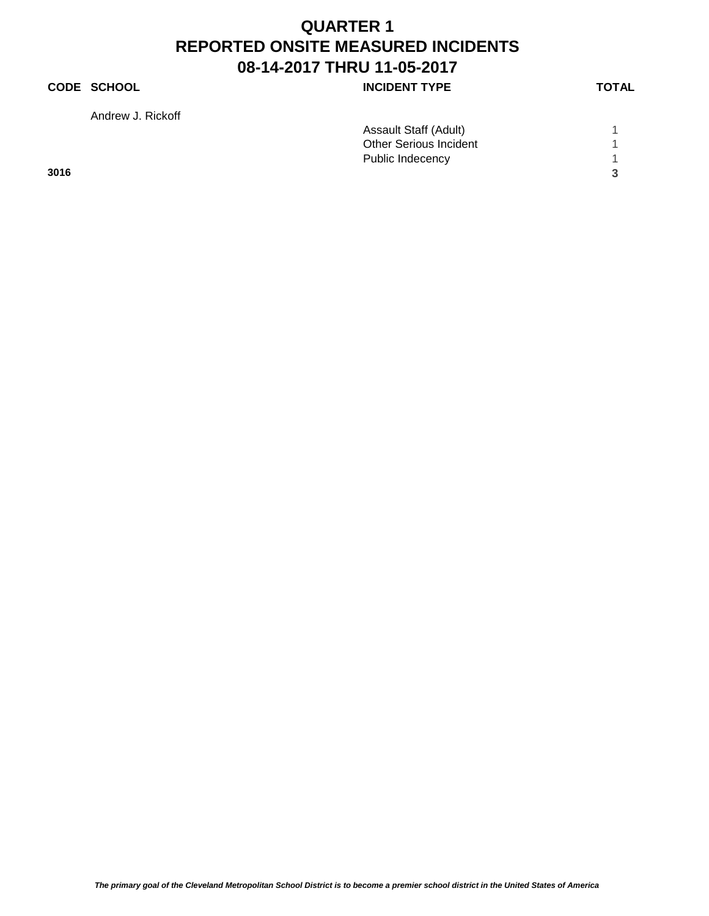### **CODE SCHOOL INCIDENT TYPE**

Andrew J. Rickoff

|      | Assault Staff (Adult)         |  |
|------|-------------------------------|--|
|      | <b>Other Serious Incident</b> |  |
|      | Public Indecency              |  |
| 3016 |                               |  |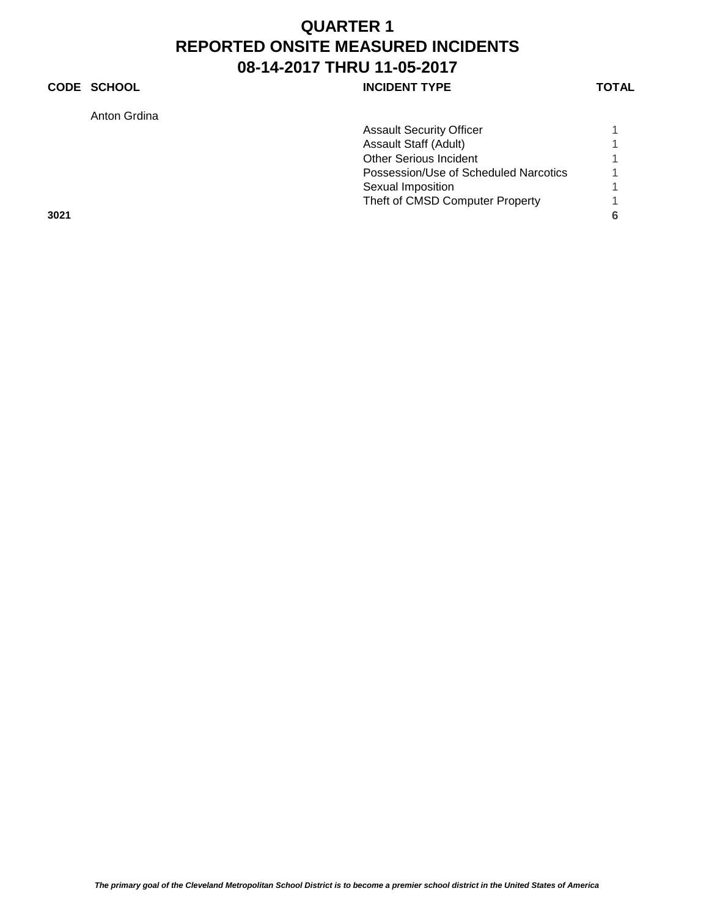### **CODE SCHOOL CODE SCHOOL INCIDENT TYPE TOTAL**

Anton Grdina

| Anton Gruina |                                       |   |
|--------------|---------------------------------------|---|
|              | <b>Assault Security Officer</b>       |   |
|              | Assault Staff (Adult)                 |   |
|              | <b>Other Serious Incident</b>         |   |
|              | Possession/Use of Scheduled Narcotics |   |
|              | Sexual Imposition                     |   |
|              | Theft of CMSD Computer Property       |   |
| 3021         |                                       | 6 |
|              |                                       |   |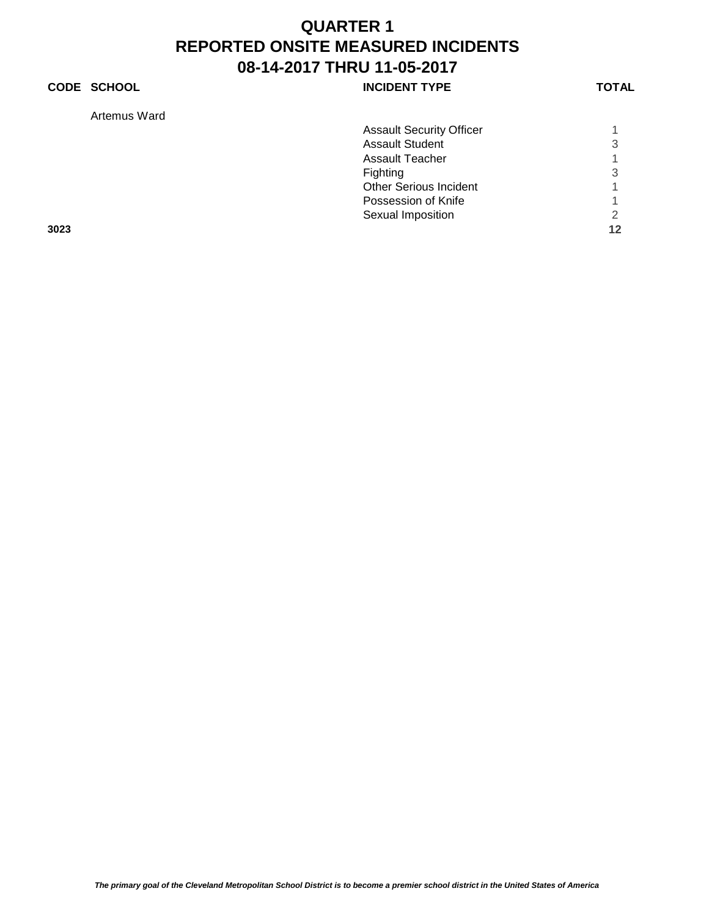### **CODE SCHOOL CODE SCHOOL INCIDENT TYPE TOTAL**

Artemus Ward

| Artemus Ward |                                 |    |
|--------------|---------------------------------|----|
|              | <b>Assault Security Officer</b> |    |
|              | <b>Assault Student</b>          | 3  |
|              | <b>Assault Teacher</b>          |    |
|              | Fighting                        | 3  |
|              | <b>Other Serious Incident</b>   |    |
|              | Possession of Knife             |    |
|              | Sexual Imposition               | 2  |
| 3023         |                                 | 12 |
|              |                                 |    |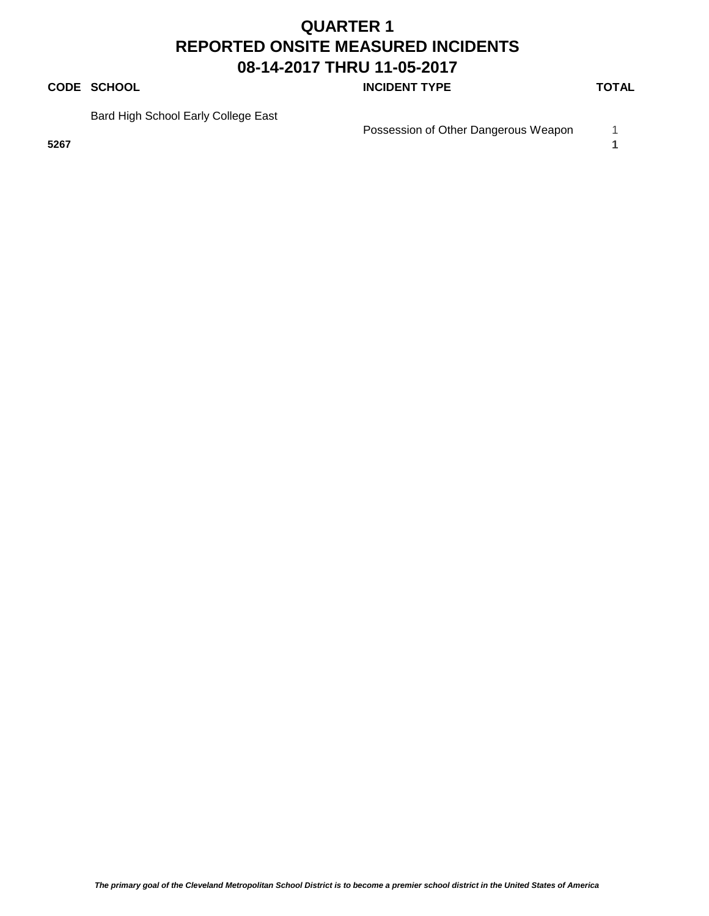#### **CODE SCHOOL CODE SCHOOL INCIDENT TYPE TOTAL**

Bard High School Early College East

Possession of Other Dangerous Weapon 1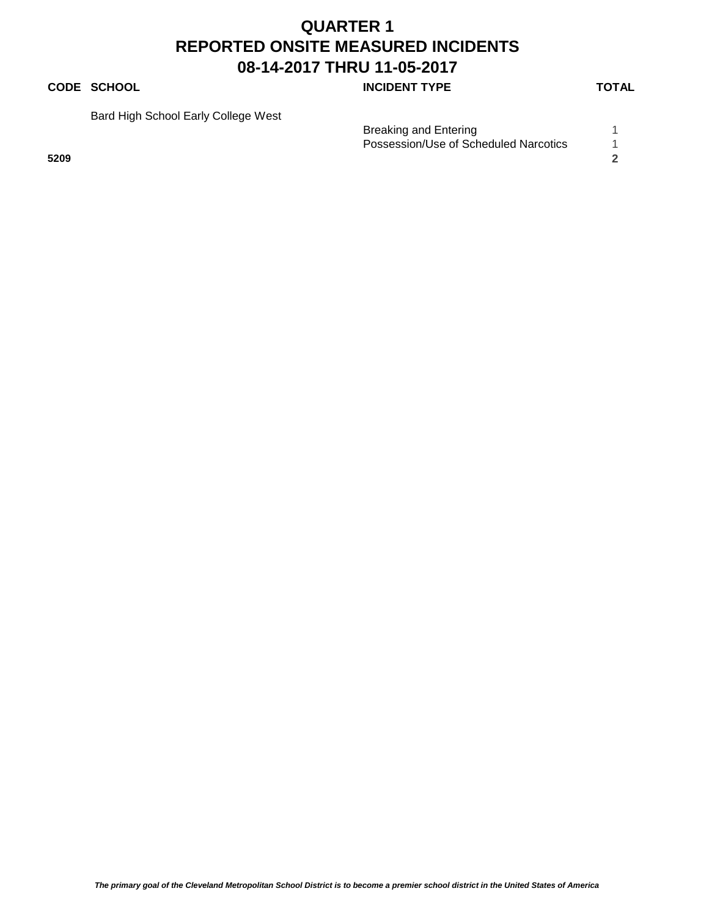### **CODE SCHOOL CODE SCHOOL INCIDENT TYPE TOTAL**

Bard High School Early College West

|      |  | Breaking and Entering<br>Possession/Use of Scheduled Narcotics |  |
|------|--|----------------------------------------------------------------|--|
| 5209 |  |                                                                |  |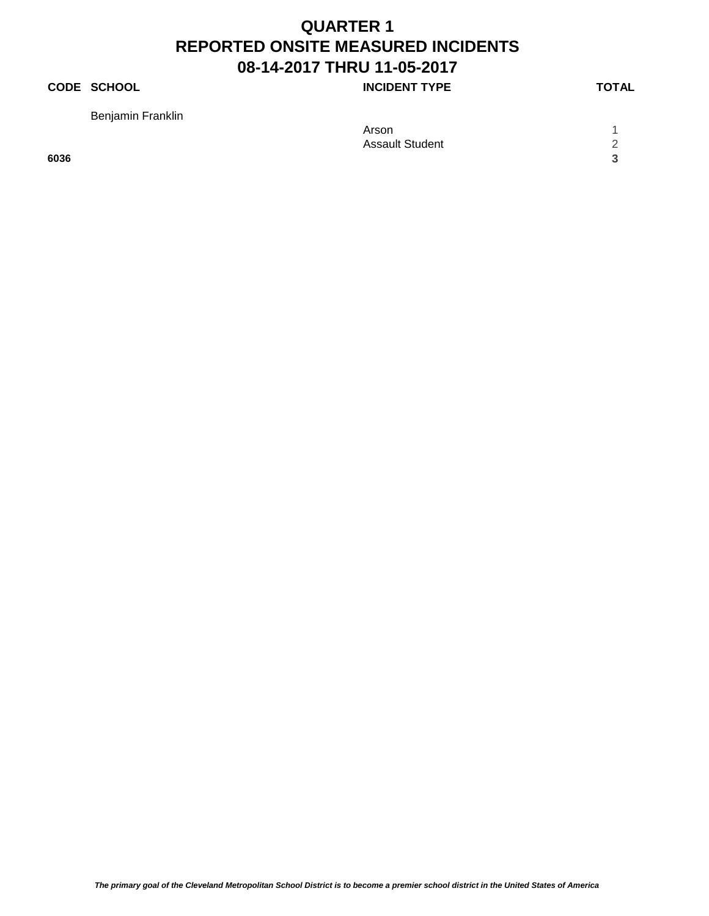### **CODE SCHOOL CODE SCHOOL INCIDENT TYPE TOTAL**

Benjamin Franklin

|      | Arson                  |           |
|------|------------------------|-----------|
|      | <b>Assault Student</b> | $\Omega$  |
| 6036 |                        | $\bullet$ |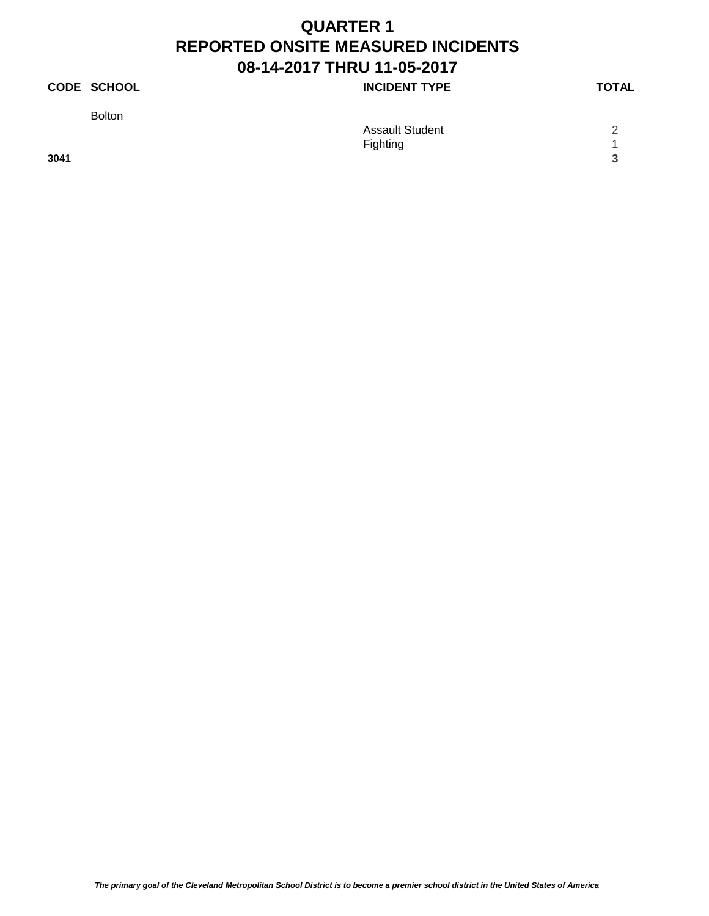### **CODE SCHOOL CODE SCHOOL INCIDENT TYPE TOTAL**

Bolton

|      | <b>Assault Student</b> | $\sim$     |
|------|------------------------|------------|
|      | Fighting               |            |
| 3041 |                        | $\sim$<br> |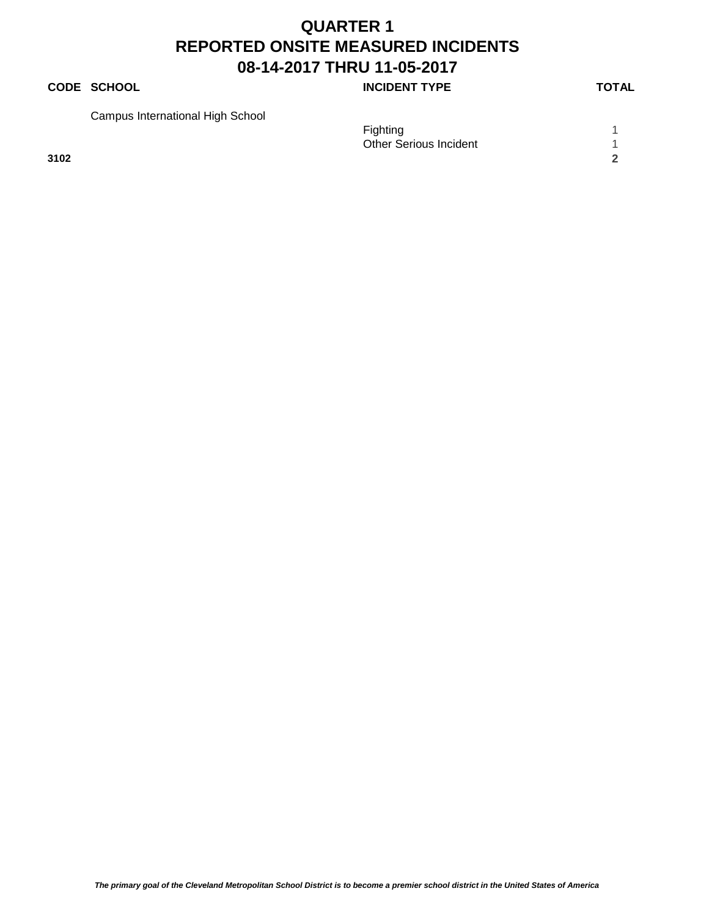### **CODE SCHOOL CODE SCHOOL INCIDENT TYPE TOTAL**

Campus International High School

|      | $\overline{\phantom{a}}$ | Fighting<br><b>Other Serious Incident</b> |        |
|------|--------------------------|-------------------------------------------|--------|
| 3102 |                          |                                           | $\sim$ |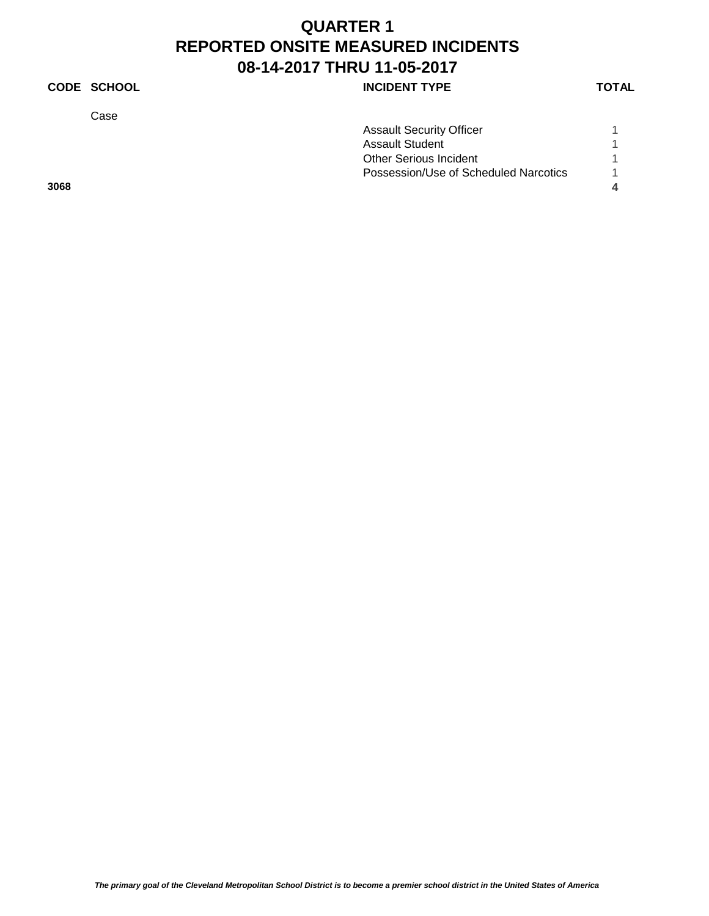### **CODE SCHOOL INCIDENT TYPE**

Case

| ٧ |
|---|
|---|

|      | <b>Assault Security Officer</b>       |  |
|------|---------------------------------------|--|
|      | <b>Assault Student</b>                |  |
|      | <b>Other Serious Incident</b>         |  |
|      | Possession/Use of Scheduled Narcotics |  |
| 3068 |                                       |  |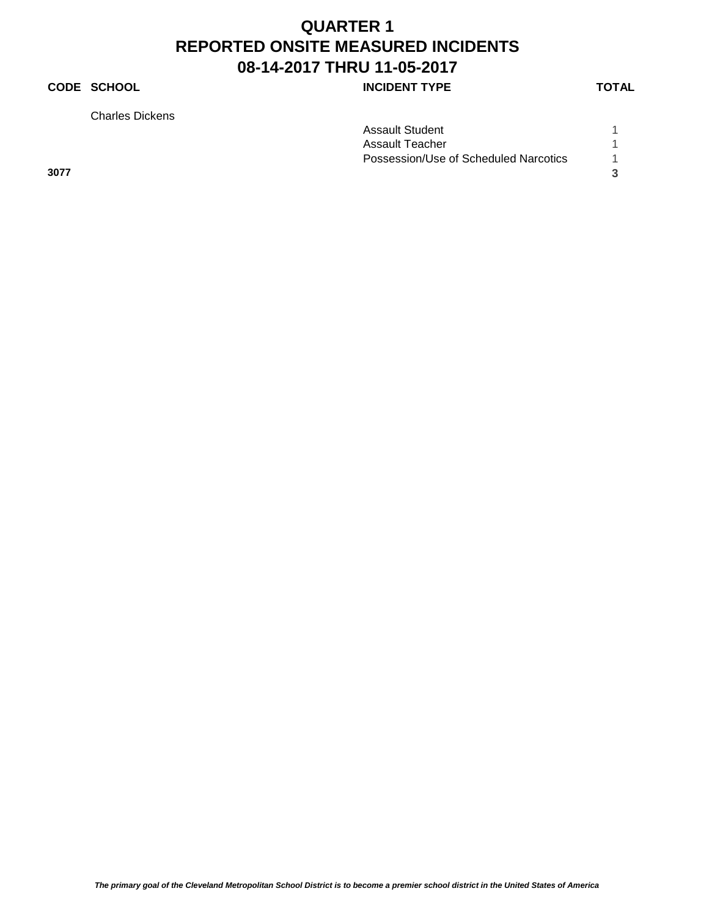### **CODE SCHOOL INCIDENT TYPE**

Charles Dickens

|      | <b>Assault Student</b>                |  |
|------|---------------------------------------|--|
|      | Assault Teacher                       |  |
|      | Possession/Use of Scheduled Narcotics |  |
| 3077 |                                       |  |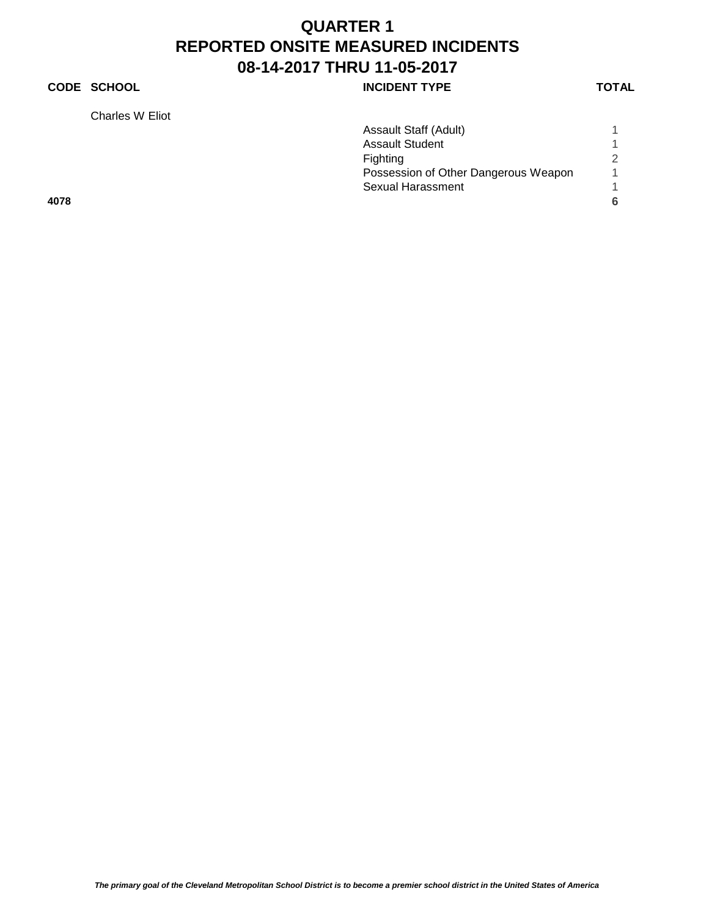### **CODE SCHOOL CODE SCHOOL INCIDENT TYPE TOTAL**

Charles W Eliot

| Assault Staff (Adult)                |   |
|--------------------------------------|---|
| <b>Assault Student</b>               |   |
| Fighting                             |   |
| Possession of Other Dangerous Weapon |   |
| Sexual Harassment                    |   |
|                                      | 6 |
|                                      |   |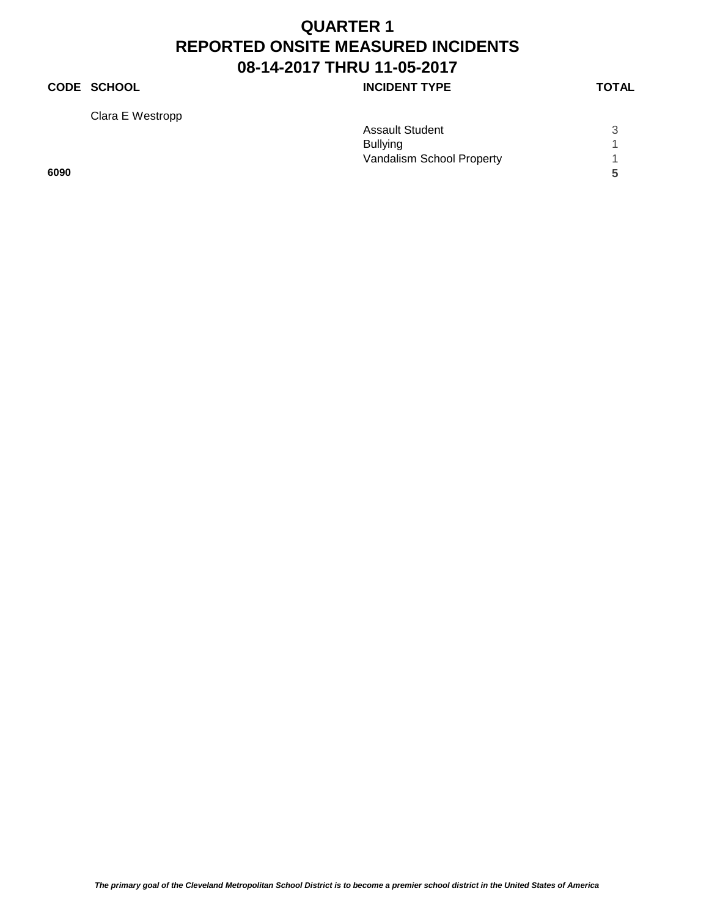### **CODE SCHOOL INCIDENT TYPE**

Clara E Westropp

|      | <b>Assault Student</b>    | ્ર |
|------|---------------------------|----|
|      | <b>Bullying</b>           |    |
|      | Vandalism School Property |    |
| 6090 |                           | 5  |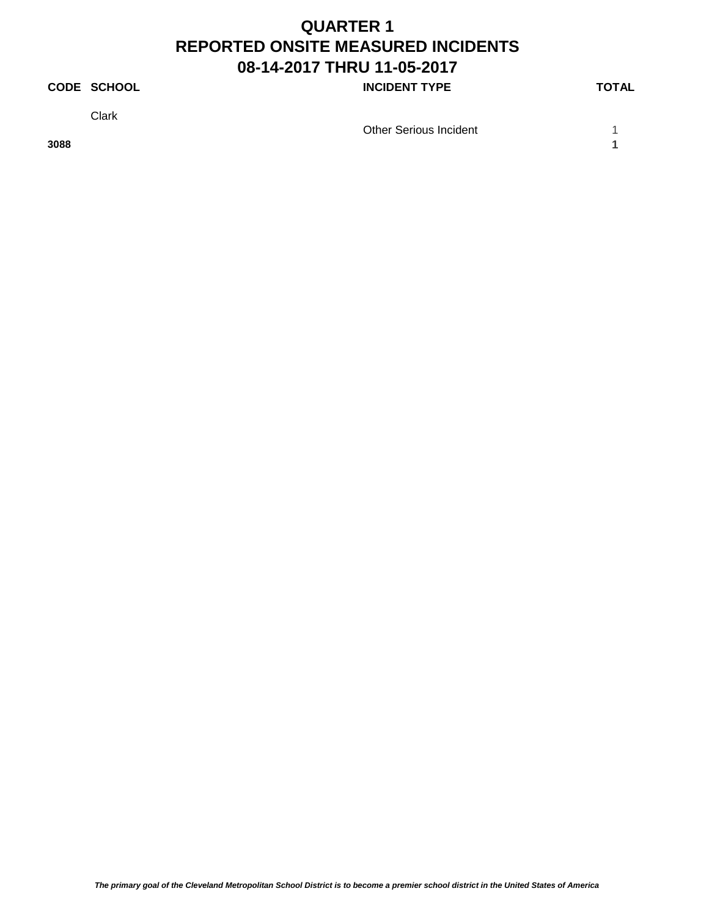### **CODE SCHOOL CODE SCHOOL INCIDENT TYPE TOTAL**

Clark

Other Serious Incident 1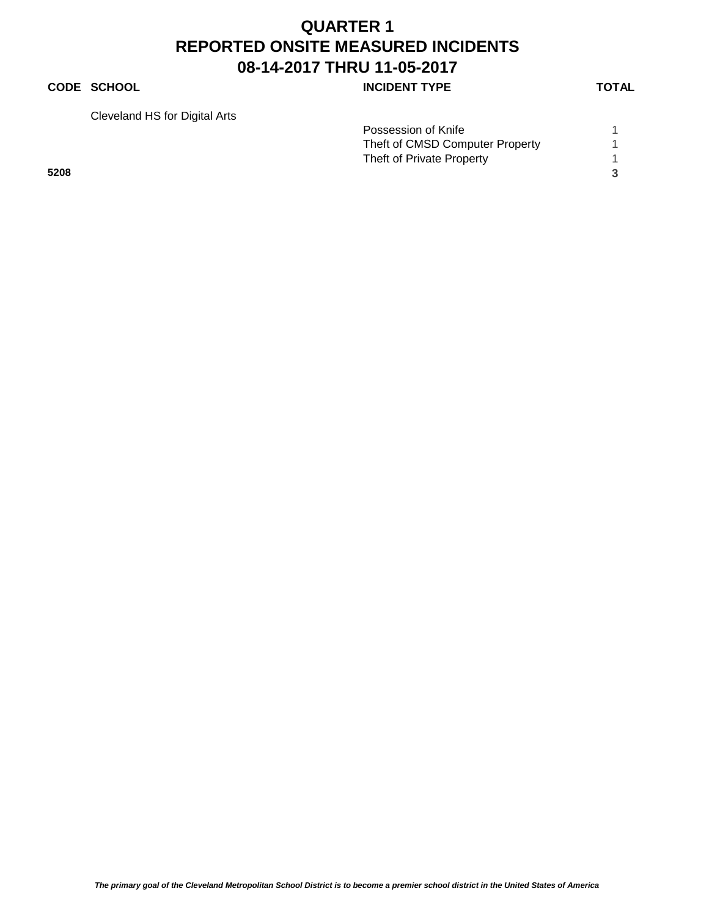#### **CODE SCHOOL CODE SCHOOL INCIDENT TYPE TOTAL**

Cleveland HS for Digital Arts

| olovolaria i lo for Digital Alto |                                 |  |
|----------------------------------|---------------------------------|--|
|                                  | Possession of Knife             |  |
|                                  | Theft of CMSD Computer Property |  |
|                                  | Theft of Private Property       |  |
| 5208                             |                                 |  |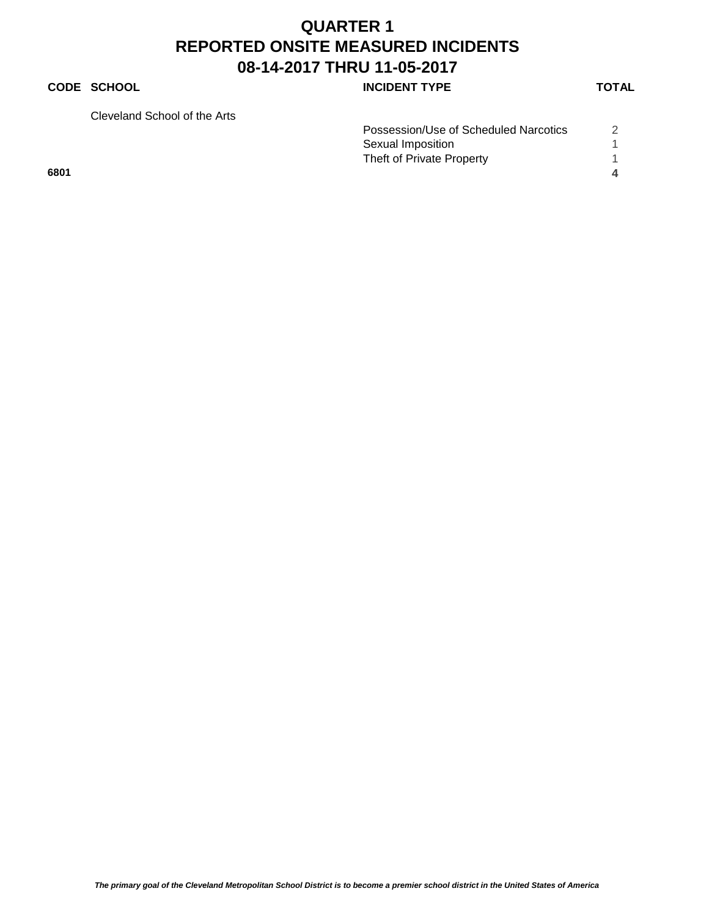### **CODE SCHOOL CODE SCHOOL INCIDENT TYPE TOTAL**

Cleveland School of the Arts

| Cleveland School of the Arts |                                       |  |
|------------------------------|---------------------------------------|--|
|                              | Possession/Use of Scheduled Narcotics |  |
|                              | Sexual Imposition                     |  |
|                              | Theft of Private Property             |  |
| 6801                         |                                       |  |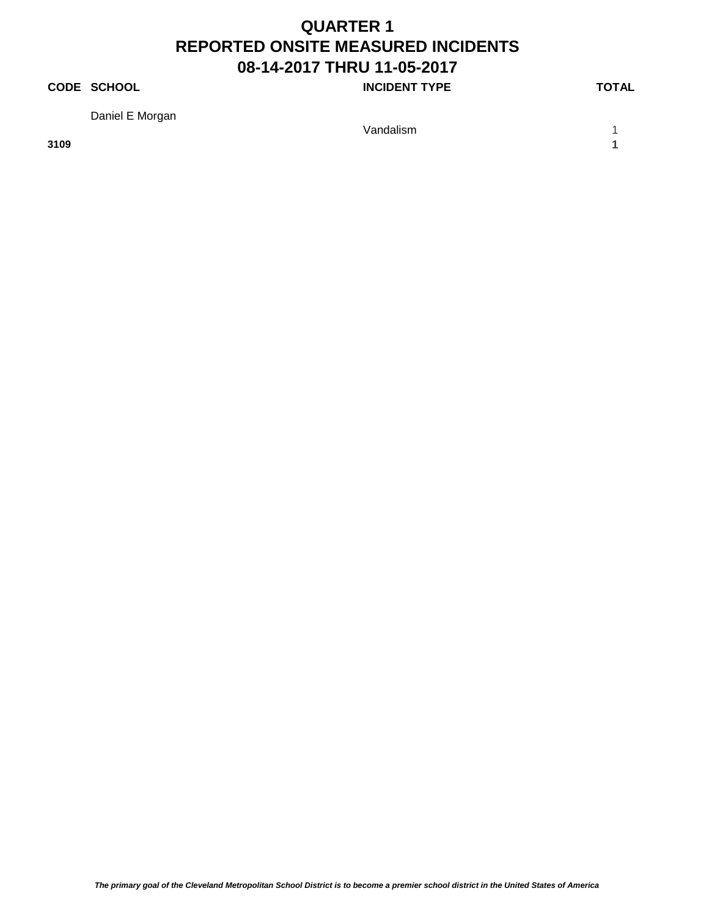### **CODE SCHOOL CODE SCHOOL INCIDENT TYPE TOTAL**

Daniel E Morgan

**3109 1**

Vandalism 1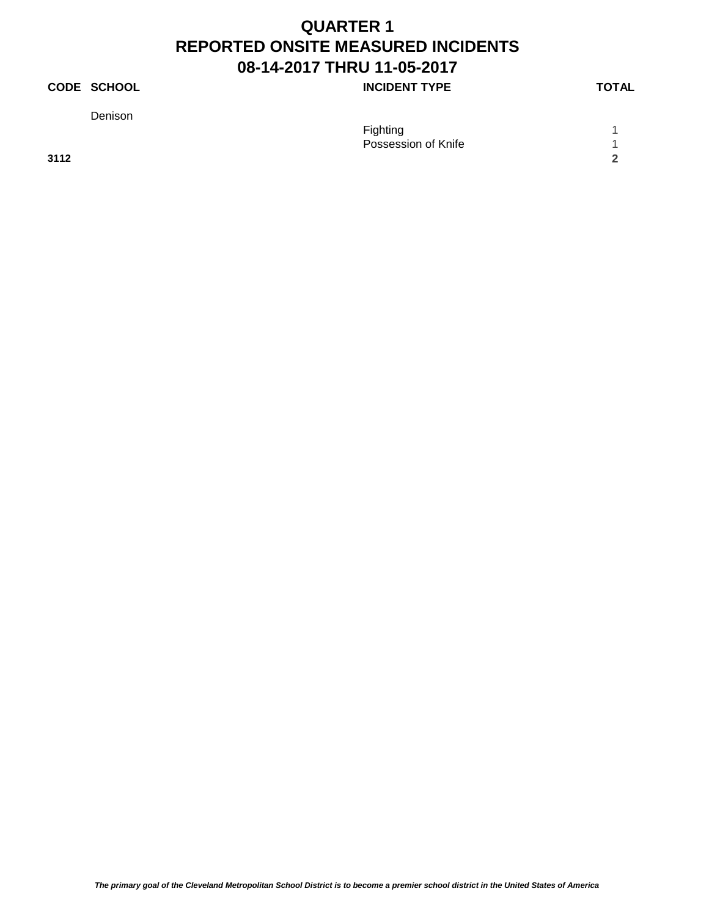### **CODE SCHOOL CODE SCHOOL INCIDENT TYPE TOTAL**

Denison

|      | Fighting<br>Possession of Knife |            |
|------|---------------------------------|------------|
| 3112 |                                 | $\sqrt{2}$ |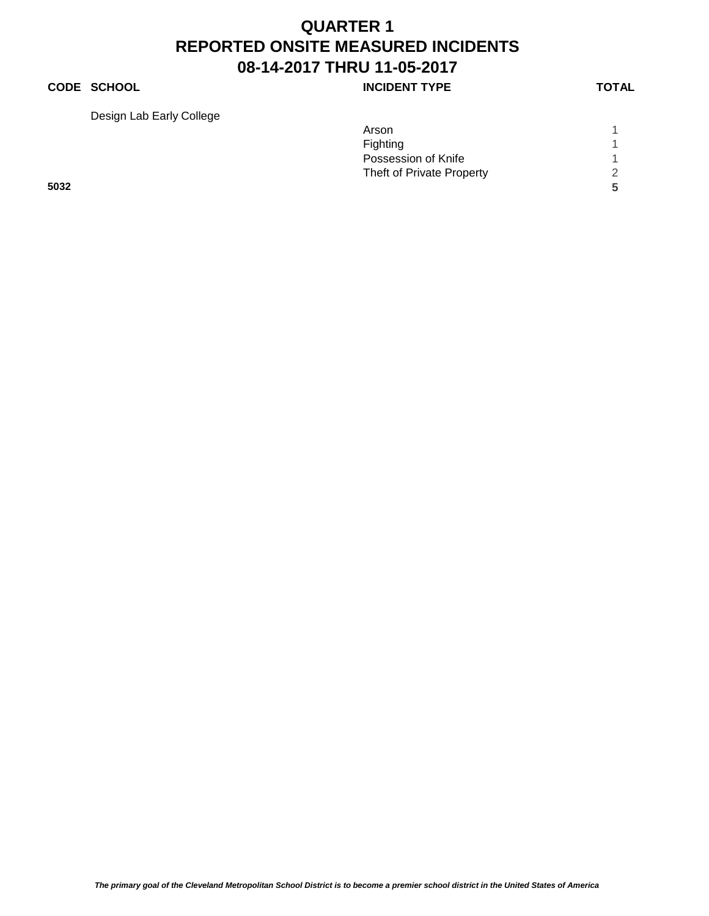### **CODE SCHOOL CODE SCHOOL INCIDENT TYPE TOTAL**

Design Lab Early College

| Arson                     |   |
|---------------------------|---|
| Fighting                  |   |
| Possession of Knife       |   |
| Theft of Private Property | 2 |
|                           | 5 |
|                           |   |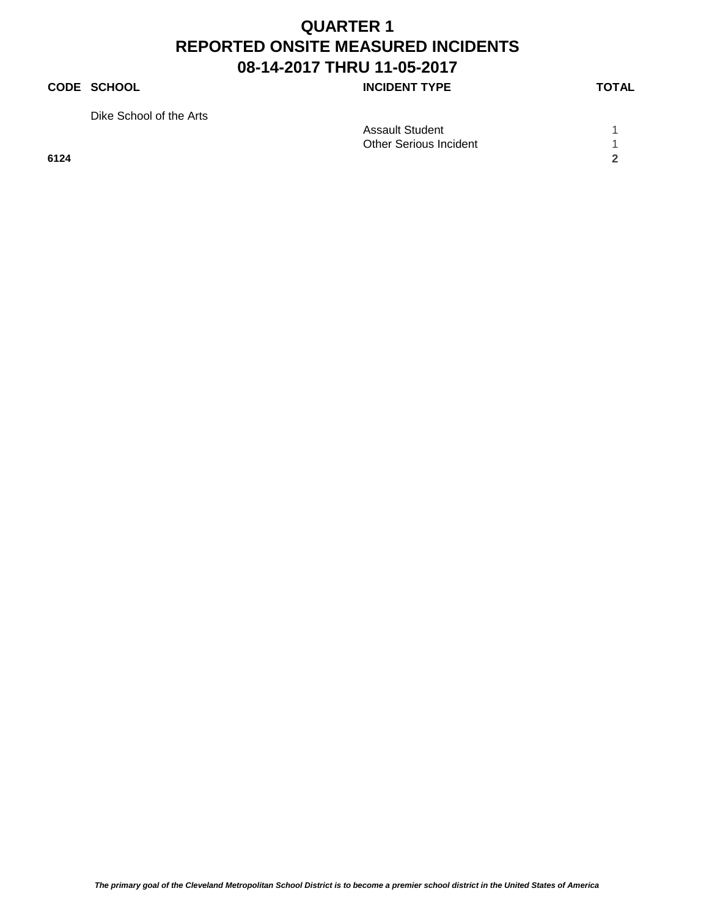#### **CODE SCHOOL CODE SCHOOL INCIDENT TYPE TOTAL**

Dike School of the Arts

|      | <b>Assault Student</b>        |  |
|------|-------------------------------|--|
|      | <b>Other Serious Incident</b> |  |
| 6124 |                               |  |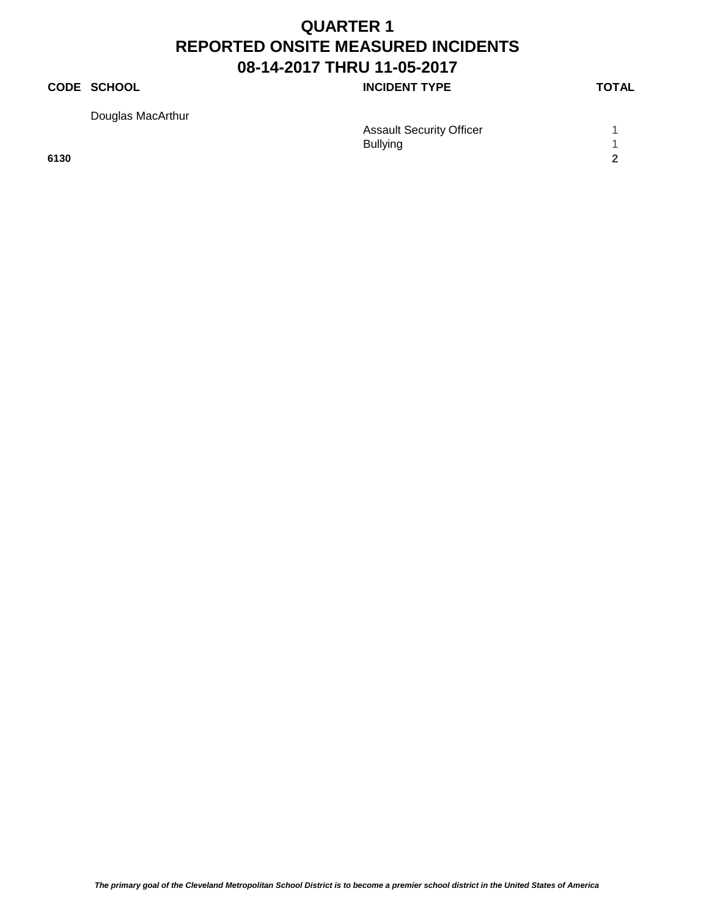### **CODE SCHOOL CODE SCHOOL INCIDENT TYPE TOTAL**

Douglas MacArthur

| Douglas MacArthur |                                 |  |
|-------------------|---------------------------------|--|
|                   | <b>Assault Security Officer</b> |  |
|                   | <b>Bullying</b>                 |  |
| 6130              |                                 |  |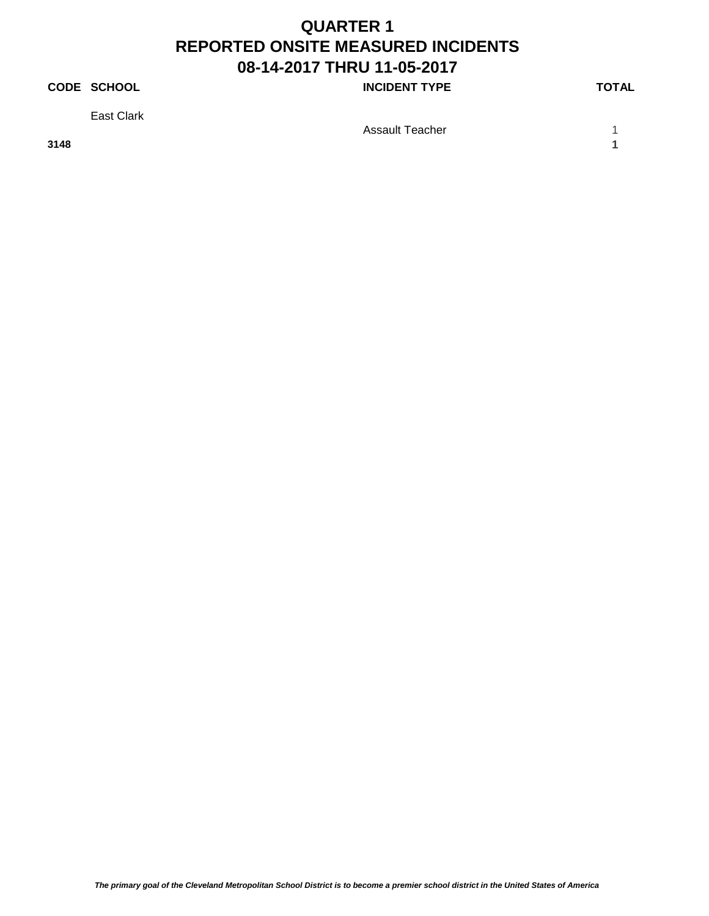### **CODE SCHOOL CODE SCHOOL INCIDENT TYPE TOTAL**

East Clark

**3148 1**

Assault Teacher 1 1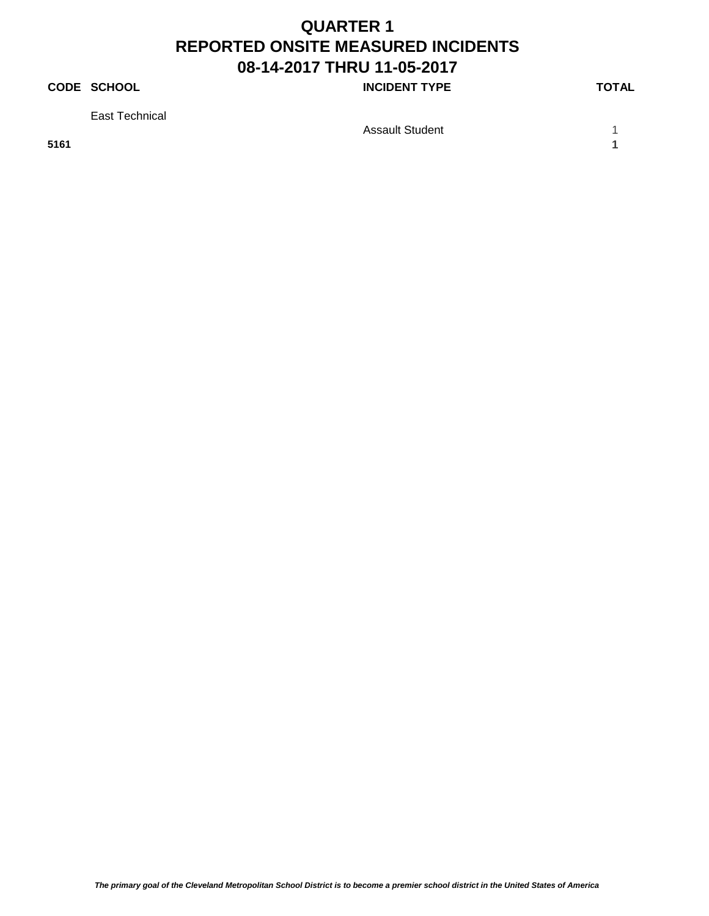### **CODE SCHOOL CODE SCHOOL INCIDENT TYPE TOTAL**

East Technical

Assault Student 1 1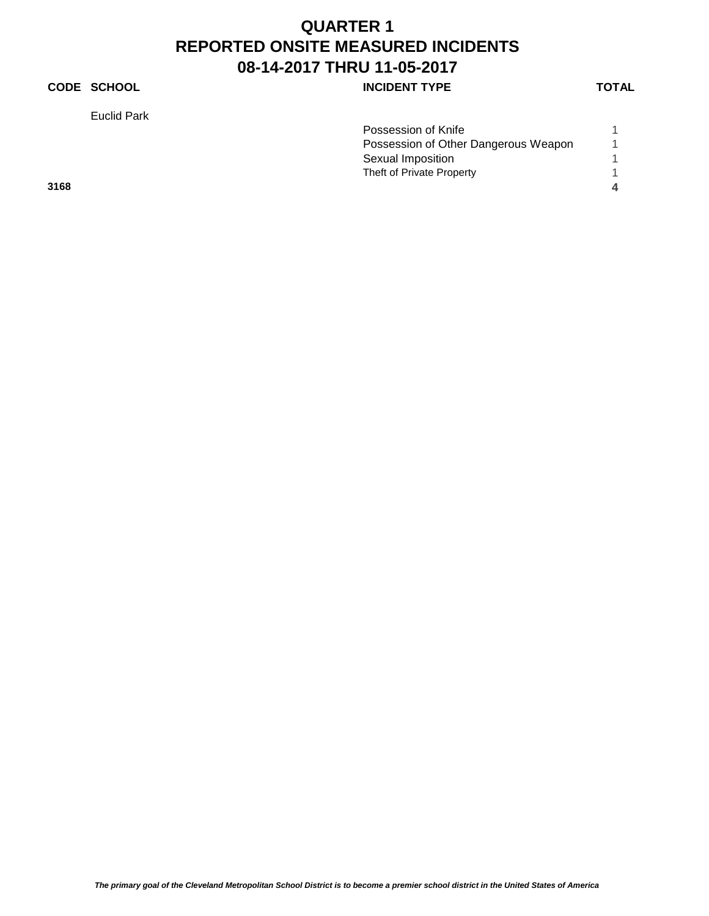### **CODE SCHOOL INCIDENT TYPE**

Euclid Park

| ٧ |  |
|---|--|
|   |  |

|      | Possession of Knife                  |  |
|------|--------------------------------------|--|
|      | Possession of Other Dangerous Weapon |  |
|      | Sexual Imposition                    |  |
|      | Theft of Private Property            |  |
| 3168 |                                      |  |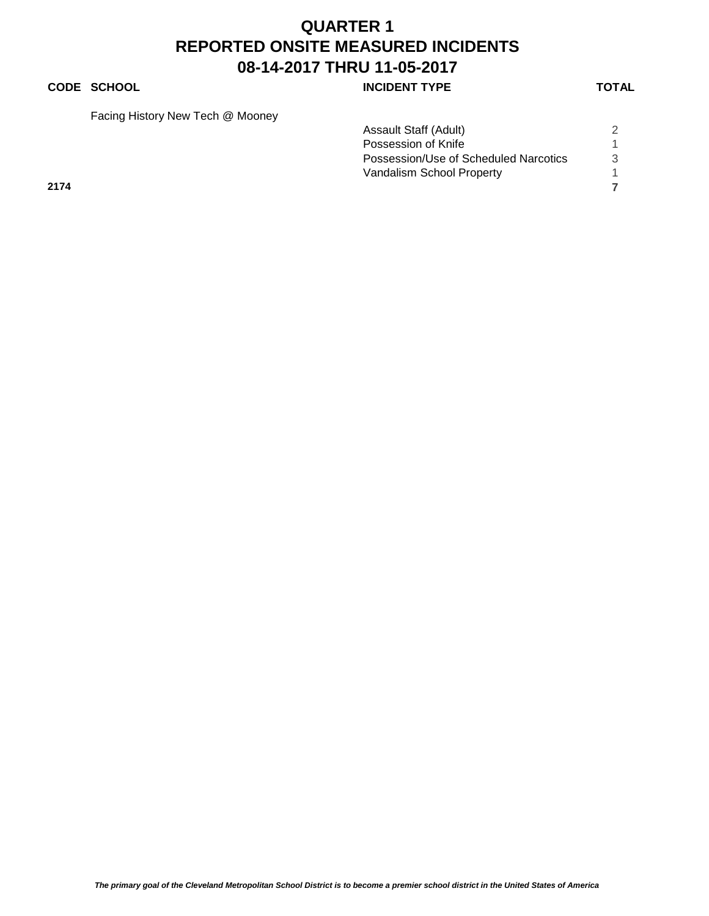#### **CODE SCHOOL CODE SCHOOL INCIDENT TYPE TOTAL**

Facing History New Tech @ Mooney

|      |  | Assault Staff (Adult)                 |  |
|------|--|---------------------------------------|--|
|      |  | Possession of Knife                   |  |
|      |  | Possession/Use of Scheduled Narcotics |  |
|      |  | Vandalism School Property             |  |
| 2174 |  |                                       |  |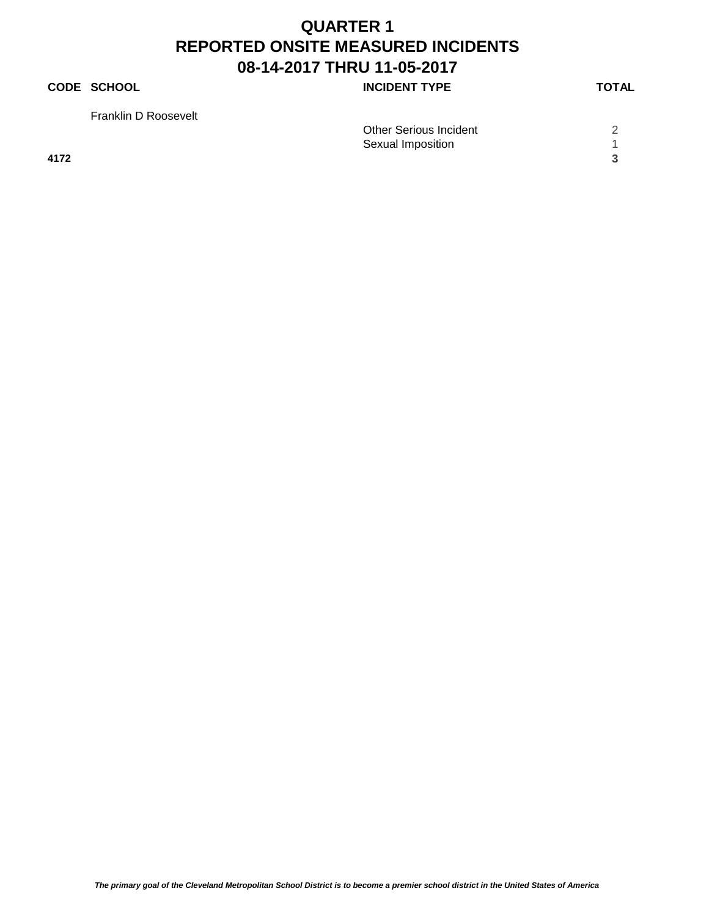### **CODE SCHOOL CODE SCHOOL INCIDENT TYPE TOTAL**

Franklin D Roosevelt

| <b>Other Serious Incident</b> |  |
|-------------------------------|--|

Sexual Imposition 1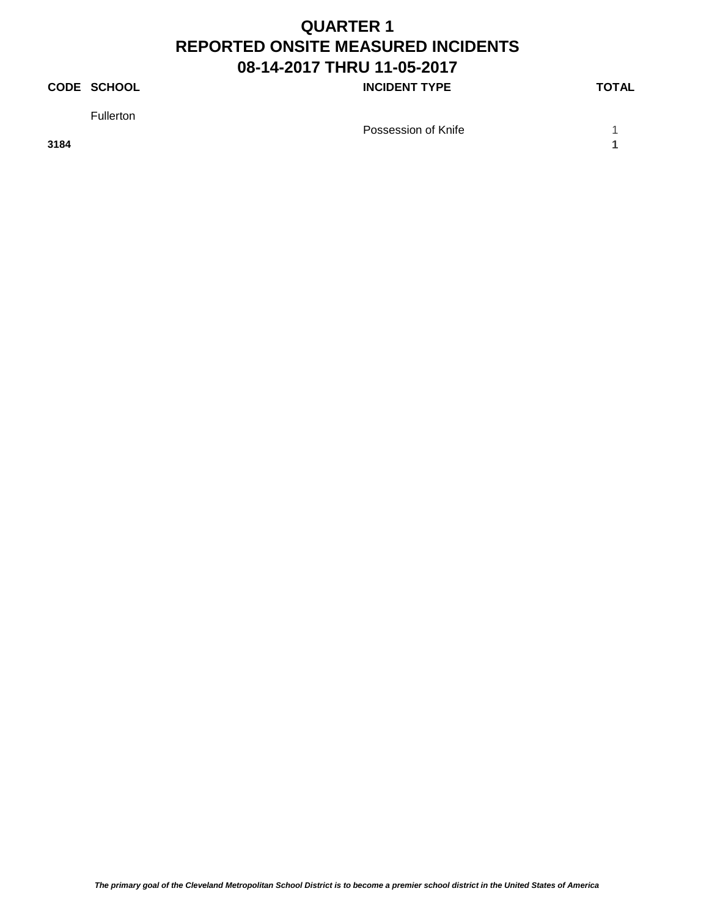### **CODE SCHOOL CODE SCHOOL INCIDENT TYPE TOTAL**

Fullerton

Possession of Knife 1 1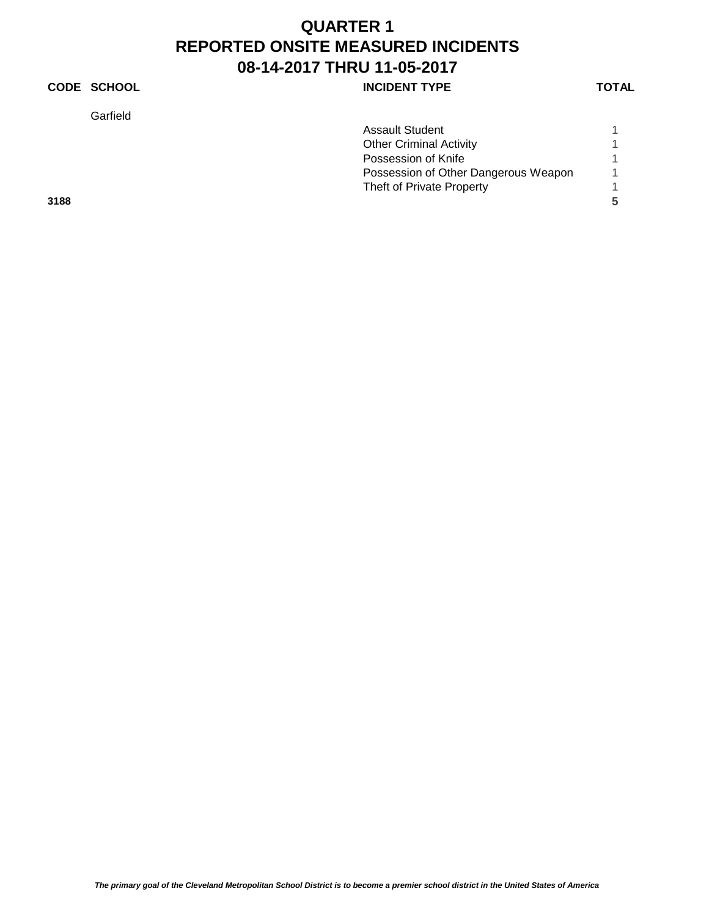### **CODE SCHOOL CODE SCHOOL INCIDENT TYPE TOTAL**

Garfield

| <b>Assault Student</b>               |  |
|--------------------------------------|--|
| <b>Other Criminal Activity</b>       |  |
| Possession of Knife                  |  |
| Possession of Other Dangerous Weapon |  |
| Theft of Private Property            |  |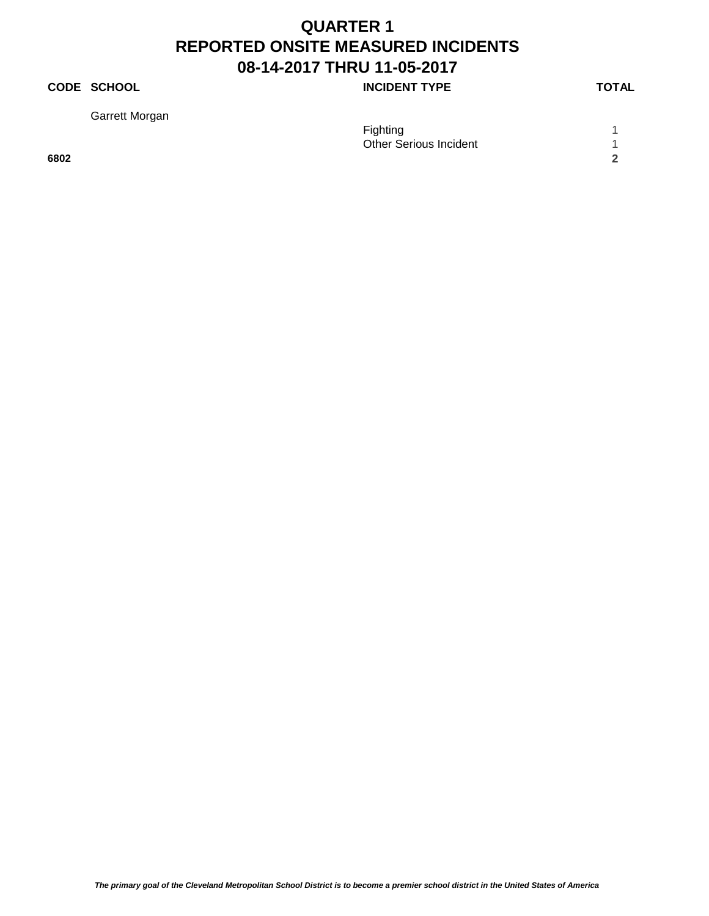### **CODE SCHOOL CODE SCHOOL INCIDENT TYPE TOTAL**

Garrett Morgan

| Garrett Morgan |                               |  |
|----------------|-------------------------------|--|
|                | <b>Fighting</b>               |  |
|                | <b>Other Serious Incident</b> |  |
| 6802           |                               |  |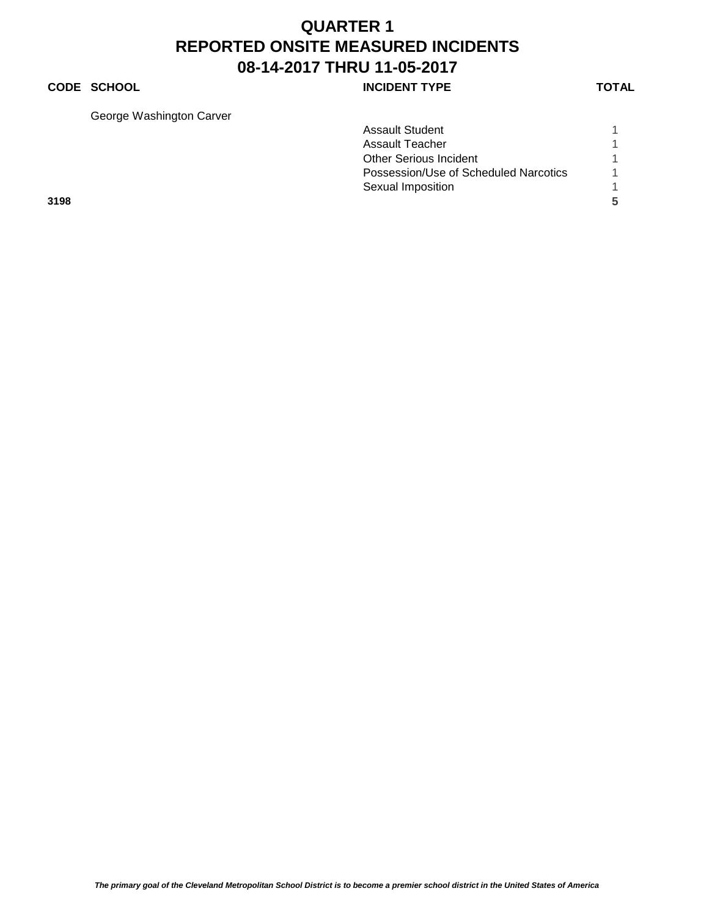#### **CODE SCHOOL CODE SCHOOL INCIDENT TYPE TOTAL**

George Washington Carver

| 3198                    |                                       | 5 |
|-------------------------|---------------------------------------|---|
|                         | Sexual Imposition                     |   |
|                         | Possession/Use of Scheduled Narcotics |   |
|                         | <b>Other Serious Incident</b>         |   |
|                         | Assault Teacher                       |   |
|                         | <b>Assault Student</b>                |   |
| OUUUU VYASHIILUUU VAIVU |                                       |   |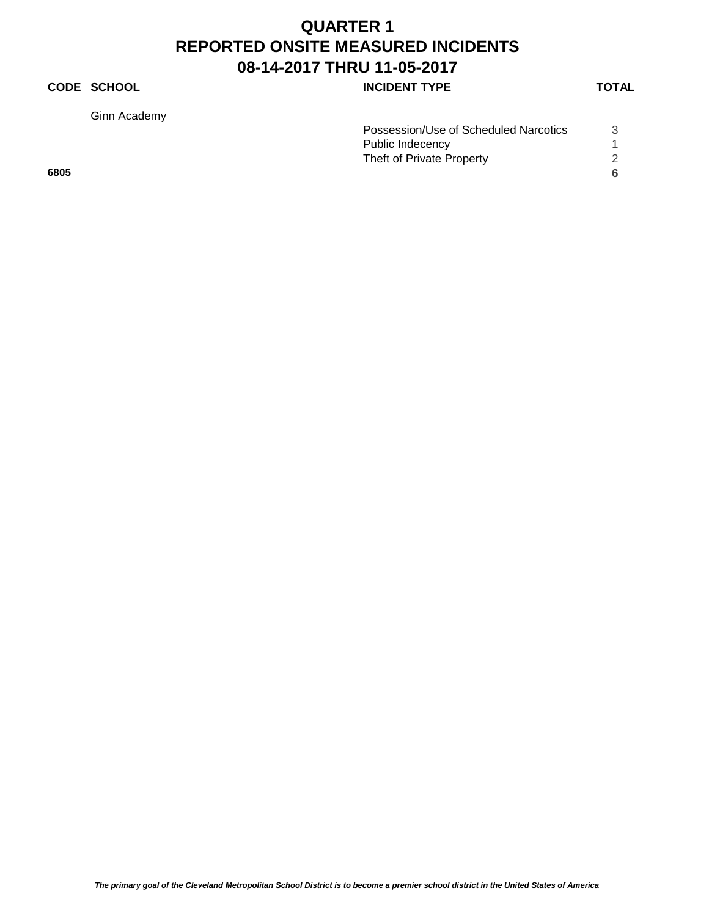### **CODE SCHOOL INCIDENT TYPE**

Ginn Academy

|      | Possession/Use of Scheduled Narcotics |  |
|------|---------------------------------------|--|
|      | Public Indecency                      |  |
|      | Theft of Private Property             |  |
| 6805 |                                       |  |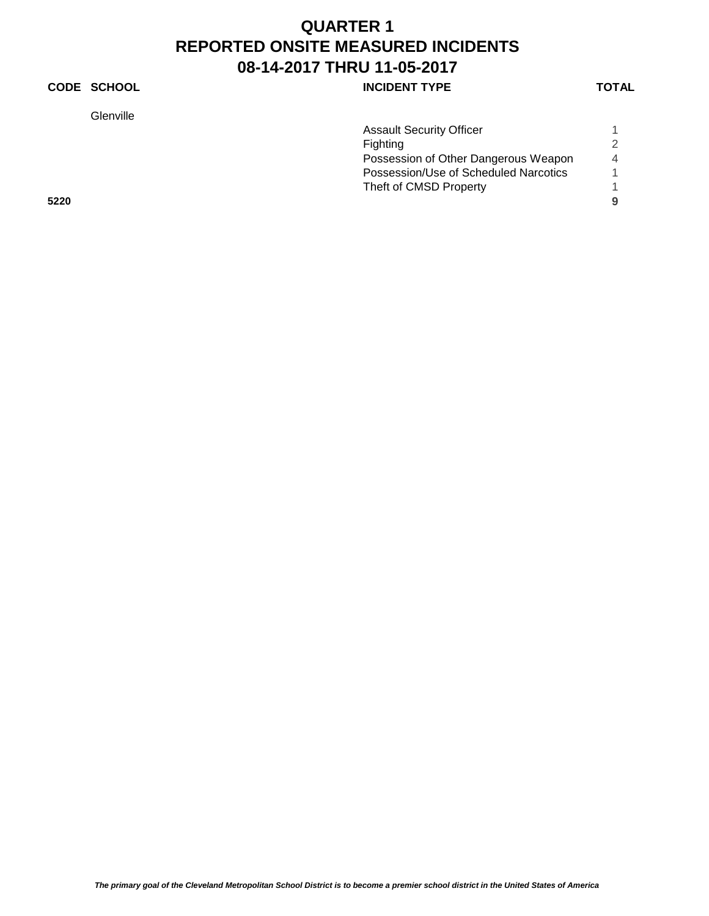#### **CODE SCHOOL CODE SCHOOL INCIDENT TYPE TOTAL**

Glenville

| Glenville |                                       |                |
|-----------|---------------------------------------|----------------|
|           | <b>Assault Security Officer</b>       |                |
|           | Fighting                              |                |
|           | Possession of Other Dangerous Weapon  | $\overline{4}$ |
|           | Possession/Use of Scheduled Narcotics |                |
|           | Theft of CMSD Property                |                |
| 5220      |                                       | 9              |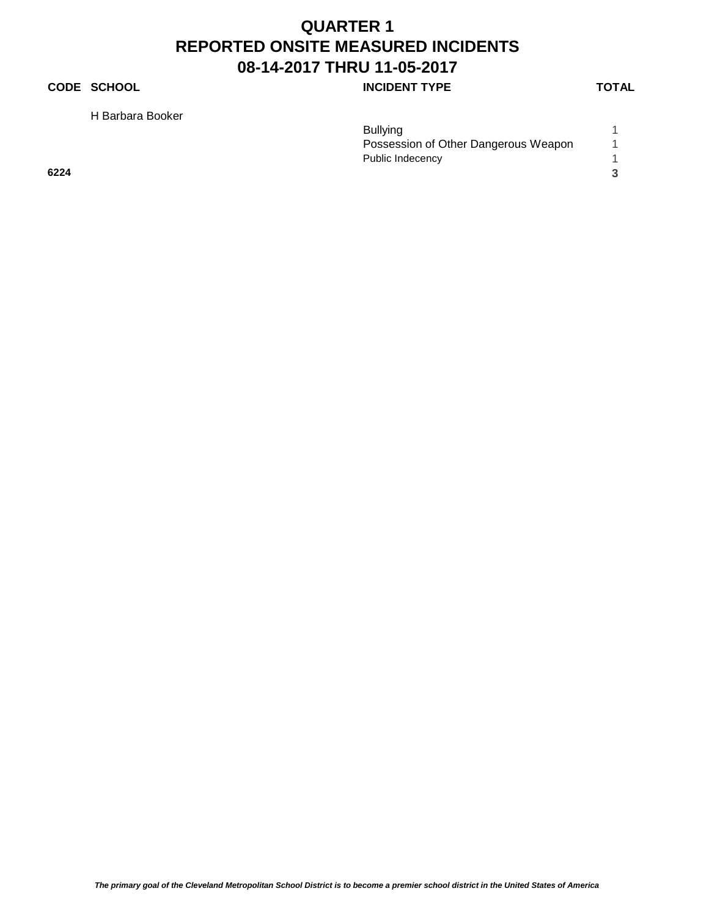### **CODE SCHOOL CODE SCHOOL INCIDENT TYPE TOTAL**

H Barbara Booker

|      | <b>Bullying</b>                      |  |
|------|--------------------------------------|--|
|      | Possession of Other Dangerous Weapon |  |
|      | Public Indecency                     |  |
| 6224 |                                      |  |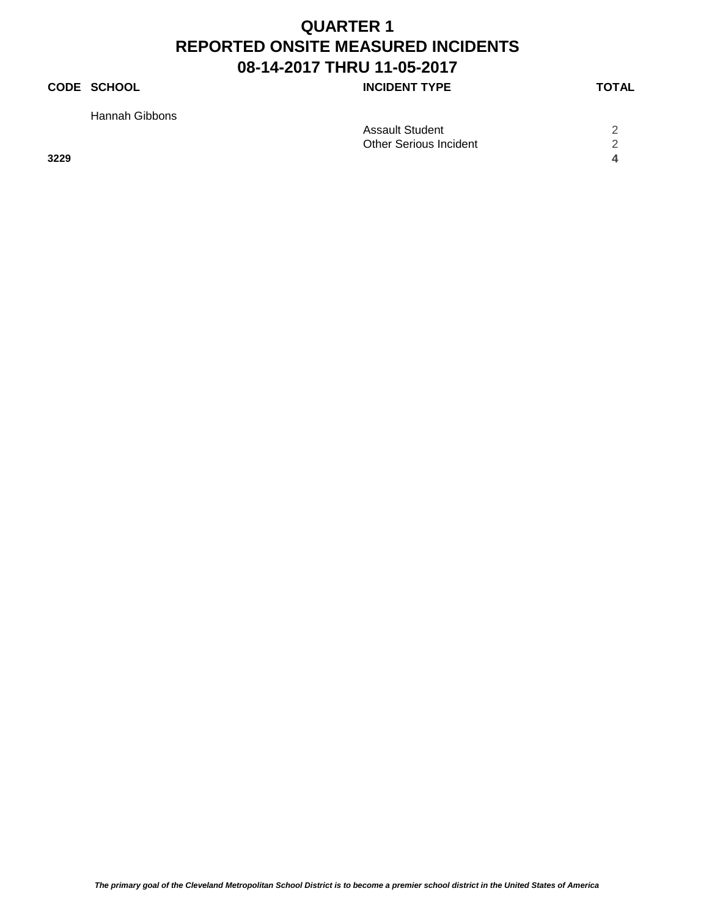### **CODE SCHOOL CODE SCHOOL INCIDENT TYPE TOTAL**

Hannah Gibbons

|      | <b>Assault Student</b> | ⌒ |
|------|------------------------|---|
|      | Other Serious Incident |   |
| 3229 |                        |   |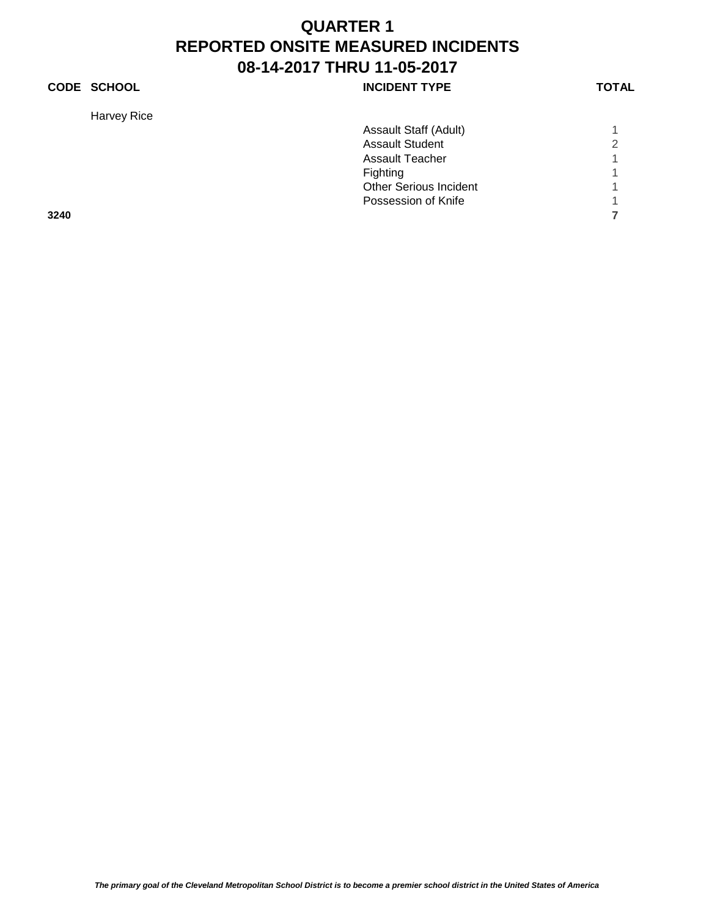Harvey Rice

| <b>CODE SCHOOL</b> | <b>INCIDENT TYPE</b> | <b>TOTAL</b> |
|--------------------|----------------------|--------------|
|                    |                      |              |

|      | Assault Staff (Adult)         |   |
|------|-------------------------------|---|
|      | <b>Assault Student</b>        | 2 |
|      | <b>Assault Teacher</b>        |   |
|      | <b>Fighting</b>               | 1 |
|      | <b>Other Serious Incident</b> |   |
|      | Possession of Knife           |   |
| 3240 |                               |   |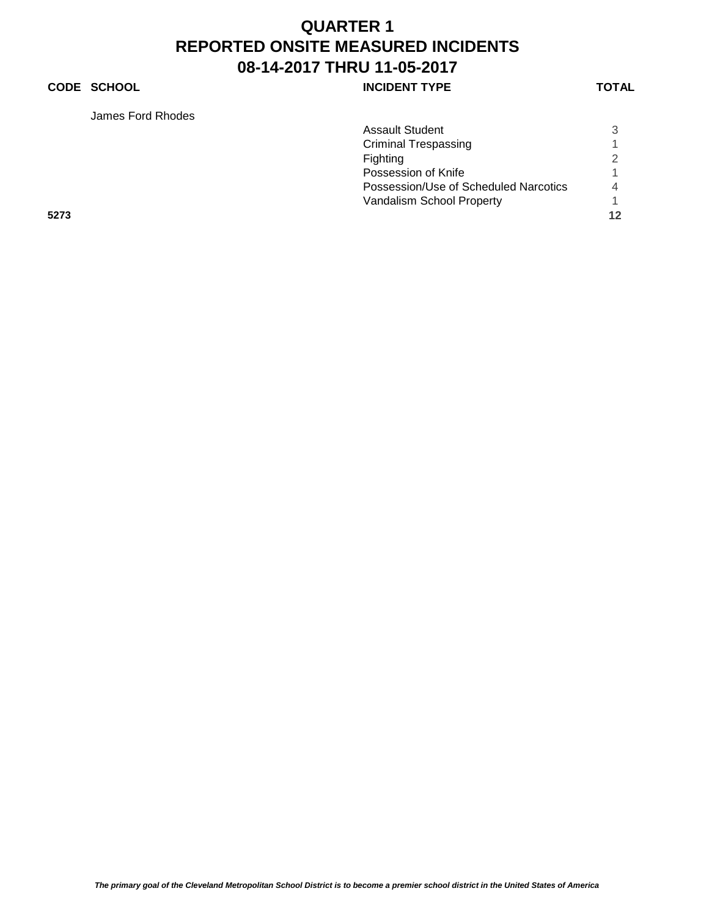### **CODE SCHOOL CODE SCHOOL INCIDENT TYPE TOTAL**

James Ford Rhodes

|      | James Ford Rhodes |                                       |                |
|------|-------------------|---------------------------------------|----------------|
|      |                   | <b>Assault Student</b>                | 3              |
|      |                   | <b>Criminal Trespassing</b>           |                |
|      |                   | Fighting                              |                |
|      |                   | Possession of Knife                   |                |
|      |                   | Possession/Use of Scheduled Narcotics | $\overline{4}$ |
|      |                   | Vandalism School Property             |                |
| 5273 |                   |                                       | 12             |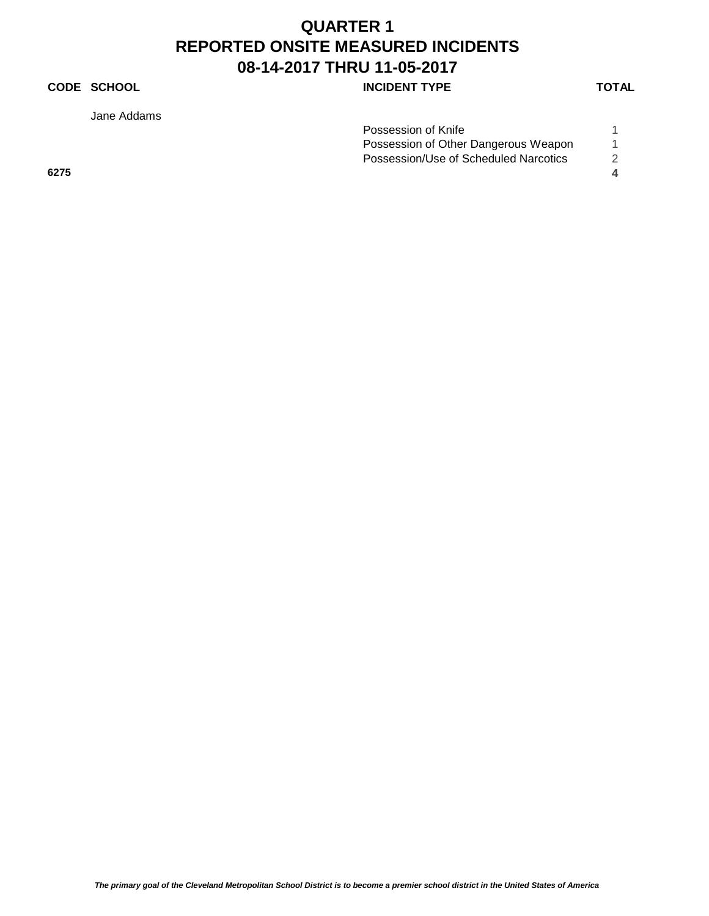## **CODE SCHOOL CODE SCHOOL INCIDENT TYPE TOTAL**

Jane Addams

|      | Possession of Knife                   |  |
|------|---------------------------------------|--|
|      | Possession of Other Dangerous Weapon  |  |
|      | Possession/Use of Scheduled Narcotics |  |
| 6275 |                                       |  |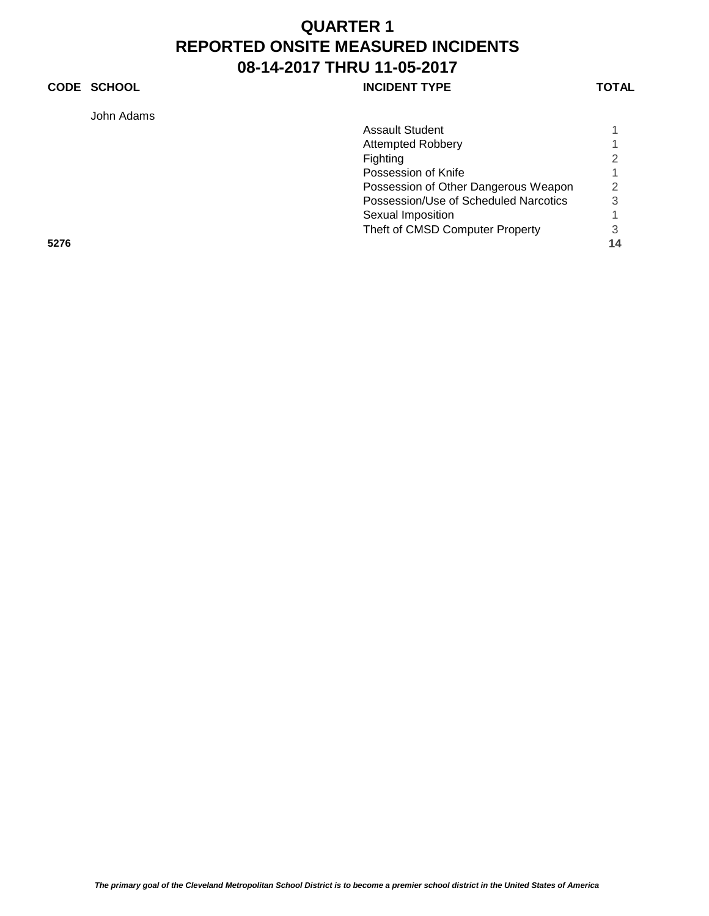## **CODE SCHOOL CODE SCHOOL INCIDENT TYPE TOTAL**

John Adams

| John Adams |                                       |    |
|------------|---------------------------------------|----|
|            | <b>Assault Student</b>                |    |
|            | <b>Attempted Robbery</b>              |    |
|            | Fighting                              |    |
|            | Possession of Knife                   |    |
|            | Possession of Other Dangerous Weapon  | 2  |
|            | Possession/Use of Scheduled Narcotics | 3  |
|            | Sexual Imposition                     |    |
|            | Theft of CMSD Computer Property       | З  |
| 5276       |                                       | 14 |
|            |                                       |    |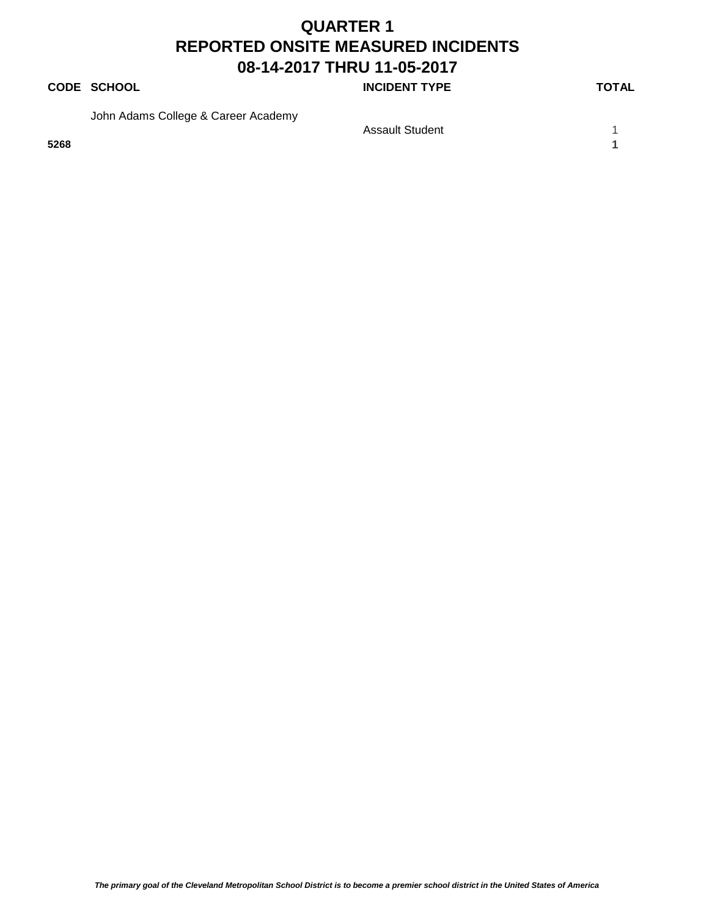#### **CODE SCHOOL CODE SCHOOL INCIDENT TYPE TOTAL**

John Adams College & Career Academy

**5268 1**

Assault Student 1 1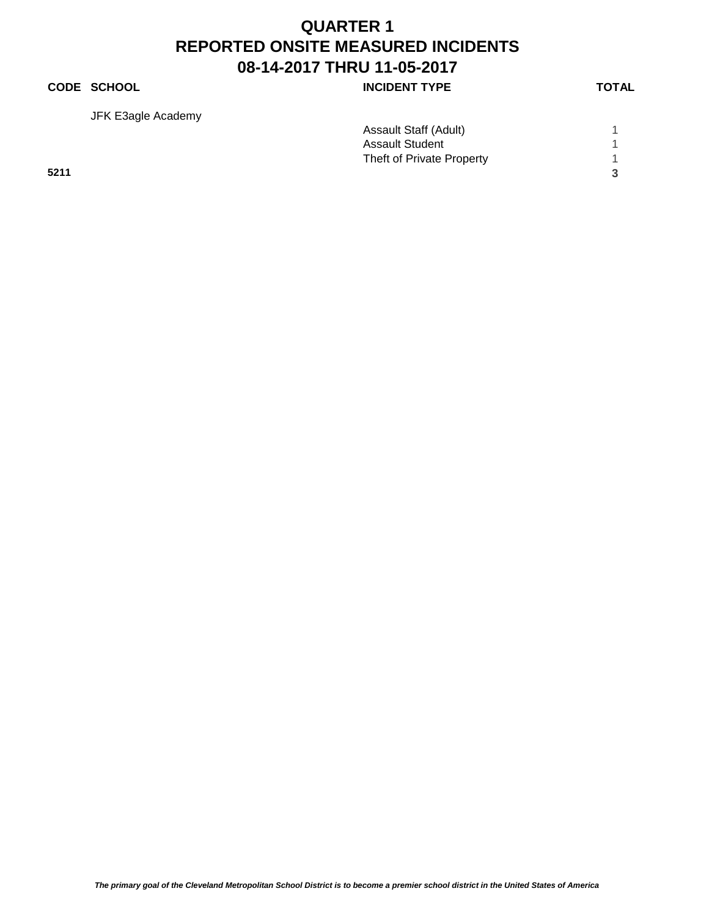#### **CODE SCHOOL INCIDENT TYPE**

JFK E3agle Academy

| ۰. |
|----|
|    |

|      | <b>Assault Staff (Adult)</b> |  |
|------|------------------------------|--|
|      | <b>Assault Student</b>       |  |
|      | Theft of Private Property    |  |
| 5211 |                              |  |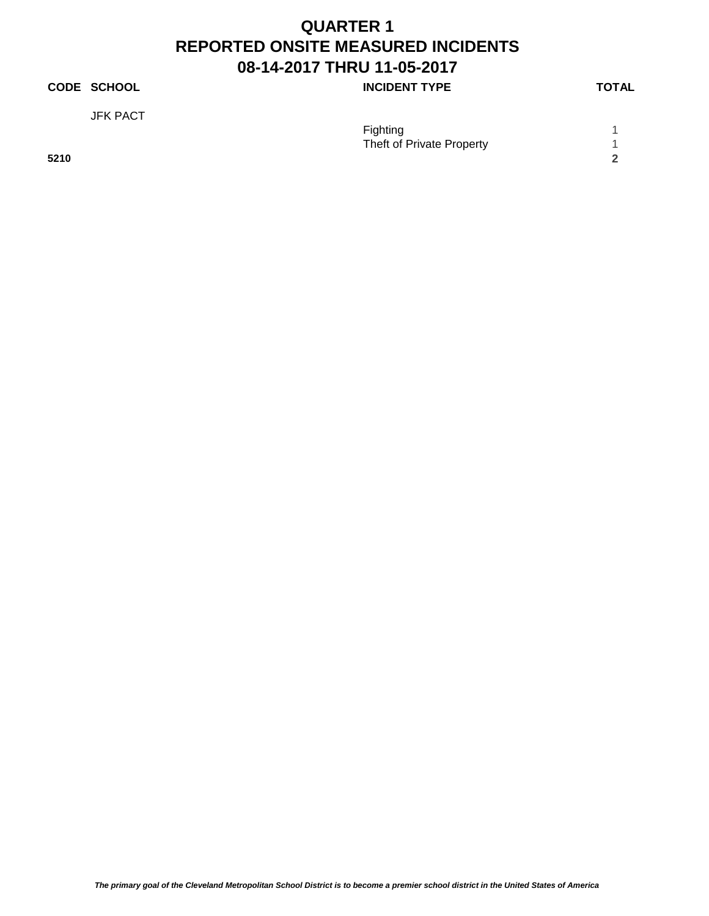#### **CODE SCHOOL CODE SCHOOL INCIDENT TYPE TOTAL**

JFK PACT

|      | <b>Fighting</b>           |  |
|------|---------------------------|--|
|      | Theft of Private Property |  |
| 5210 |                           |  |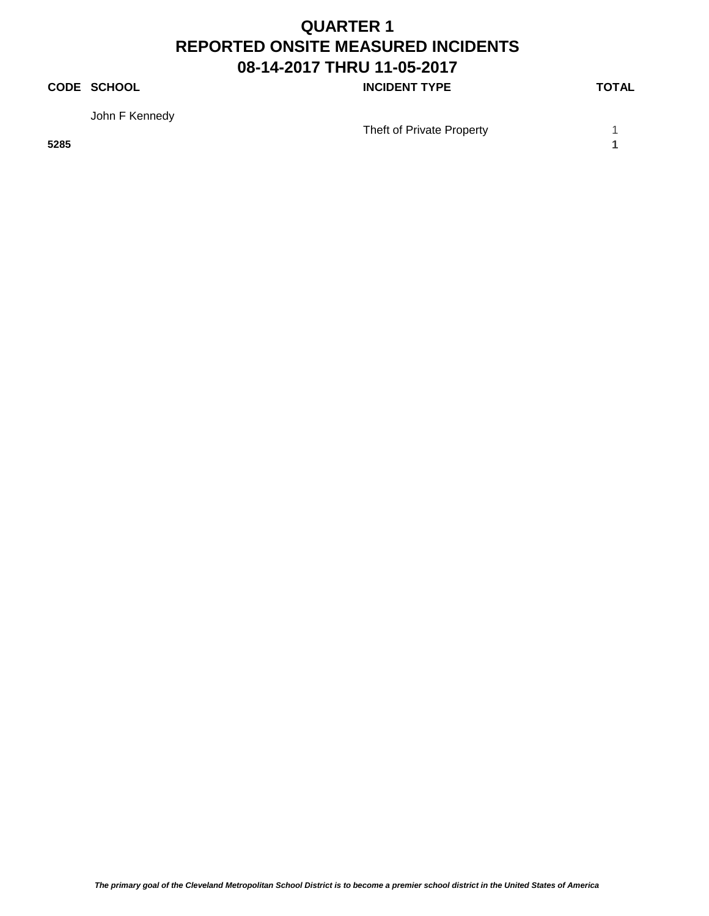### **CODE SCHOOL CODE SCHOOL INCIDENT TYPE TOTAL**

John F Kennedy

Theft of Private Property 1

**5285 1**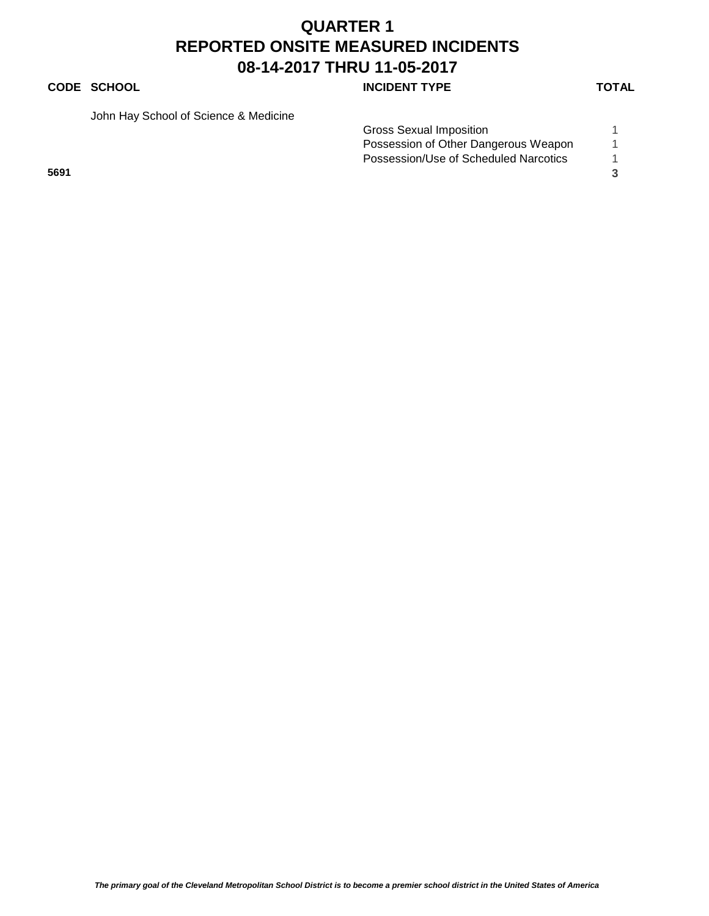## **CODE SCHOOL CODE SCHOOL INCIDENT TYPE TOTAL**

John Hay School of Science & Medicine

|      | Gross Sexual Imposition               |  |
|------|---------------------------------------|--|
|      | Possession of Other Dangerous Weapon  |  |
|      | Possession/Use of Scheduled Narcotics |  |
| 5691 |                                       |  |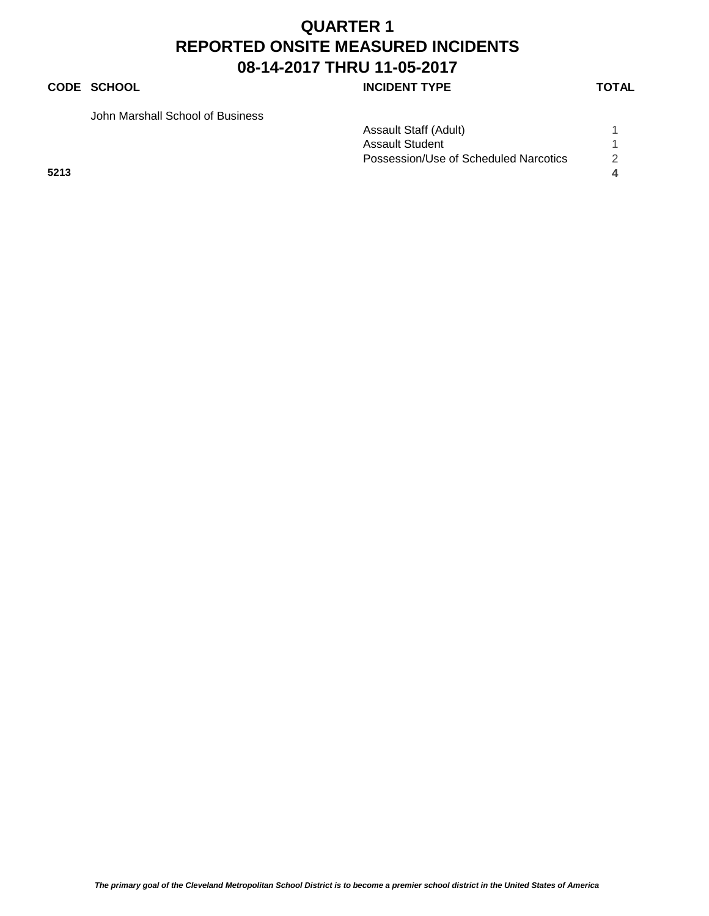## **QUARTER 1 REPORTED ONSITE MEASURED INCIDENTS 08-14-2017 THRU 11-05-2017 CODE SCHOOL CODE SCHOOL**

John Marshall School of Business

|  | IUIAL |  |  |
|--|-------|--|--|
|  |       |  |  |
|  |       |  |  |

|      | Assault Staff (Adult)                 |                  |
|------|---------------------------------------|------------------|
|      | <b>Assault Student</b>                |                  |
|      | Possession/Use of Scheduled Narcotics |                  |
| 5213 |                                       | $\blacktriangle$ |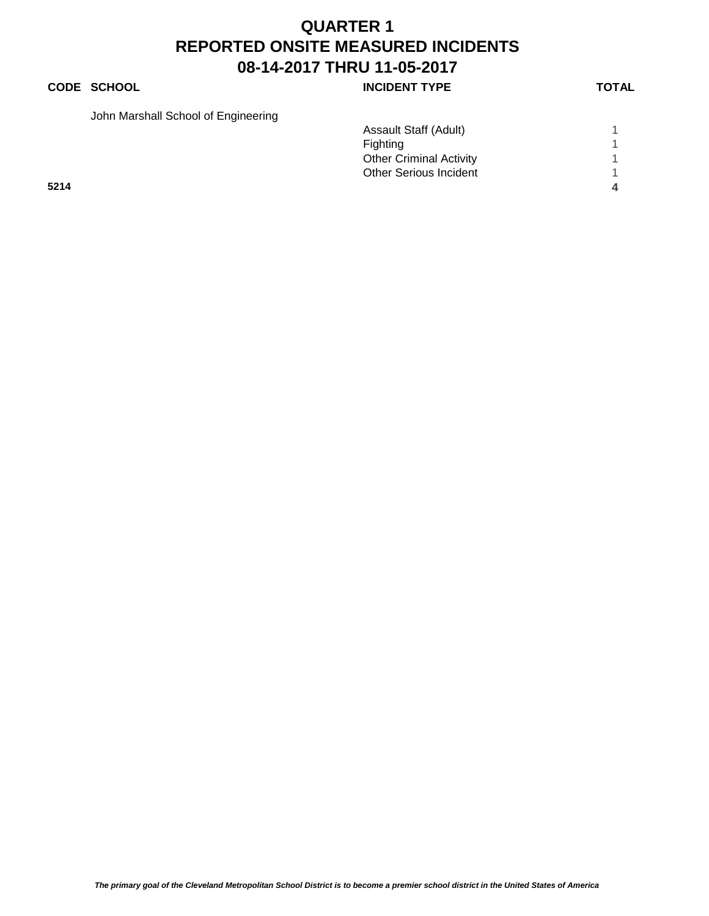## **CODE SCHOOL CODE SCHOOL INCIDENT TYPE TOTAL**

| John Marshall School of Engineering |  |
|-------------------------------------|--|
|-------------------------------------|--|

|      | Assault Staff (Adult)          |  |
|------|--------------------------------|--|
|      | Fighting                       |  |
|      | <b>Other Criminal Activity</b> |  |
|      | <b>Other Serious Incident</b>  |  |
| 5214 |                                |  |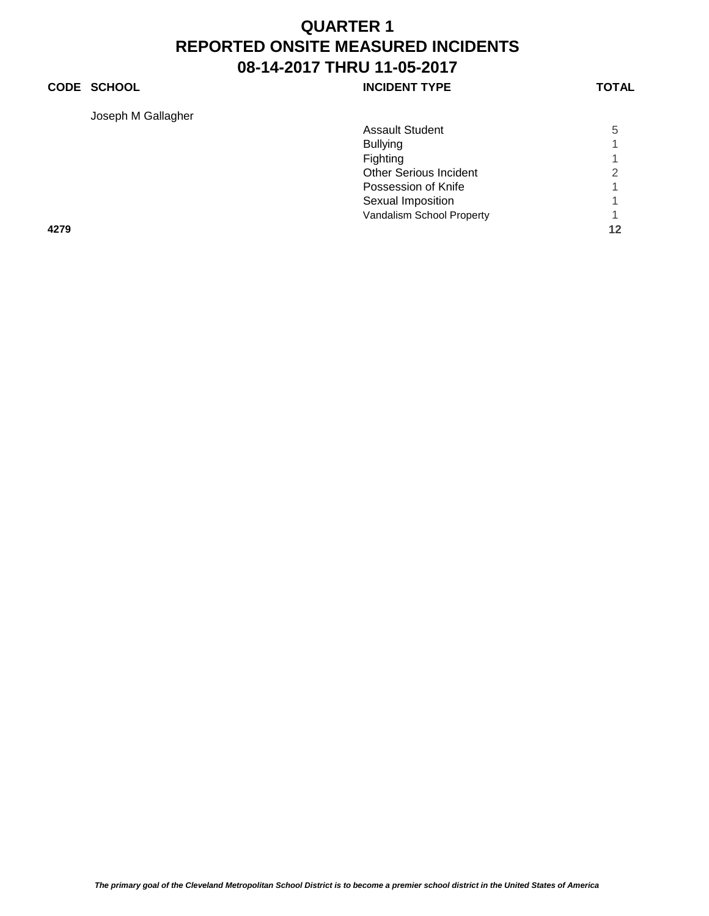#### **CODE SCHOOL CODE SCHOOL INCIDENT TYPE TOTAL**

Joseph M Gallagher

| Joseph M Gallagher |                               |    |
|--------------------|-------------------------------|----|
|                    | <b>Assault Student</b>        | 5  |
|                    | <b>Bullying</b>               | 1  |
|                    | Fighting                      |    |
|                    | <b>Other Serious Incident</b> | 2  |
|                    | Possession of Knife           | 4  |
|                    | Sexual Imposition             |    |
|                    | Vandalism School Property     |    |
| 4279               |                               | 12 |
|                    |                               |    |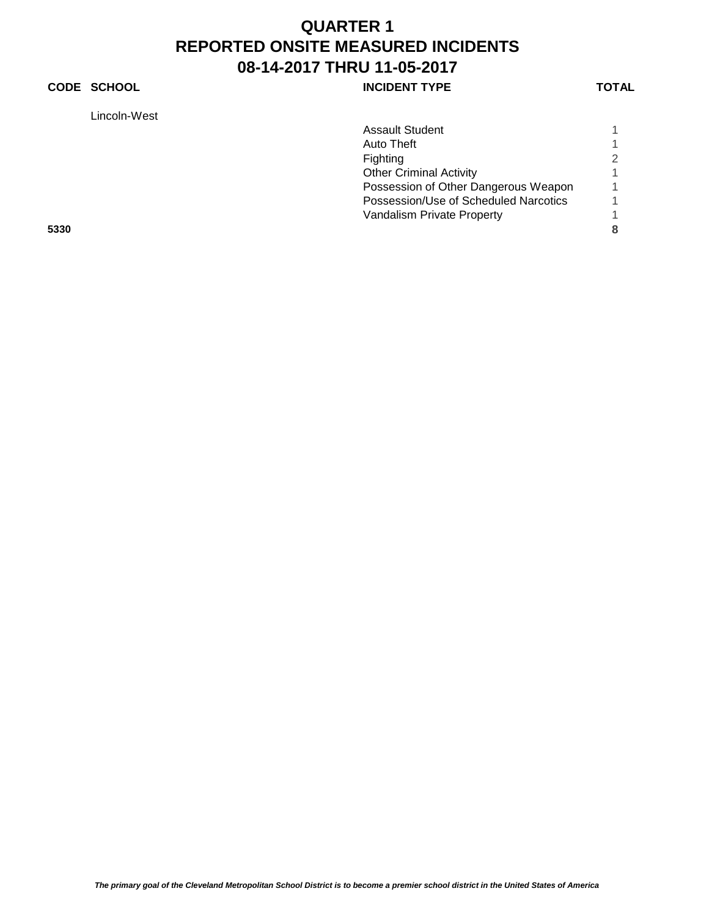## **CODE SCHOOL CODE SCHOOL INCIDENT TYPE TOTAL**

Lincoln-West

|      | Lincoln-West |                                       |   |
|------|--------------|---------------------------------------|---|
|      |              | <b>Assault Student</b>                |   |
|      |              | Auto Theft                            |   |
|      |              | Fighting                              | 2 |
|      |              | <b>Other Criminal Activity</b>        |   |
|      |              | Possession of Other Dangerous Weapon  |   |
|      |              | Possession/Use of Scheduled Narcotics |   |
|      |              | Vandalism Private Property            |   |
| 5330 |              |                                       | 8 |
|      |              |                                       |   |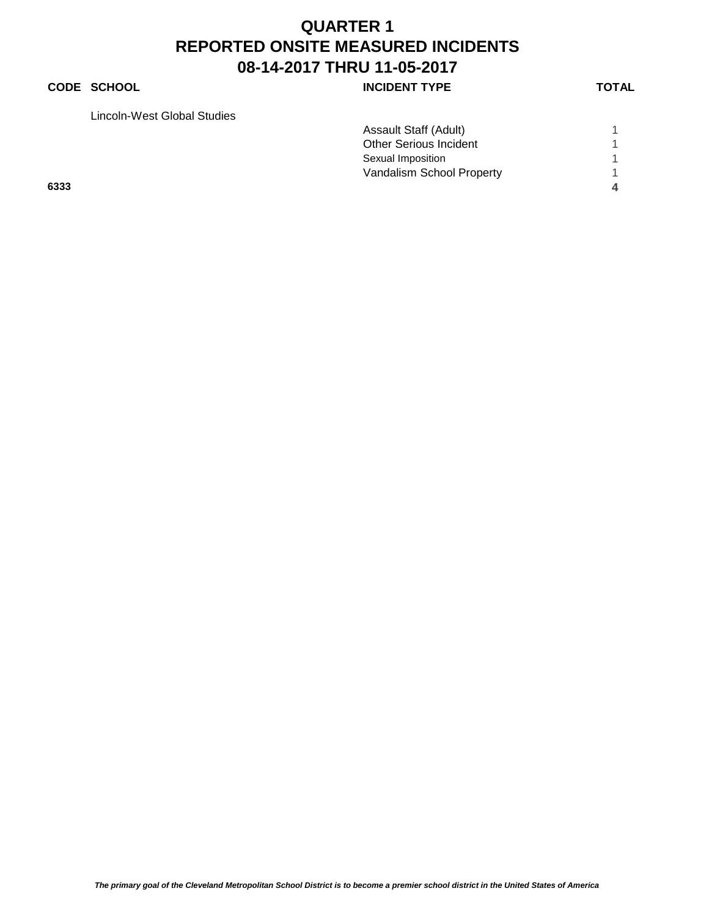### **CODE SCHOOL CODE SCHOOL INCIDENT TYPE TOTAL**

Lincoln-West Global Studies

|      | LINGUIN-VV EST QIODAI QUUIES |                               |  |
|------|------------------------------|-------------------------------|--|
|      |                              | Assault Staff (Adult)         |  |
|      |                              | <b>Other Serious Incident</b> |  |
|      |                              | Sexual Imposition             |  |
|      |                              | Vandalism School Property     |  |
| 6333 |                              |                               |  |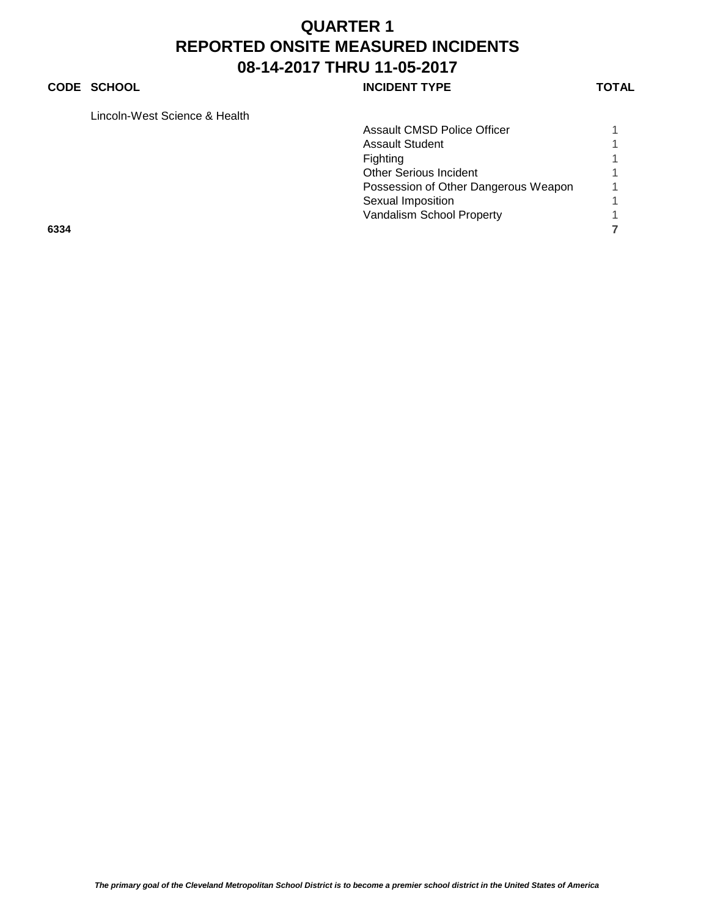#### **CODE SCHOOL CODE SCHOOL INCIDENT TYPE TOTAL**

Lincoln-West Science & Health

|      | Lincoin-vvest Science & Health |                                      |  |
|------|--------------------------------|--------------------------------------|--|
|      |                                | <b>Assault CMSD Police Officer</b>   |  |
|      |                                | <b>Assault Student</b>               |  |
|      |                                | Fighting                             |  |
|      |                                | <b>Other Serious Incident</b>        |  |
|      |                                | Possession of Other Dangerous Weapon |  |
|      |                                | Sexual Imposition                    |  |
|      |                                | Vandalism School Property            |  |
| 6334 |                                |                                      |  |
|      |                                |                                      |  |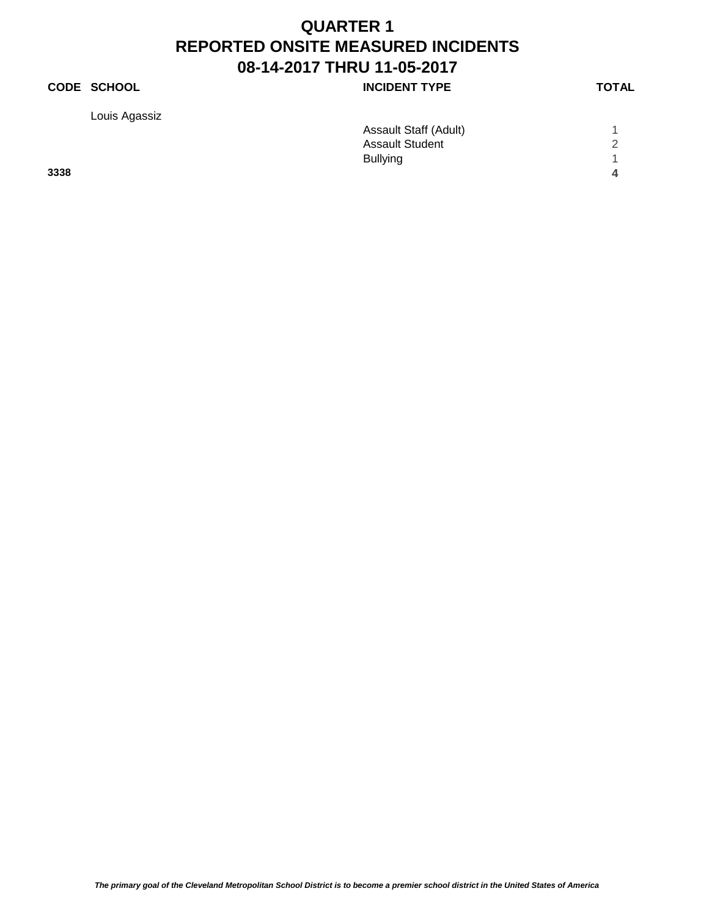## **CODE SCHOOL INCIDENT TYPE**

Louis Agassiz

| ×<br>٧ |  |
|--------|--|

| ີ    | Assault Staff (Adult)  |                |
|------|------------------------|----------------|
|      | <b>Assault Student</b> | 2              |
|      | <b>Bullying</b>        | $\overline{A}$ |
| 3338 |                        | 4              |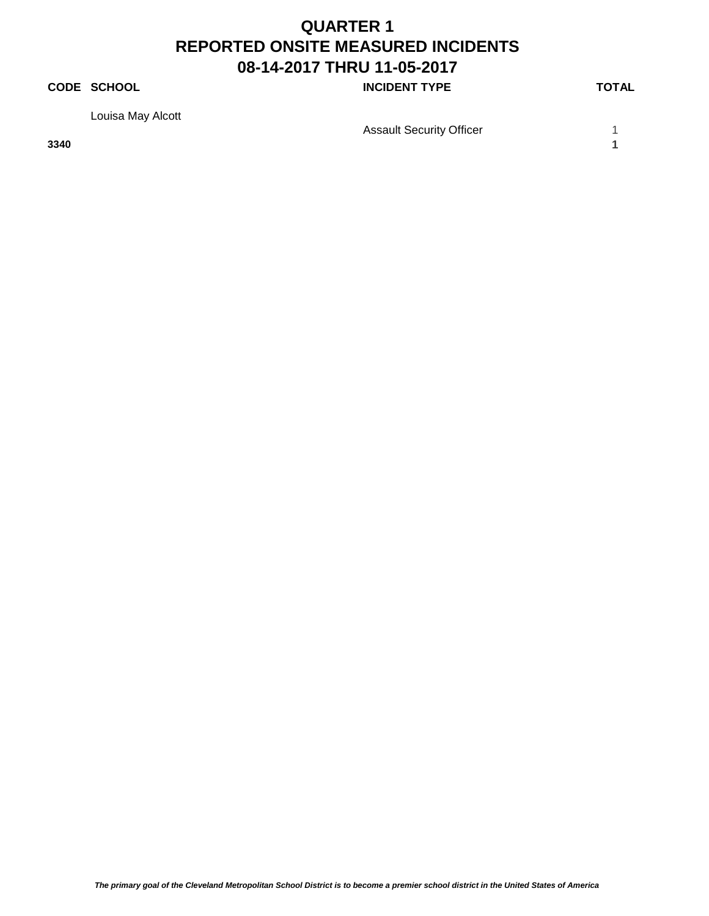### **CODE SCHOOL CODE SCHOOL INCIDENT TYPE TOTAL**

Louisa May Alcott

Assault Security Officer **1** 1

**3340 1**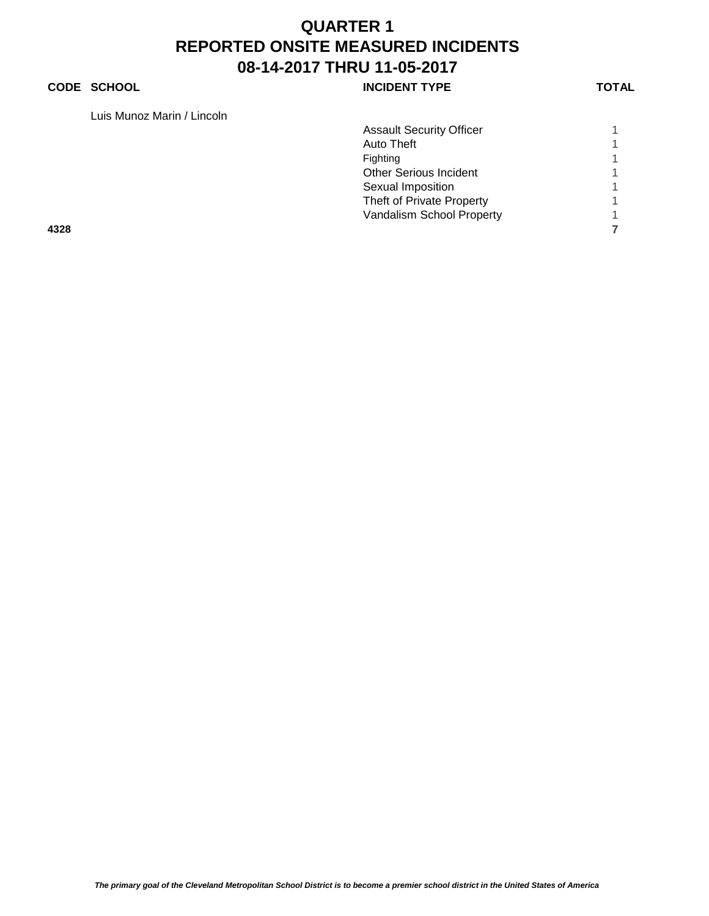#### **CODE SCHOOL CODE SCHOOL INCIDENT TYPE TOTAL**

Luis Munoz Marin / Lincoln

| Luis Munoz Marin / Lincoln |                                 |  |
|----------------------------|---------------------------------|--|
|                            | <b>Assault Security Officer</b> |  |
|                            | Auto Theft                      |  |
|                            | Fighting                        |  |
|                            | <b>Other Serious Incident</b>   |  |
|                            | Sexual Imposition               |  |
|                            | Theft of Private Property       |  |
|                            | Vandalism School Property       |  |
| 4328                       |                                 |  |
|                            |                                 |  |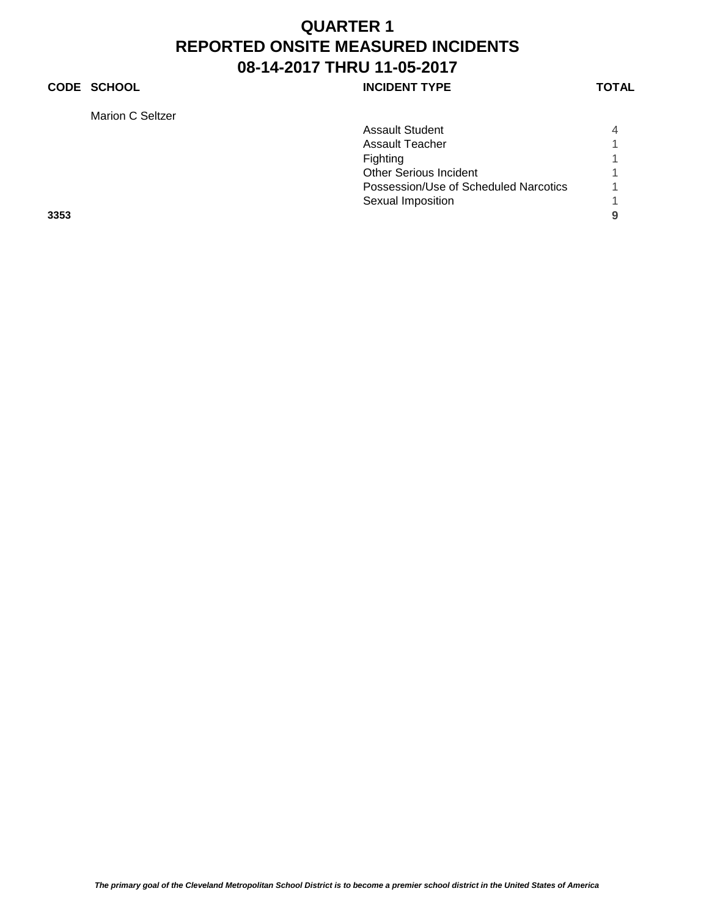### **CODE SCHOOL CODE SCHOOL INCIDENT TYPE TOTAL**

Marion C Seltzer

| Marion C Seltzer                      |                |
|---------------------------------------|----------------|
| <b>Assault Student</b>                | $\overline{4}$ |
| <b>Assault Teacher</b>                |                |
| Fighting                              |                |
| <b>Other Serious Incident</b>         |                |
| Possession/Use of Scheduled Narcotics |                |
| Sexual Imposition                     |                |
| 3353                                  | 9              |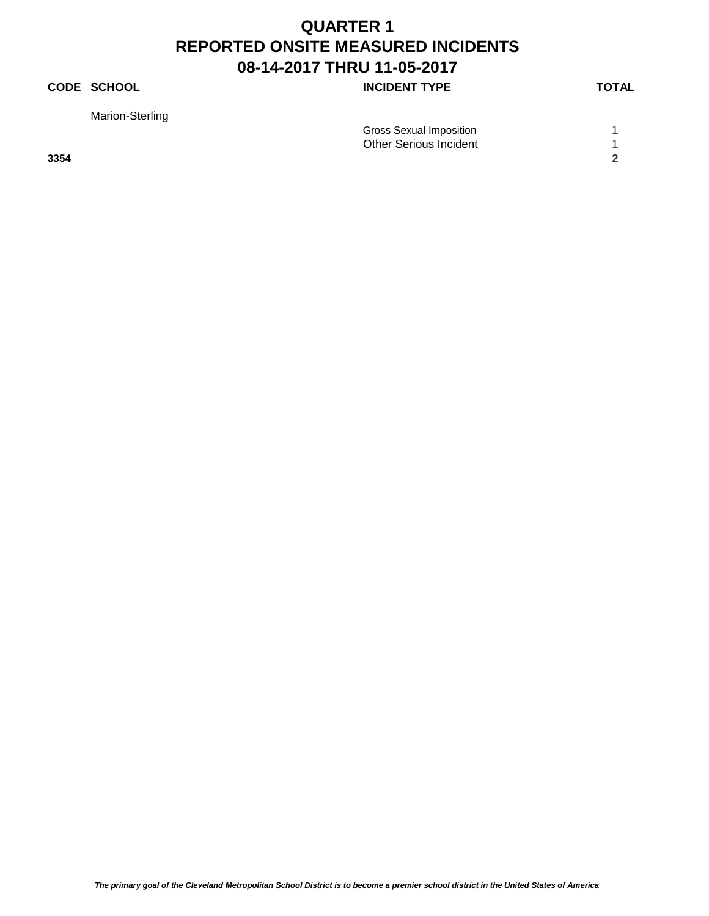## **CODE SCHOOL CODE SCHOOL INCIDENT TYPE TOTAL**

Marion-Sterling

|      | Gross Sexual Imposition       |  |
|------|-------------------------------|--|
|      | <b>Other Serious Incident</b> |  |
| 3354 |                               |  |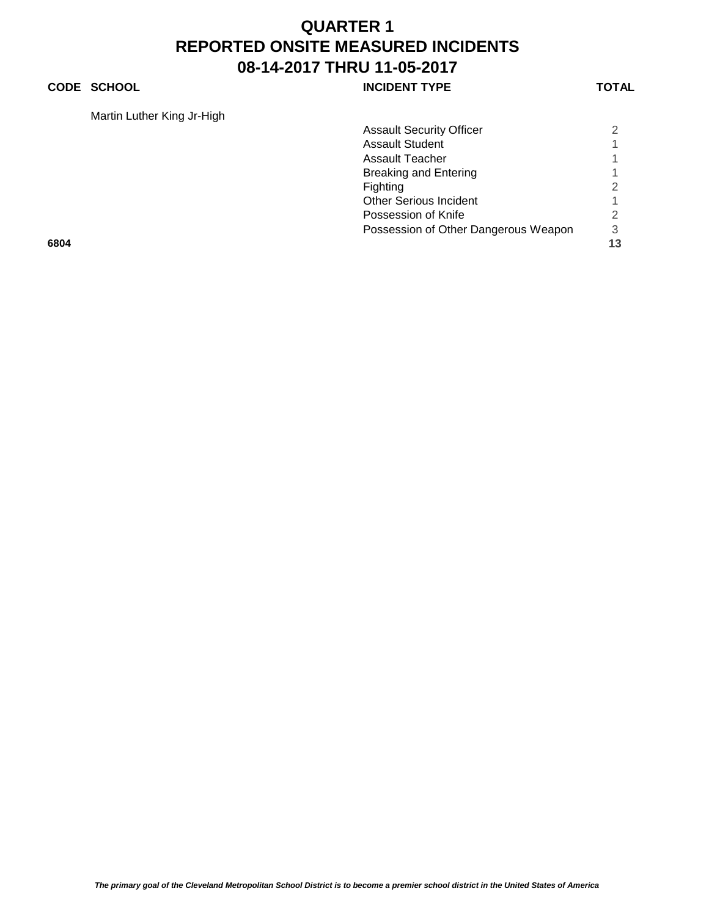#### **CODE SCHOOL CODE SCHOOL INCIDENT TYPE TOTAL**

Martin Luther King Jr-High

|      | Martin Luther King Ji-High |                                      |    |
|------|----------------------------|--------------------------------------|----|
|      |                            | <b>Assault Security Officer</b>      | 2  |
|      |                            | <b>Assault Student</b>               |    |
|      |                            | <b>Assault Teacher</b>               |    |
|      |                            | <b>Breaking and Entering</b>         |    |
|      |                            | Fighting                             | 2  |
|      |                            | <b>Other Serious Incident</b>        |    |
|      |                            | Possession of Knife                  | 2  |
|      |                            | Possession of Other Dangerous Weapon | 3  |
| 6804 |                            |                                      | 13 |
|      |                            |                                      |    |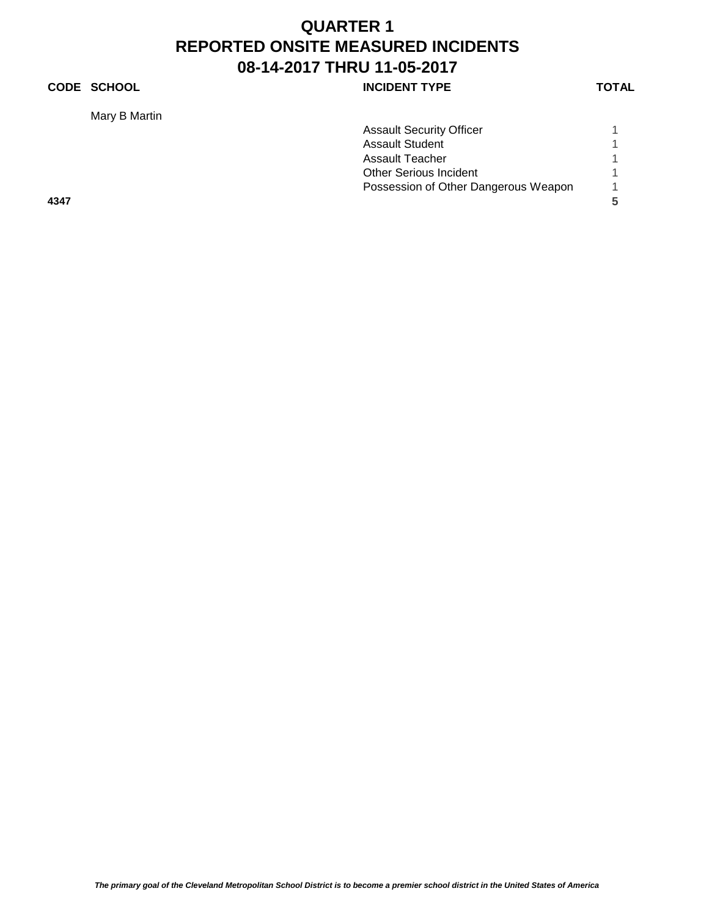## **CODE SCHOOL CODE SCHOOL INCIDENT TYPE TOTAL**

Mary B Martin

|      | Mary B Martin |                                      |   |
|------|---------------|--------------------------------------|---|
|      |               | <b>Assault Security Officer</b>      |   |
|      |               | <b>Assault Student</b>               |   |
|      |               | Assault Teacher                      |   |
|      |               | <b>Other Serious Incident</b>        |   |
|      |               | Possession of Other Dangerous Weapon |   |
| 4347 |               |                                      | 5 |
|      |               |                                      |   |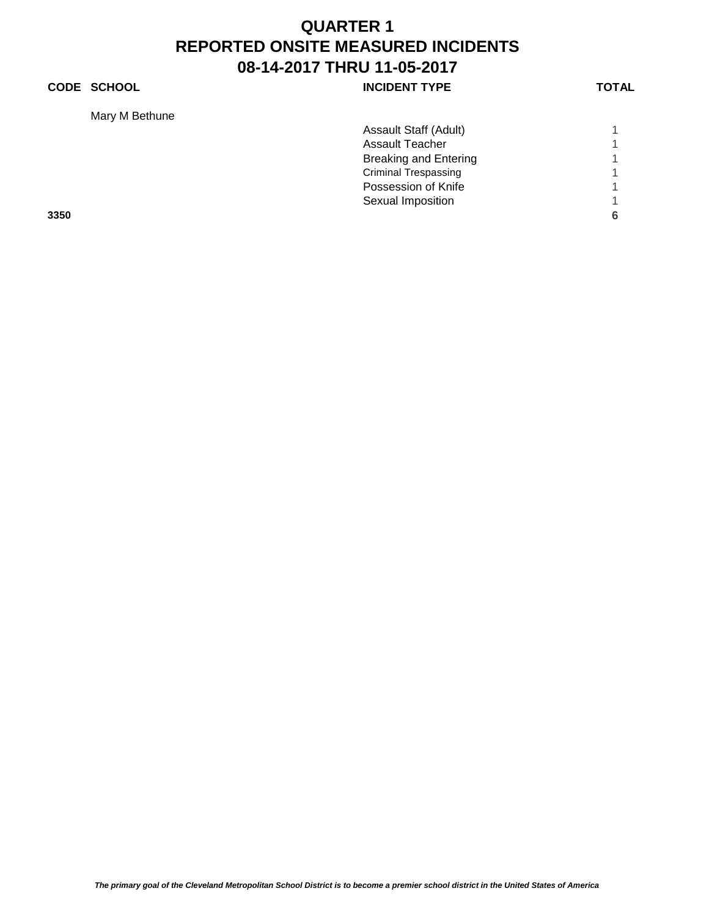## **CODE SCHOOL CODE SCHOOL INCIDENT TYPE TOTAL**

Mary M Bethune

| Mary M Bethune |                              |  |
|----------------|------------------------------|--|
|                | Assault Staff (Adult)        |  |
|                | <b>Assault Teacher</b>       |  |
|                | <b>Breaking and Entering</b> |  |
|                | <b>Criminal Trespassing</b>  |  |
|                | Possession of Knife          |  |
|                | Sexual Imposition            |  |
| 3350           |                              |  |
|                |                              |  |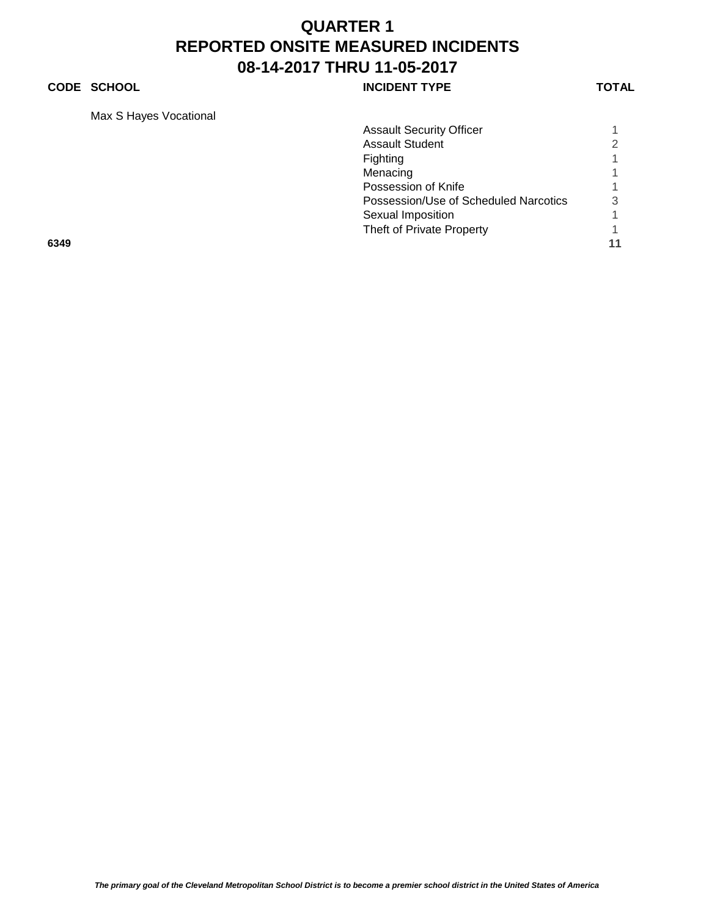#### **CODE SCHOOL CODE SCHOOL INCIDENT TYPE TOTAL**

Max S Hayes Vocational

| Max 5 Hayes vocational |                                       |   |
|------------------------|---------------------------------------|---|
|                        | <b>Assault Security Officer</b>       |   |
|                        | <b>Assault Student</b>                | 2 |
|                        | Fighting                              |   |
|                        | Menacing                              |   |
|                        | Possession of Knife                   |   |
|                        | Possession/Use of Scheduled Narcotics | 3 |
|                        | Sexual Imposition                     |   |
|                        | Theft of Private Property             |   |
| 6349                   |                                       |   |
|                        |                                       |   |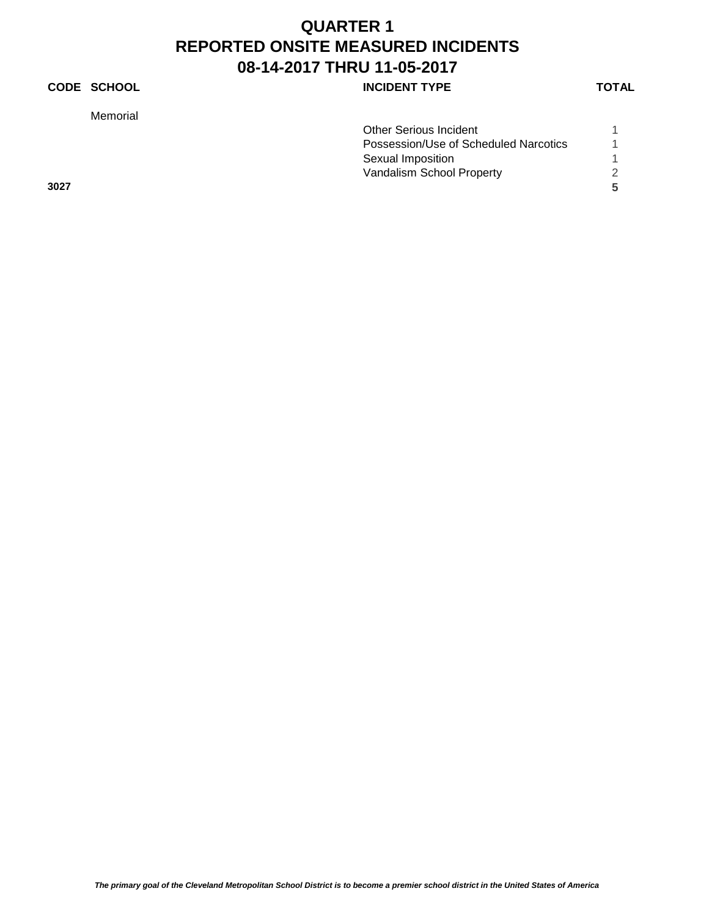## **CODE SCHOOL INCIDENT TYPE**

Memorial

|      | <b>Other Serious Incident</b>         |               |
|------|---------------------------------------|---------------|
|      | Possession/Use of Scheduled Narcotics |               |
|      | Sexual Imposition                     |               |
|      | Vandalism School Property             | $\mathcal{D}$ |
| 3027 |                                       |               |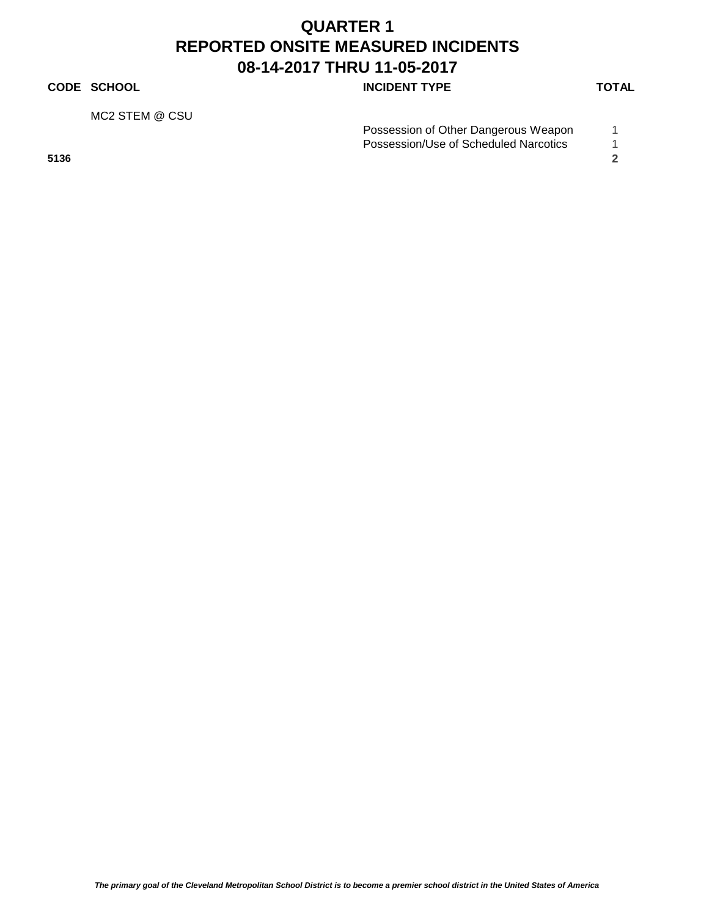#### **CODE SCHOOL CODE SCHOOL INCIDENT TYPE TOTAL**

MC2 STEM @ CSU

| Possession of Other Dangerous Weapon  |  |
|---------------------------------------|--|
| Possession/Use of Scheduled Narcotics |  |

**5136 2**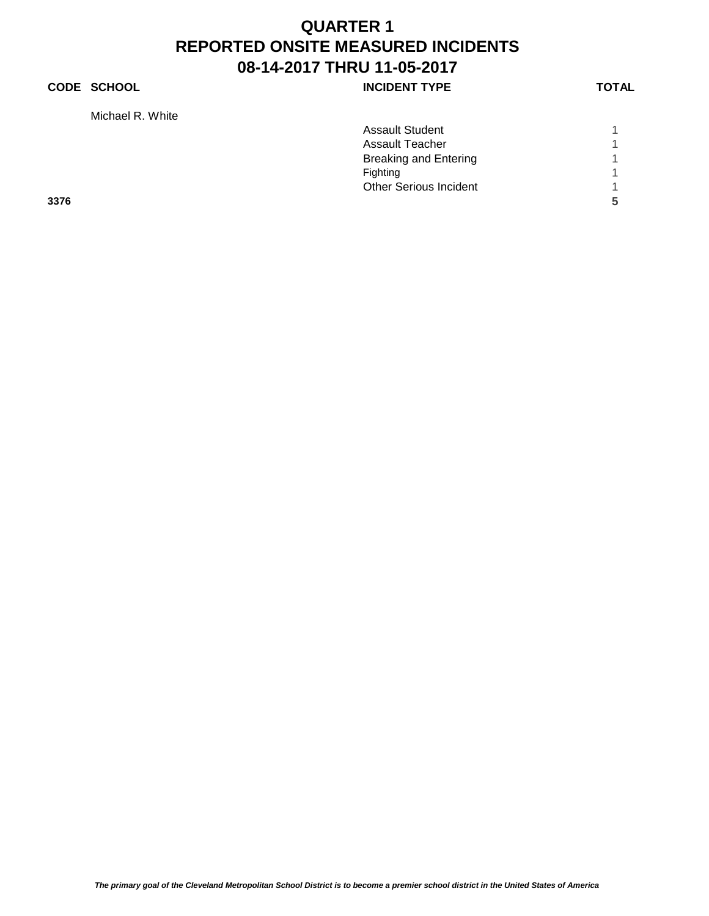## **CODE SCHOOL CODE SCHOOL INCIDENT TYPE TOTAL**

Michael R. White

| Assault Student               |   |
|-------------------------------|---|
| Assault Teacher               |   |
| Breaking and Entering         | 1 |
| Fighting                      |   |
| <b>Other Serious Incident</b> |   |

**3376 5**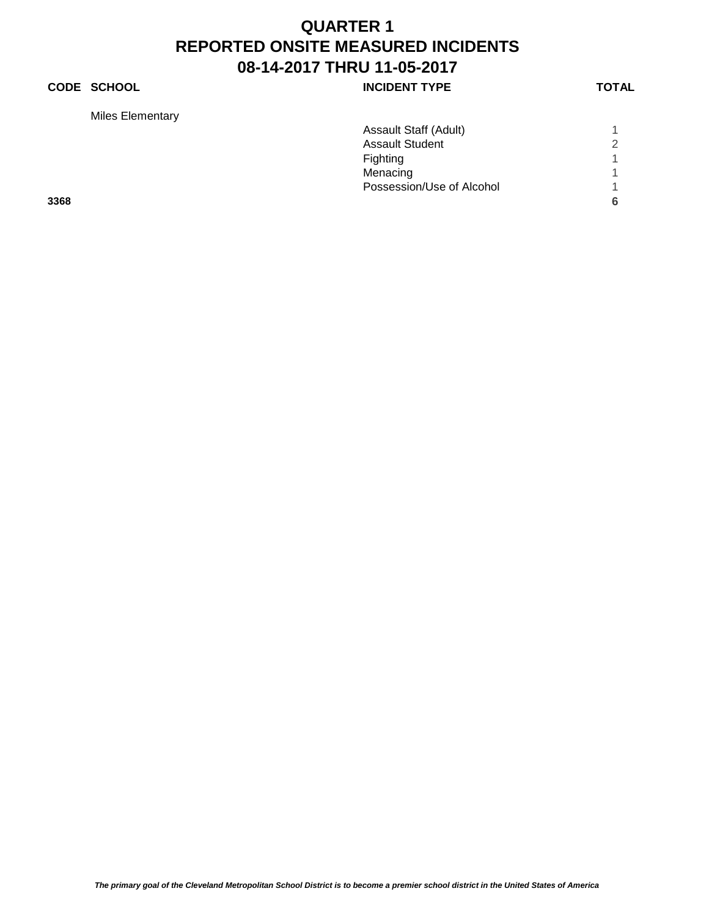## **CODE SCHOOL CODE SCHOOL INCIDENT TYPE TOTAL**

Miles Elementary

| Miles Elementary |                           |   |
|------------------|---------------------------|---|
|                  | Assault Staff (Adult)     |   |
|                  | <b>Assault Student</b>    | ◠ |
|                  | Fighting                  |   |
|                  | Menacing                  |   |
|                  | Possession/Use of Alcohol |   |
| 3368             |                           |   |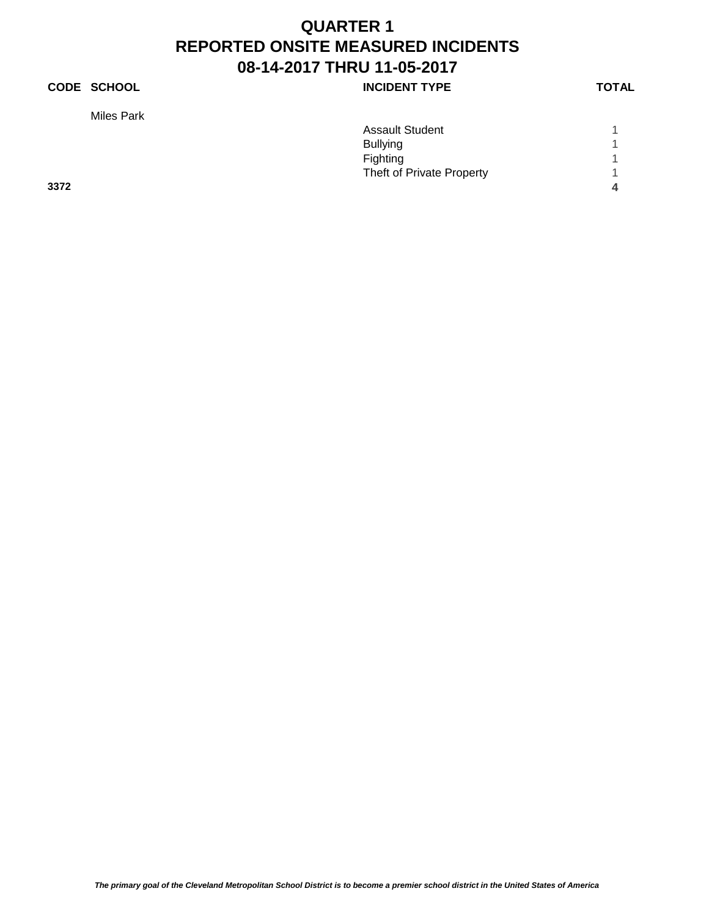## **CODE SCHOOL INCIDENT TYPE**

Miles Park

|      | <b>Assault Student</b>    |   |
|------|---------------------------|---|
|      | <b>Bullying</b>           |   |
|      | Fighting                  | 4 |
|      | Theft of Private Property |   |
| 3372 |                           | 4 |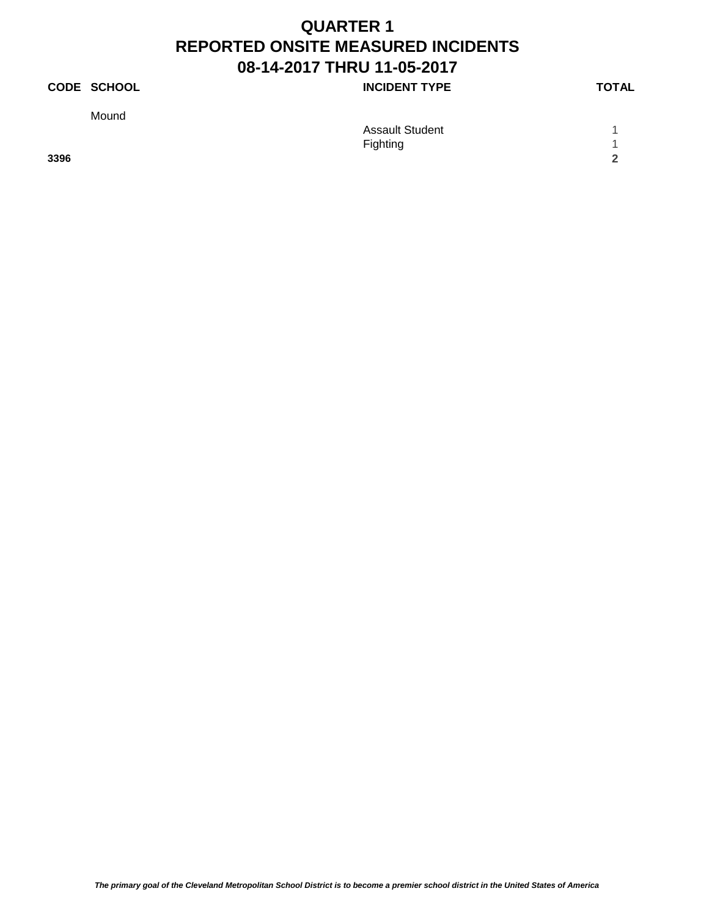## **CODE SCHOOL CODE SCHOOL INCIDENT TYPE TOTAL**

Mound

|      | <b>Assault Student</b> |        |
|------|------------------------|--------|
|      | Fighting               |        |
| 3396 |                        | $\sim$ |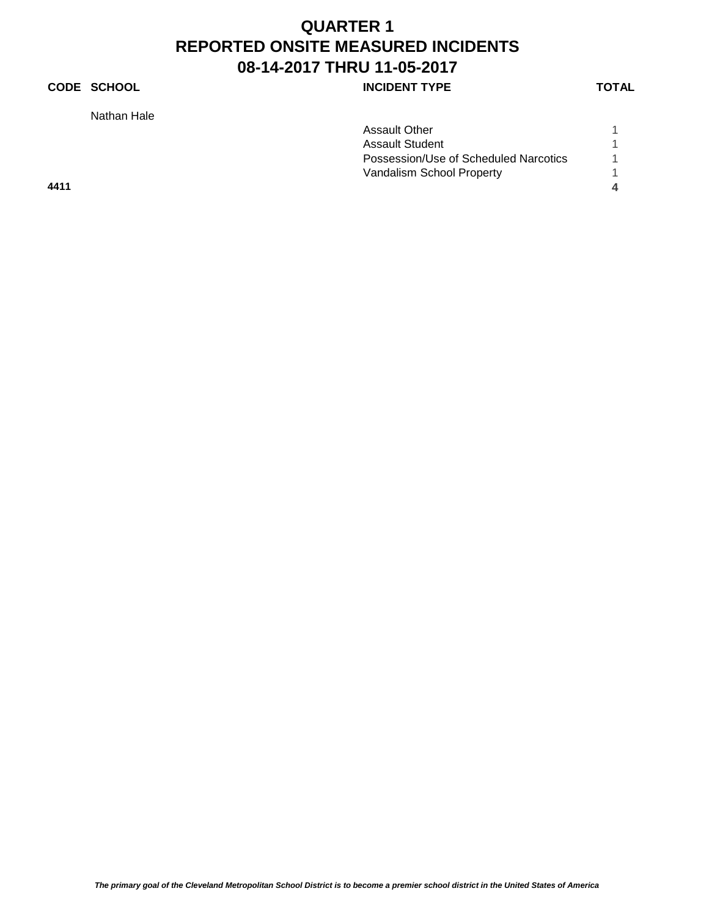## **CODE SCHOOL INCIDENT TYPE**

Nathan Hale

|      | <b>Assault Other</b>                  |   |
|------|---------------------------------------|---|
|      | <b>Assault Student</b>                |   |
|      | Possession/Use of Scheduled Narcotics |   |
|      | Vandalism School Property             |   |
| 4411 |                                       | 4 |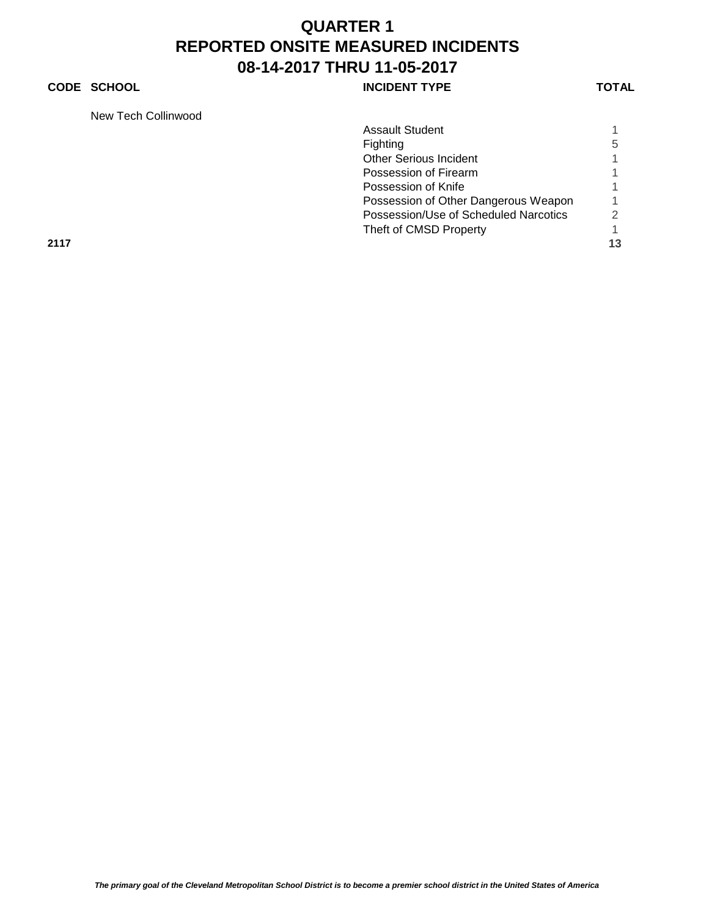### **CODE SCHOOL CODE SCHOOL INCIDENT TYPE TOTAL**

New Tech Collinwood

| <b>NEW LECH COMMODATION</b> |                                       |    |
|-----------------------------|---------------------------------------|----|
|                             | <b>Assault Student</b>                |    |
|                             | Fighting                              | 5  |
|                             | <b>Other Serious Incident</b>         |    |
|                             | Possession of Firearm                 |    |
|                             | Possession of Knife                   |    |
|                             | Possession of Other Dangerous Weapon  |    |
|                             | Possession/Use of Scheduled Narcotics | 2  |
|                             | Theft of CMSD Property                |    |
| 2117                        |                                       | 13 |
|                             |                                       |    |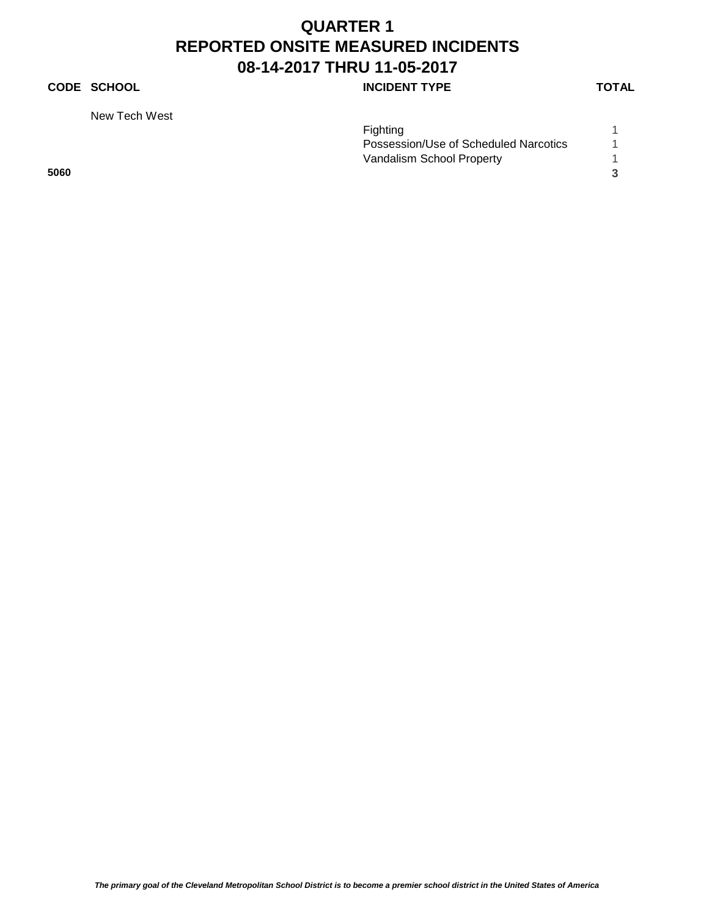### **CODE SCHOOL INCIDENT TYPE**

New Tech West

|      | Fighting                              |
|------|---------------------------------------|
|      | Possession/Use of Scheduled Narcotics |
|      | Vandalism School Property             |
| 5060 |                                       |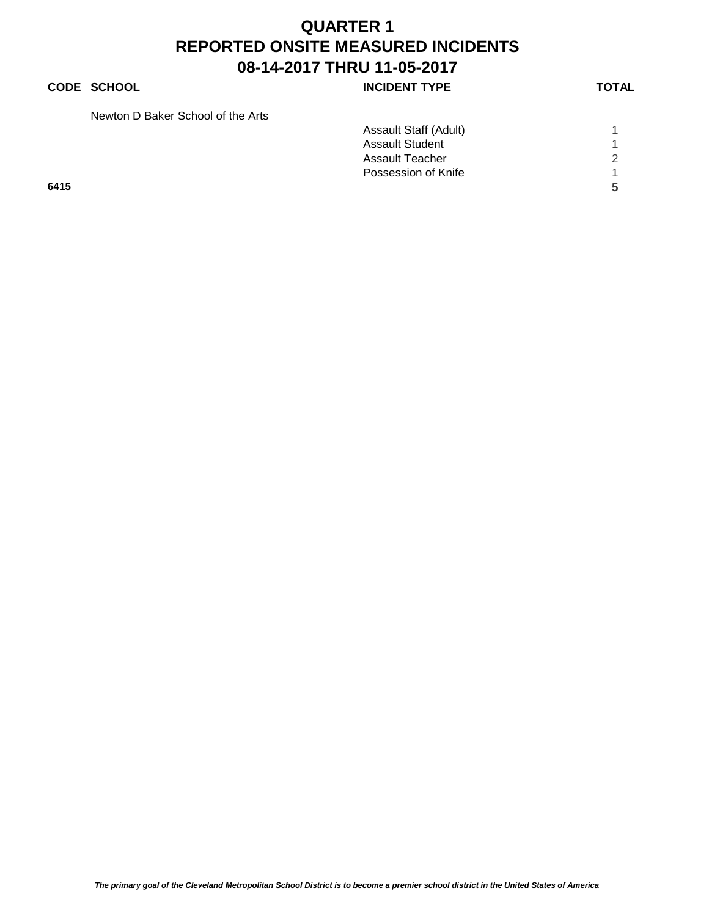**CODE SCHOOL CODE SCHOOL INCIDENT TYPE TOTAL** 

| Newton D Baker School of the Arts |  |  |  |
|-----------------------------------|--|--|--|
|                                   |  |  |  |

|      | Assault Staff (Adult)  |          |
|------|------------------------|----------|
|      | <b>Assault Student</b> |          |
|      | Assault Teacher        | $\Omega$ |
|      | Possession of Knife    |          |
| 6415 |                        | Б,       |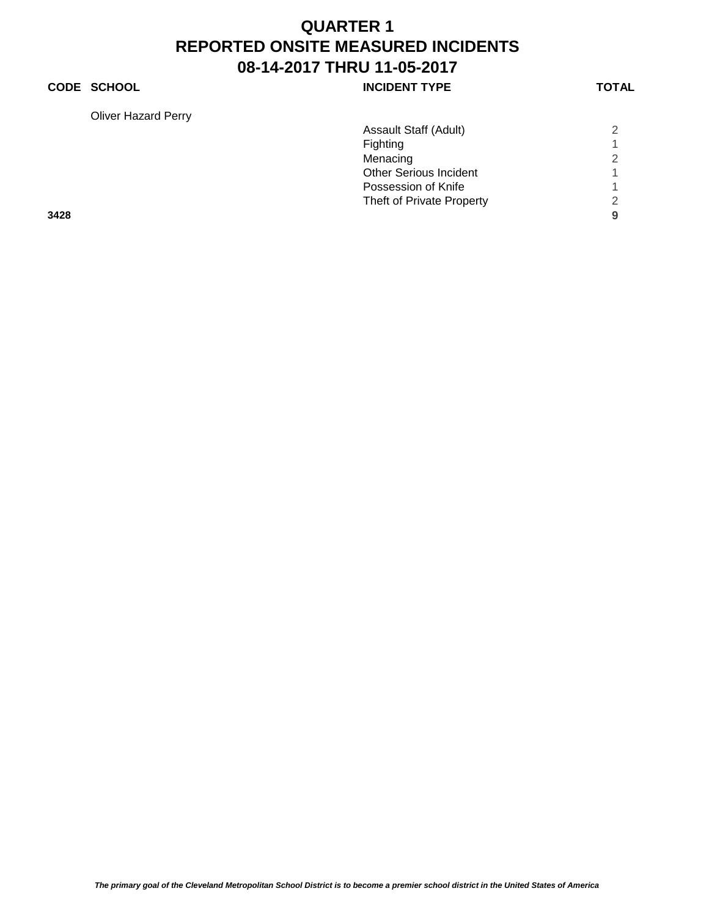### **CODE SCHOOL CODE SCHOOL INCIDENT TYPE TOTAL**

Oliver Hazard Perry

| <b>Oliver Hazard Perry</b>    |   |
|-------------------------------|---|
| Assault Staff (Adult)         | 2 |
| Fighting                      |   |
| Menacing                      | 2 |
| <b>Other Serious Incident</b> |   |
| Possession of Knife           |   |
| Theft of Private Property     | 2 |
| 3428                          | 9 |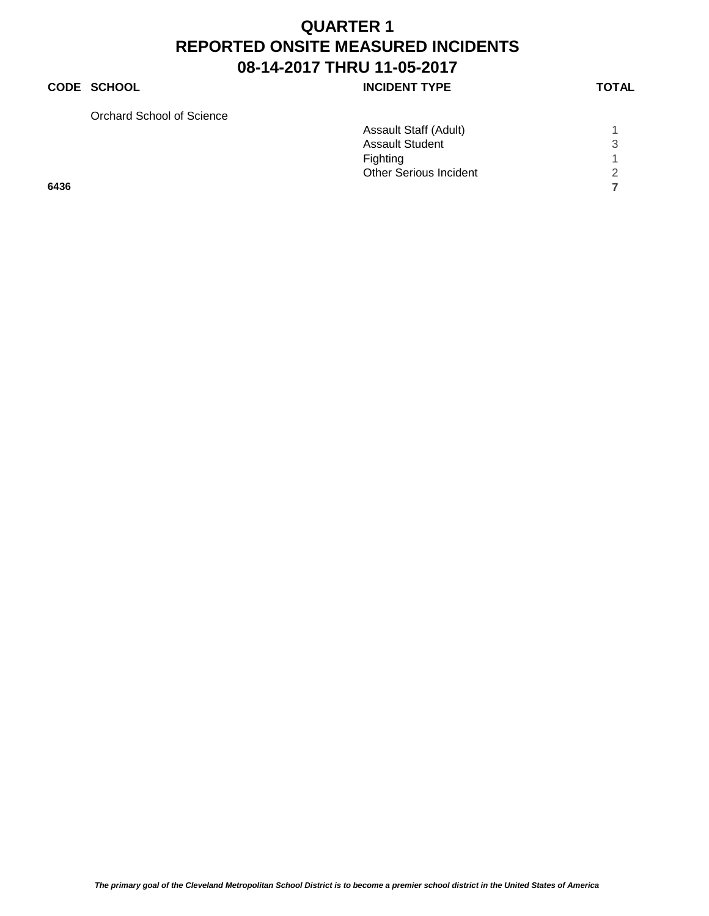### **CODE SCHOOL CODE SCHOOL INCIDENT TYPE TOTAL**

Orchard School of Science

| Orchard School of Science |                               |   |
|---------------------------|-------------------------------|---|
|                           | Assault Staff (Adult)         |   |
|                           | <b>Assault Student</b>        | 3 |
|                           | Fighting                      |   |
|                           | <b>Other Serious Incident</b> |   |
| 6436                      |                               |   |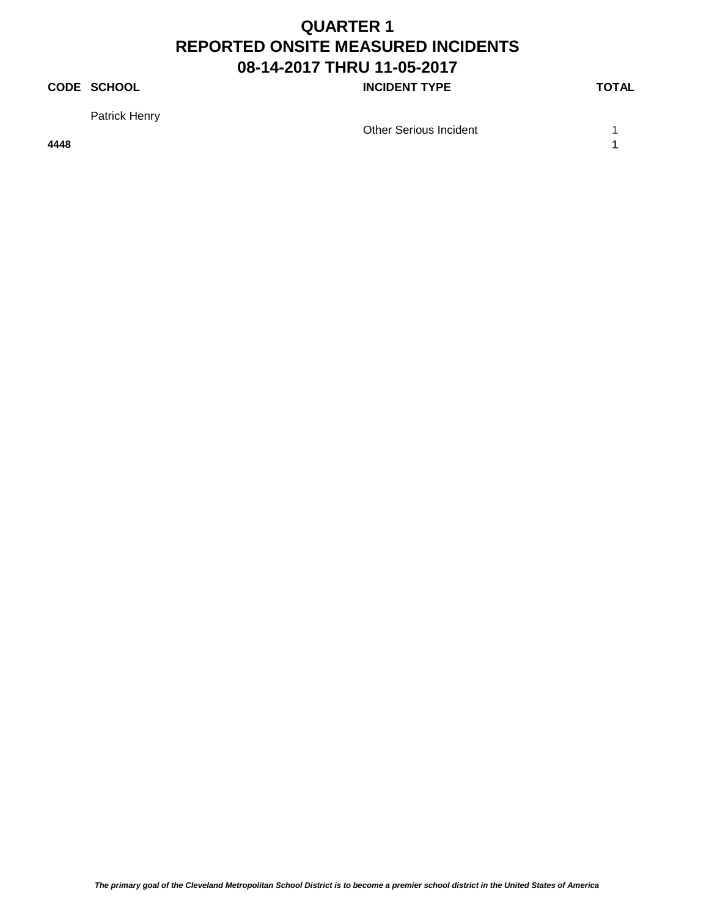#### **CODE SCHOOL CODE SCHOOL INCIDENT TYPE TOTAL**

Patrick Henry

Other Serious Incident 1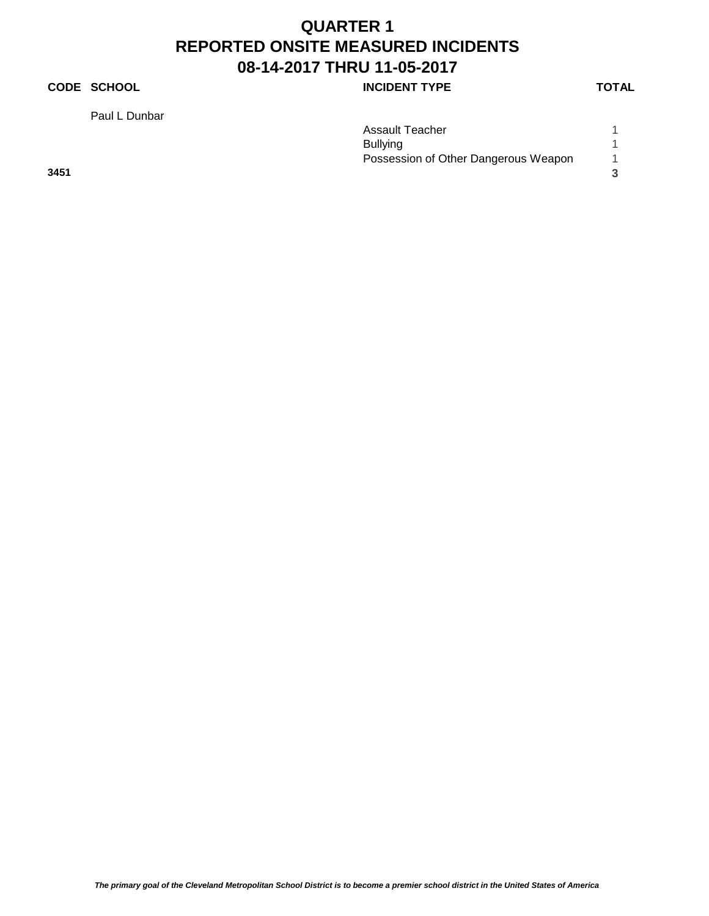#### **CODE SCHOOL INCIDENT TYPE**

Paul L Dunbar

| ٧ |
|---|
|---|

|      | Assault Teacher                      |  |
|------|--------------------------------------|--|
|      | <b>Bullying</b>                      |  |
|      | Possession of Other Dangerous Weapon |  |
| 3451 |                                      |  |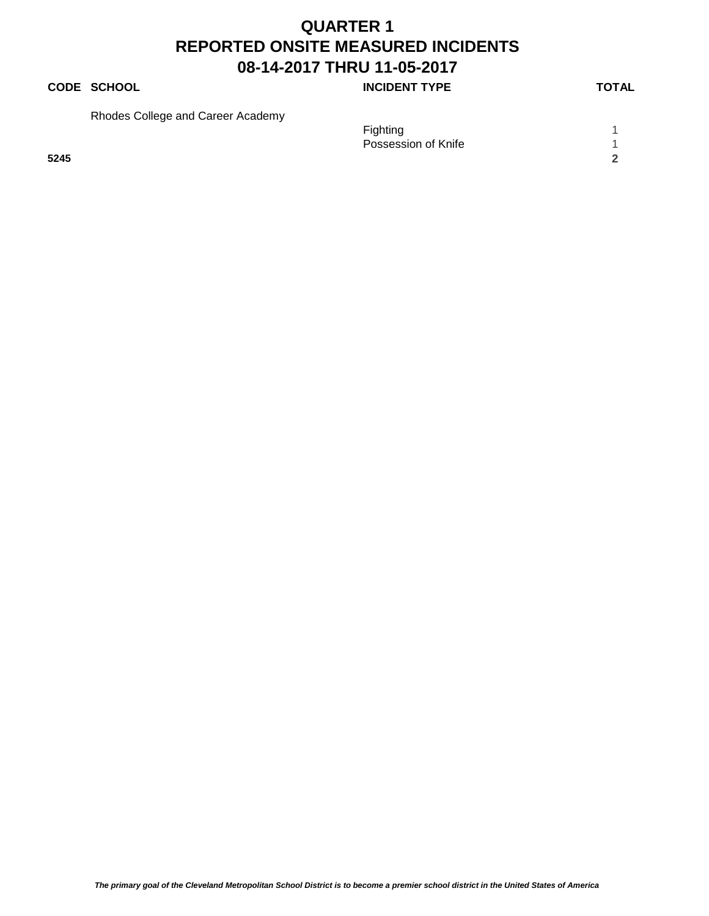### **CODE SCHOOL CODE SCHOOL INCIDENT TYPE TOTAL**

Rhodes College and Career Academy

Fighting 1 and 1 and 1 and 1 and 1 and 1 and 1 and 1 and 1 and 1 and 1 and 1 and 1 and 1 and 1 and 1 and 1 and 1 and 1 and 1 and 1 and 1 and 1 and 1 and 1 and 1 and 1 and 1 and 1 and 1 and 1 and 1 and 1 and 1 and 1 and 1 a Possession of Knife 1 1 **5245 2**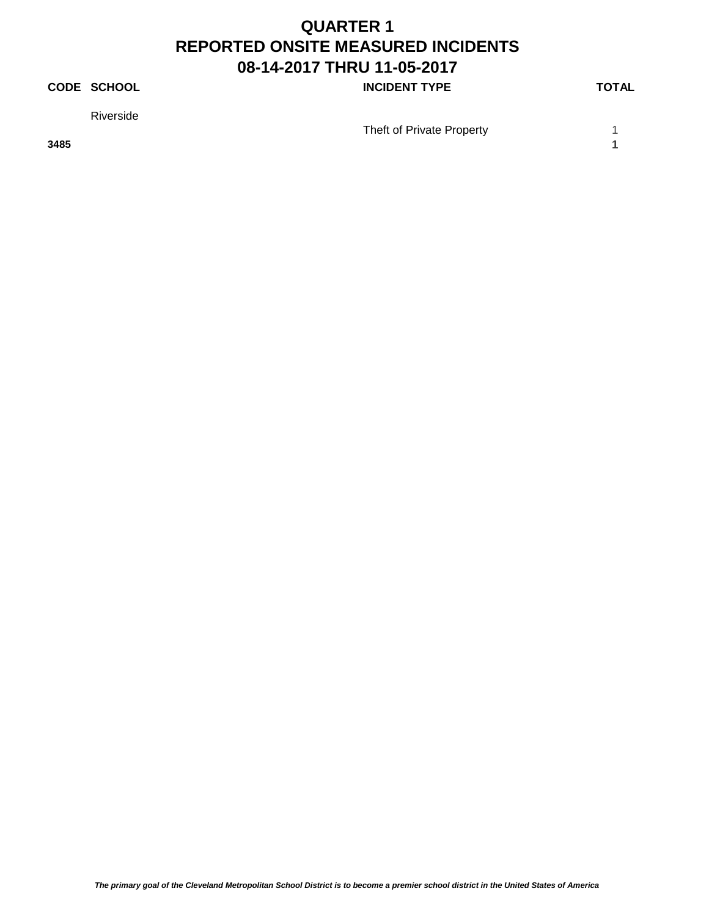#### **CODE SCHOOL CODE SCHOOL INCIDENT TYPE TOTAL**

Riverside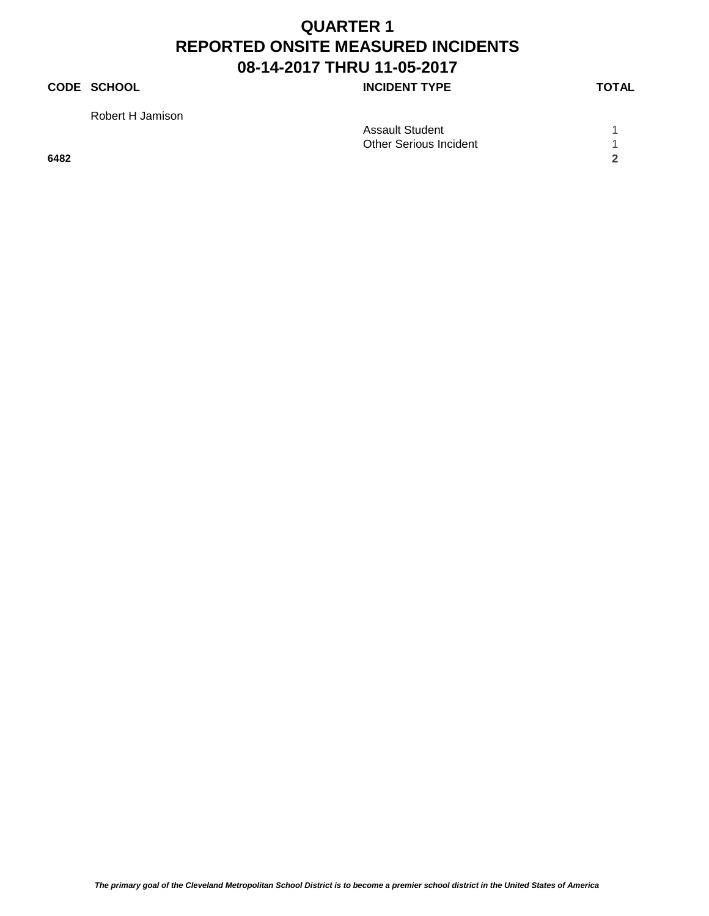#### **CODE SCHOOL CODE SCHOOL INCIDENT TYPE TOTAL**

Robert H Jamison

|      | <b>Assault Student</b> |            |
|------|------------------------|------------|
|      | Other Serious Incident |            |
| 6482 |                        | $\sqrt{2}$ |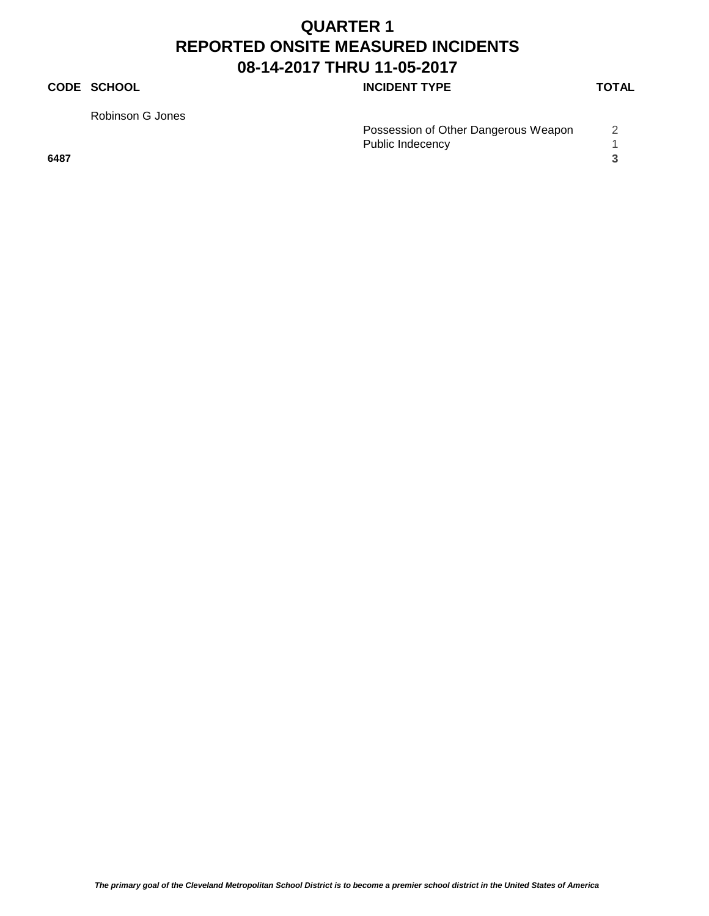#### **CODE SCHOOL INCIDENT TYPE**

Robinson G Jones

|      | Possession of Other Dangerous Weapon |  |
|------|--------------------------------------|--|
|      | Public Indecency                     |  |
| 6487 |                                      |  |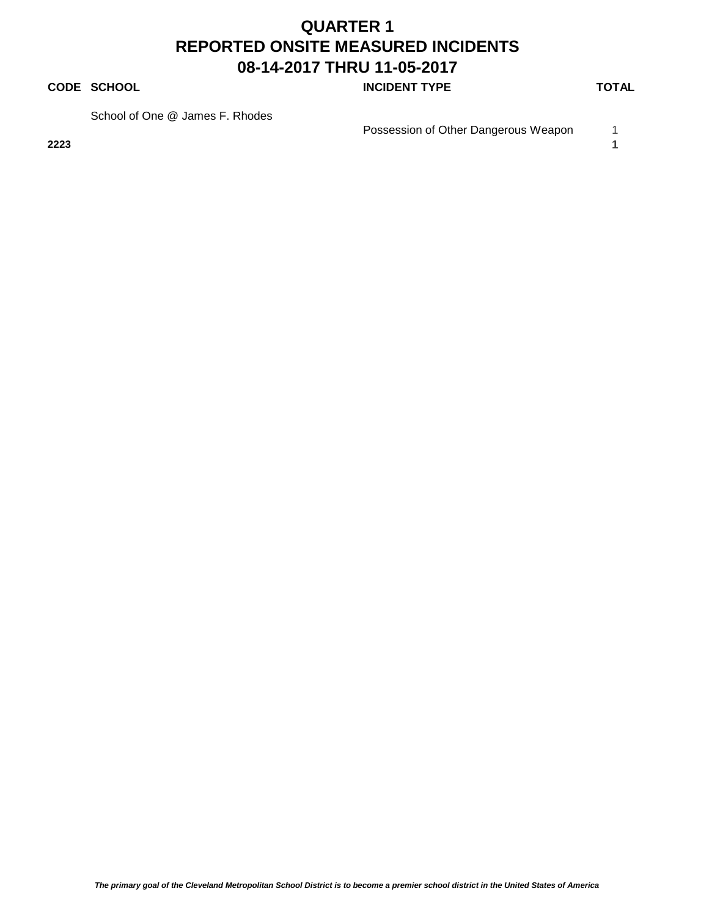#### **CODE SCHOOL CODE SCHOOL INCIDENT TYPE TOTAL**

School of One @ James F. Rhodes

Possession of Other Dangerous Weapon 1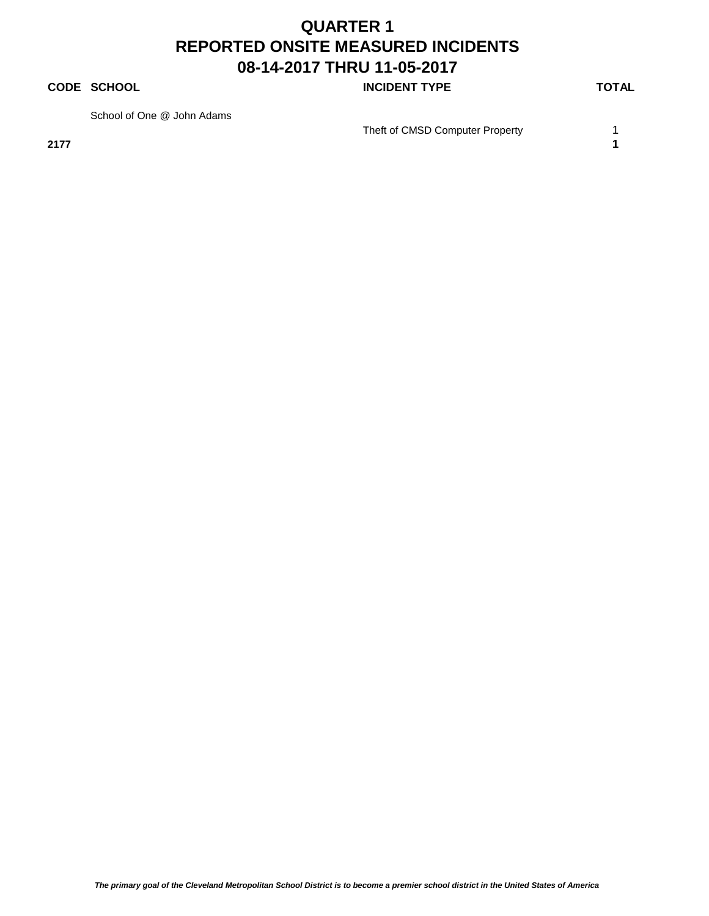#### **CODE SCHOOL CODE SCHOOL INCIDENT TYPE TOTAL**

School of One @ John Adams

**2177 1**

Theft of CMSD Computer Property 1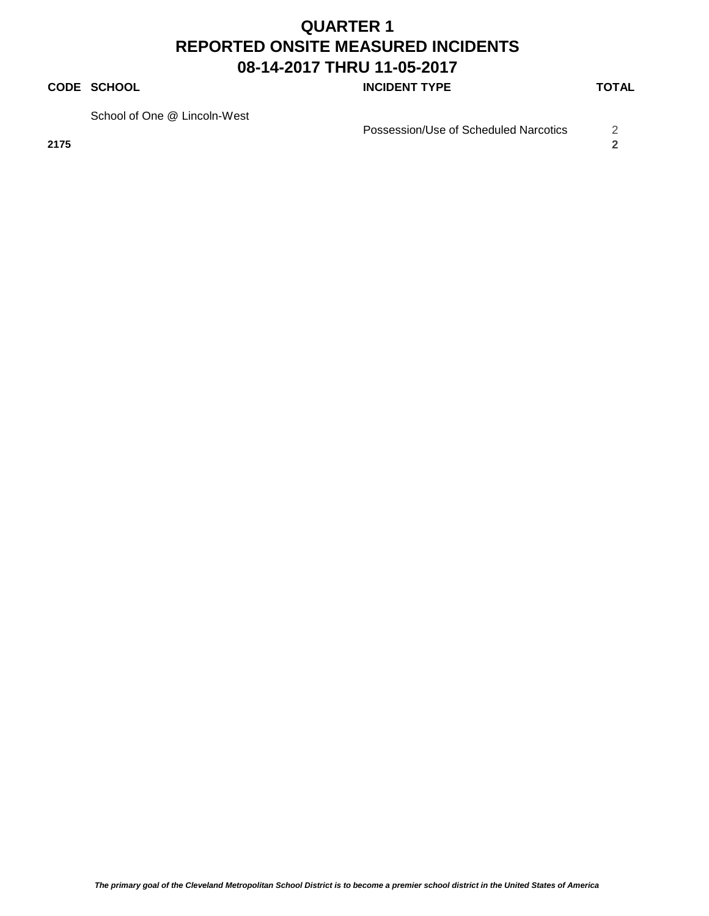#### **CODE SCHOOL CODE SCHOOL INCIDENT TYPE TOTAL**

School of One @ Lincoln-West

Possession/Use of Scheduled Narcotics 2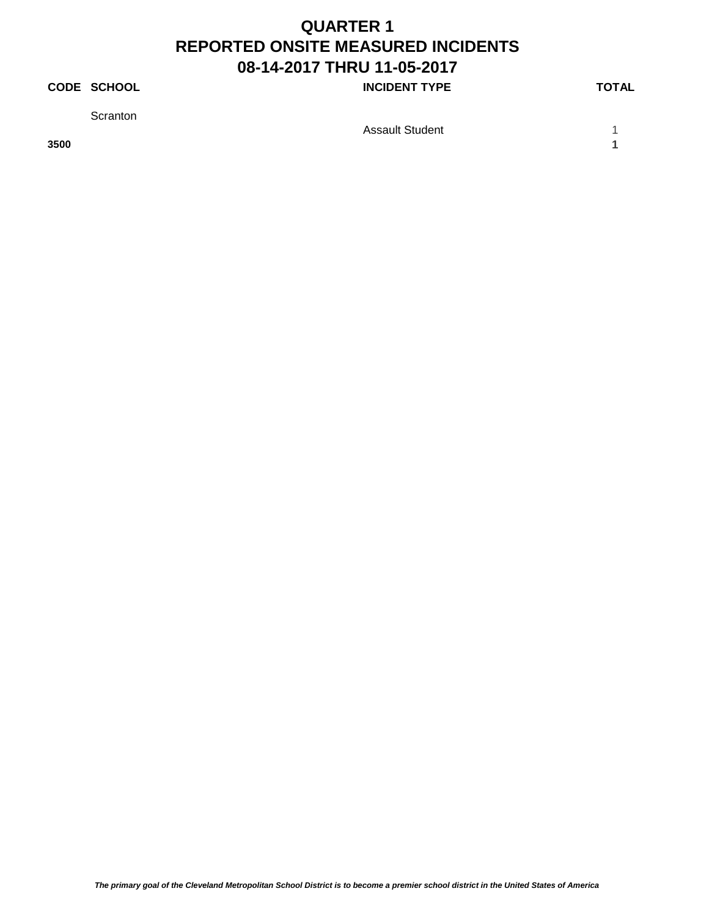#### **CODE SCHOOL CODE SCHOOL INCIDENT TYPE TOTAL**

**Scranton** 

**3500 1**

Assault Student 1 1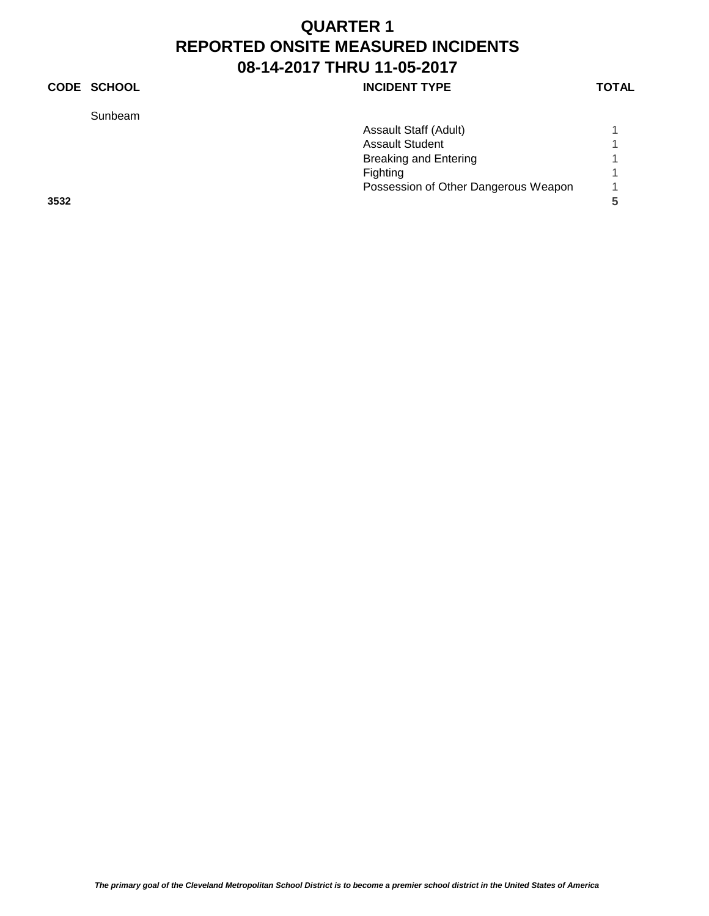#### **CODE SCHOOL CODE SCHOOL INCIDENT TYPE TOTAL**

Sunbeam

|      | Sunbeam                              |   |
|------|--------------------------------------|---|
|      | Assault Staff (Adult)                |   |
|      | <b>Assault Student</b>               | 4 |
|      | <b>Breaking and Entering</b>         |   |
|      | Fighting                             | 1 |
|      | Possession of Other Dangerous Weapon |   |
| 3532 |                                      |   |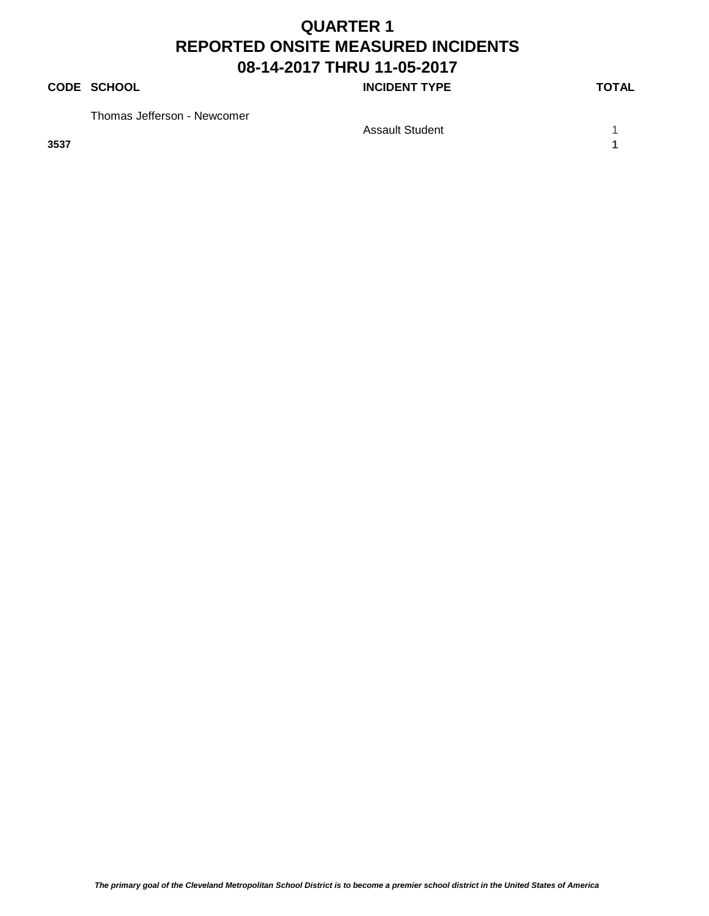#### **CODE SCHOOL CODE SCHOOL INCIDENT TYPE TOTAL**

Thomas Jefferson - Newcomer

**3537 1**

Assault Student 1 1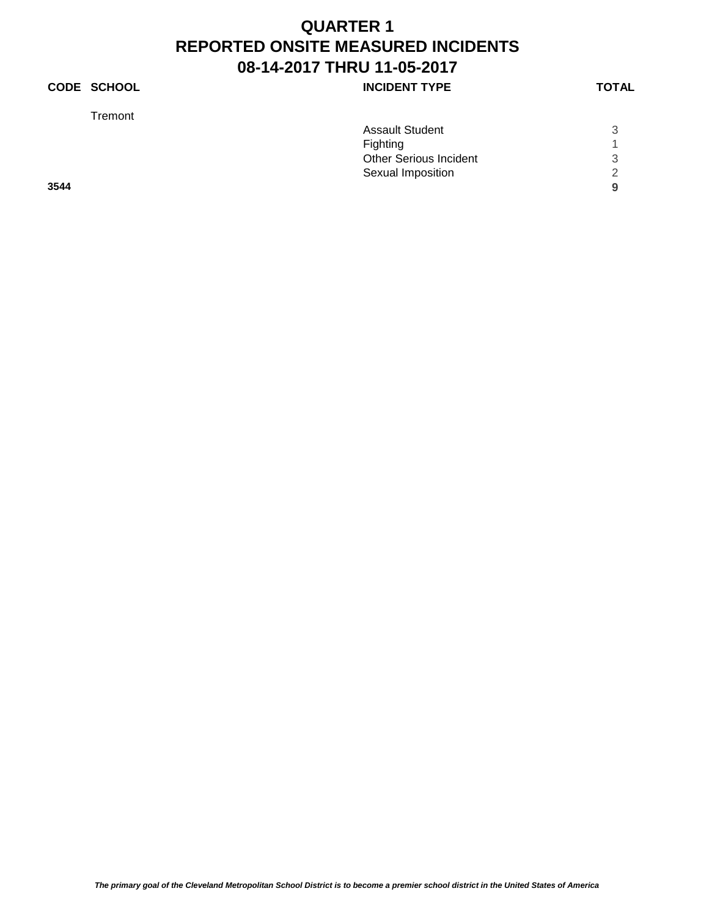#### **CODE SCHOOL INCIDENT TYPE**

Tremont

|      | <b>Assault Student</b>        | 3 |
|------|-------------------------------|---|
|      | Fighting                      | 4 |
|      | <b>Other Serious Incident</b> | 3 |
|      | Sexual Imposition             | 2 |
| 3544 |                               | 9 |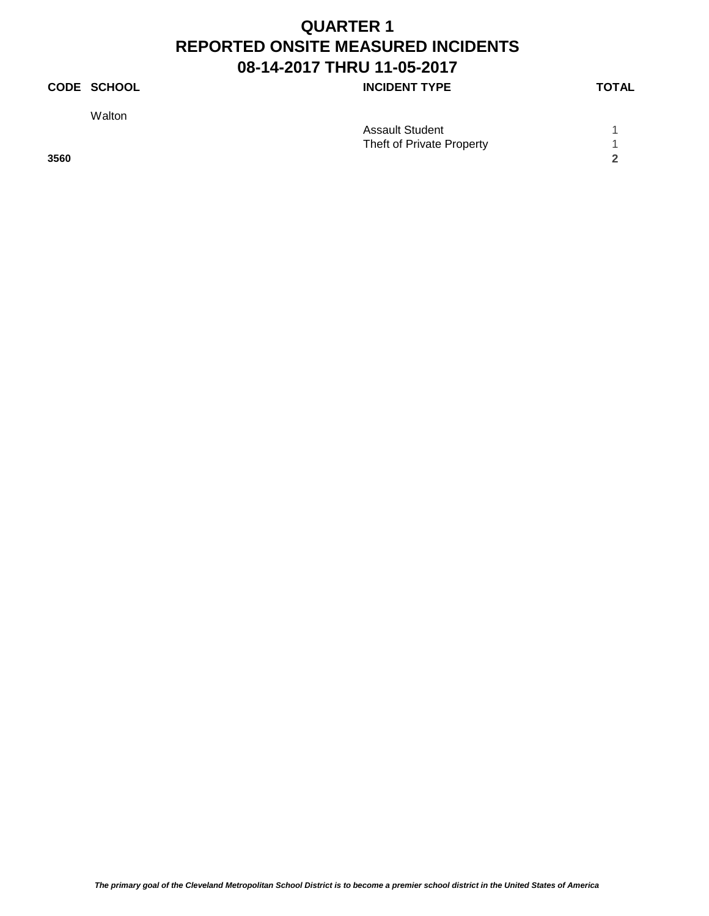#### **CODE SCHOOL CODE SCHOOL INCIDENT TYPE TOTAL**

Walton

|      | <b>Assault Student</b>    |  |
|------|---------------------------|--|
|      | Theft of Private Property |  |
| 3560 |                           |  |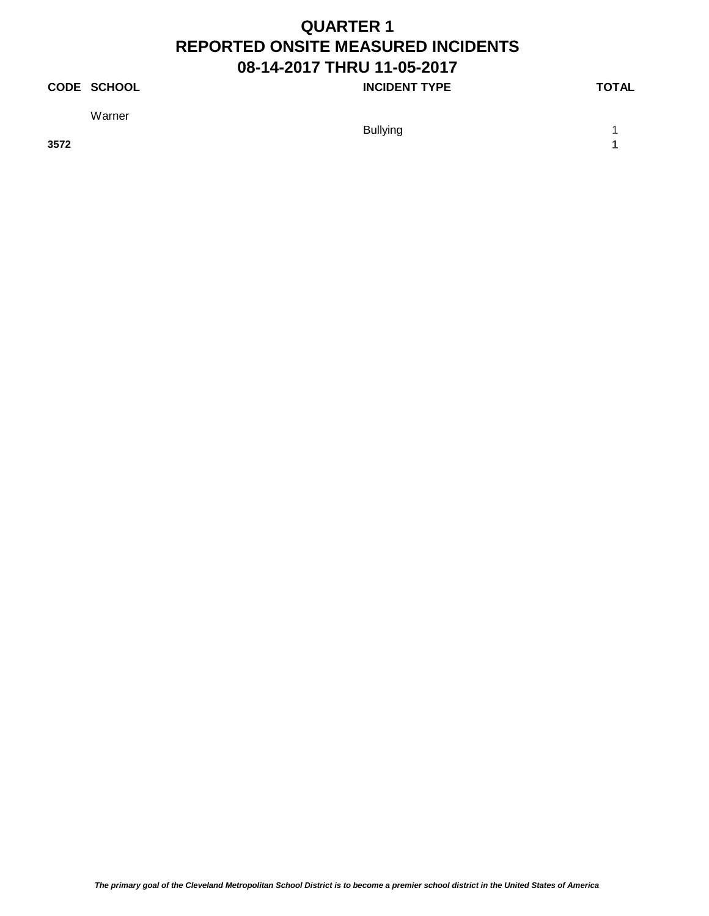#### **CODE SCHOOL CODE SCHOOL INCIDENT TYPE TOTAL**

Warner

**3572 1**

Bullying 1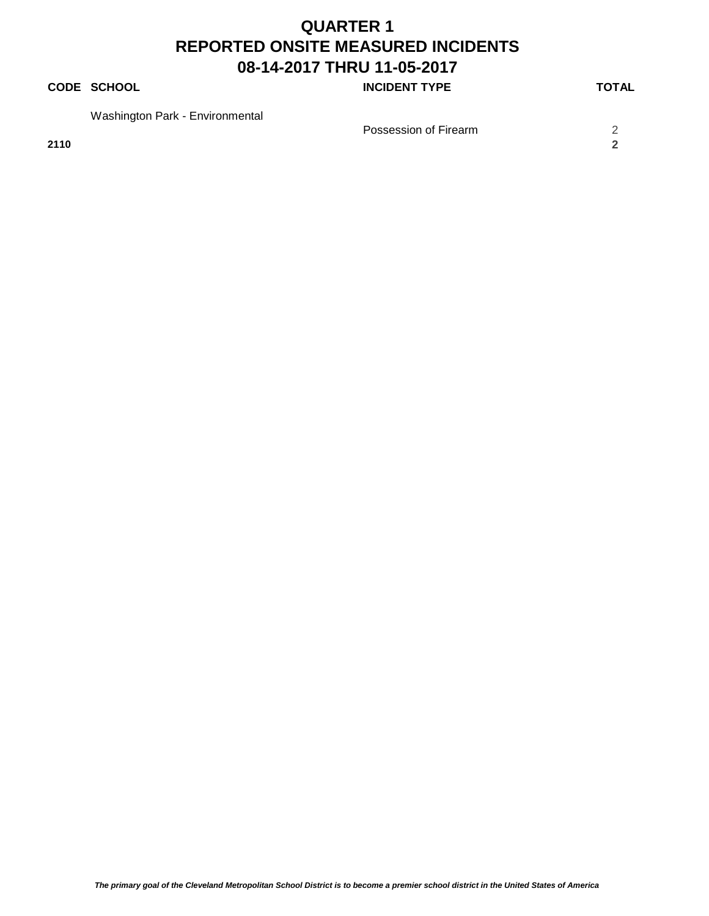#### **CODE SCHOOL CODE SCHOOL INCIDENT TYPE TOTAL**

Washington Park - Environmental

**2110 2**

Possession of Firearm 2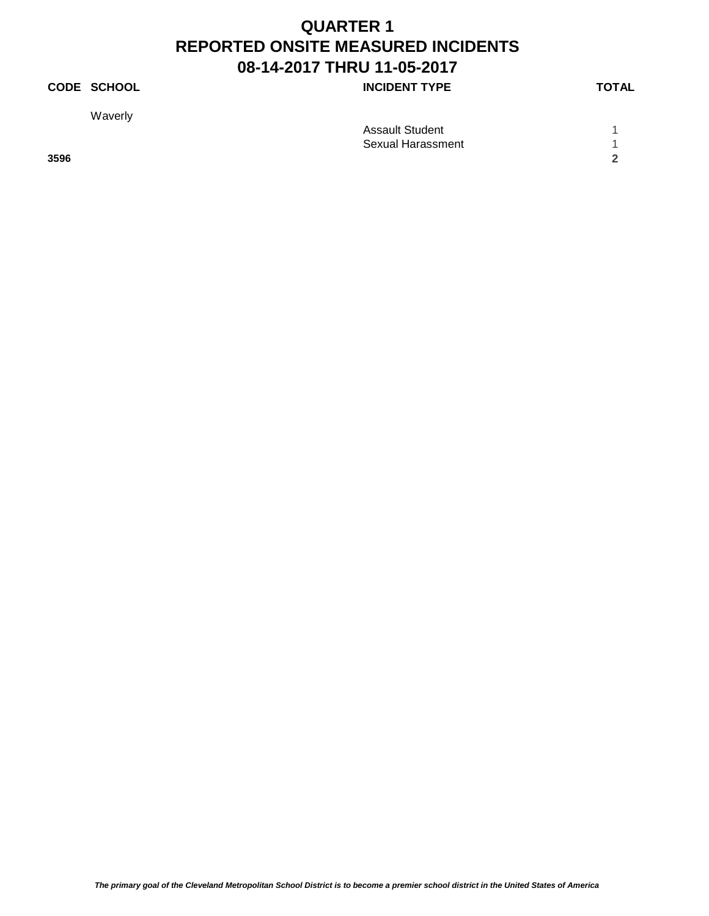#### **CODE SCHOOL CODE SCHOOL INCIDENT TYPE TOTAL**

Waverly

|      | <b>Assault Student</b> |        |
|------|------------------------|--------|
|      | Sexual Harassment      |        |
| 3596 |                        | $\sim$ |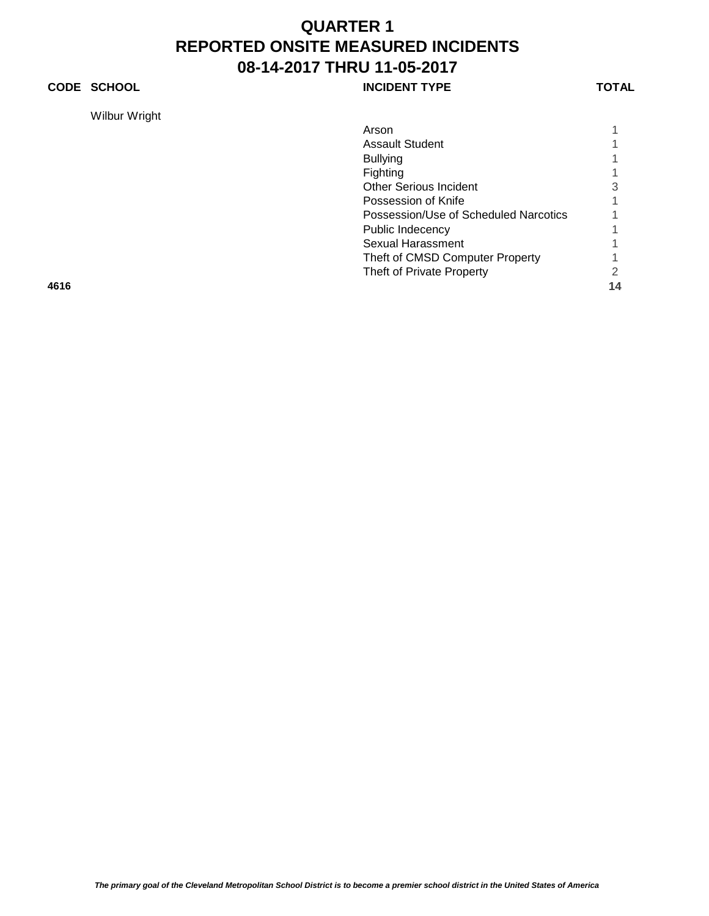#### **CODE SCHOOL CODE SCHOOL INCIDENT TYPE TOTAL**

Wilbur Wright

| Arson                                 |   |
|---------------------------------------|---|
| <b>Assault Student</b>                |   |
| <b>Bullying</b>                       |   |
| Fighting                              |   |
| <b>Other Serious Incident</b>         | 3 |
| Possession of Knife                   |   |
| Possession/Use of Scheduled Narcotics |   |
| Public Indecency                      |   |
| Sexual Harassment                     |   |
| Theft of CMSD Computer Property       |   |
| Theft of Private Property             |   |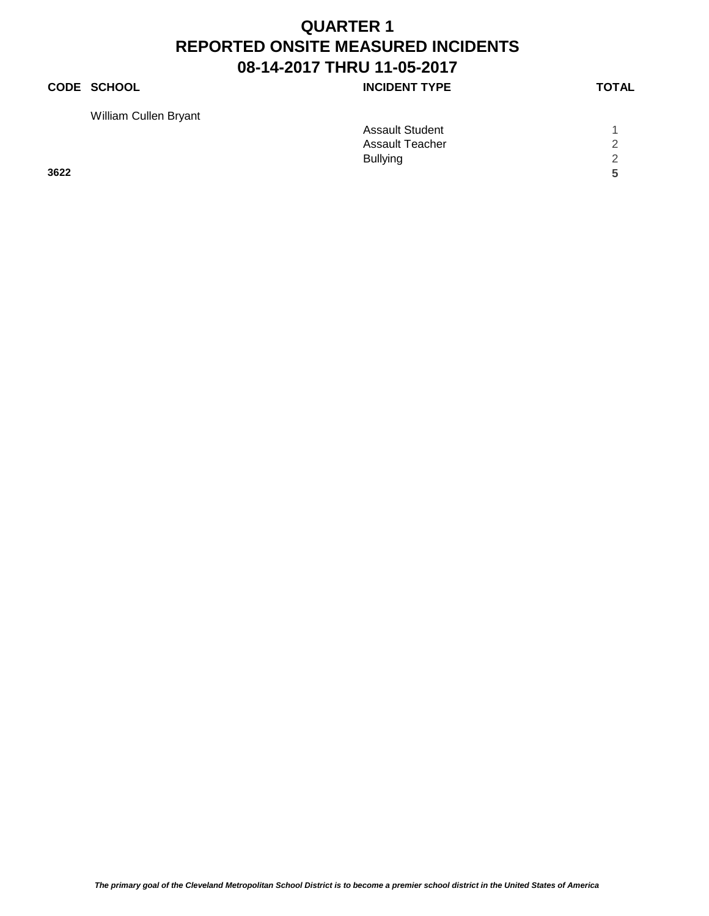#### **CODE SCHOOL CODE SCHOOL INCIDENT TYPE TOTAL**

William Cullen Bryant

| <i>vvilliam Cullen Bryant</i> |                        |               |
|-------------------------------|------------------------|---------------|
|                               | <b>Assault Student</b> |               |
|                               | Assault Teacher        | $\mathcal{D}$ |
|                               | <b>Bullying</b>        | $\mathcal{D}$ |
| 3622                          |                        | Б.            |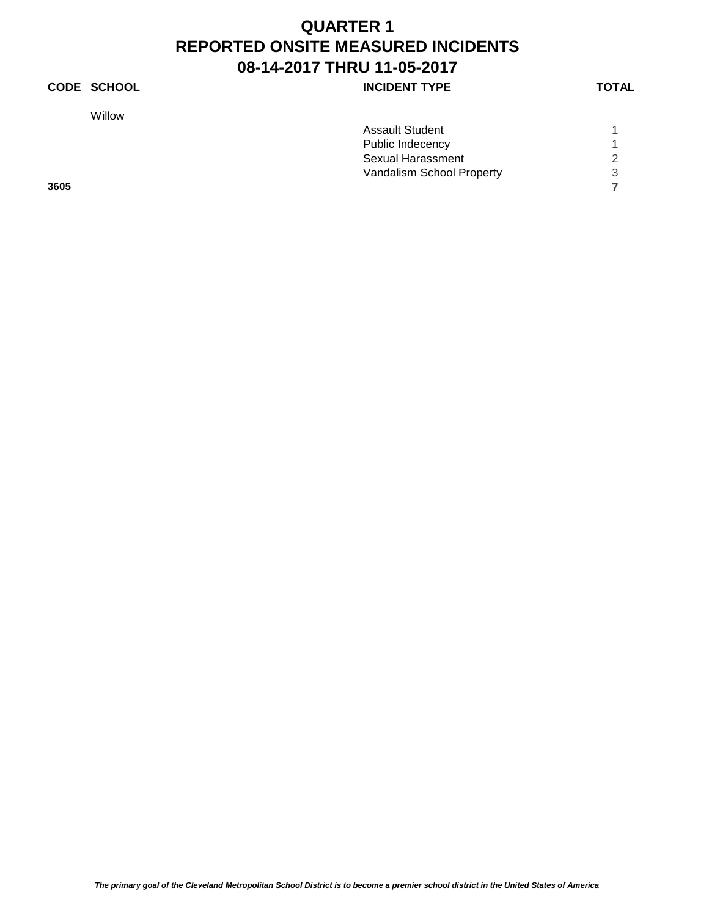#### **CODE SCHOOL INCIDENT TYPE**

Willow

|      | <b>Assault Student</b>    |   |
|------|---------------------------|---|
|      | Public Indecency          |   |
|      | Sexual Harassment         | 2 |
|      | Vandalism School Property | 3 |
| 3605 |                           |   |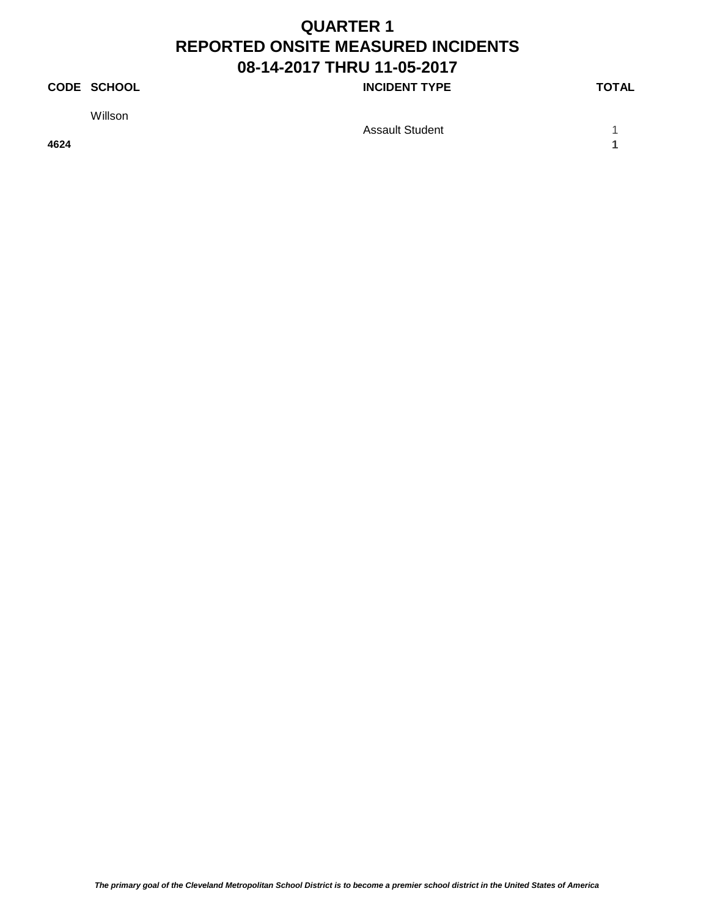#### **CODE SCHOOL CODE SCHOOL INCIDENT TYPE TOTAL**

Willson

Assault Student 1 1